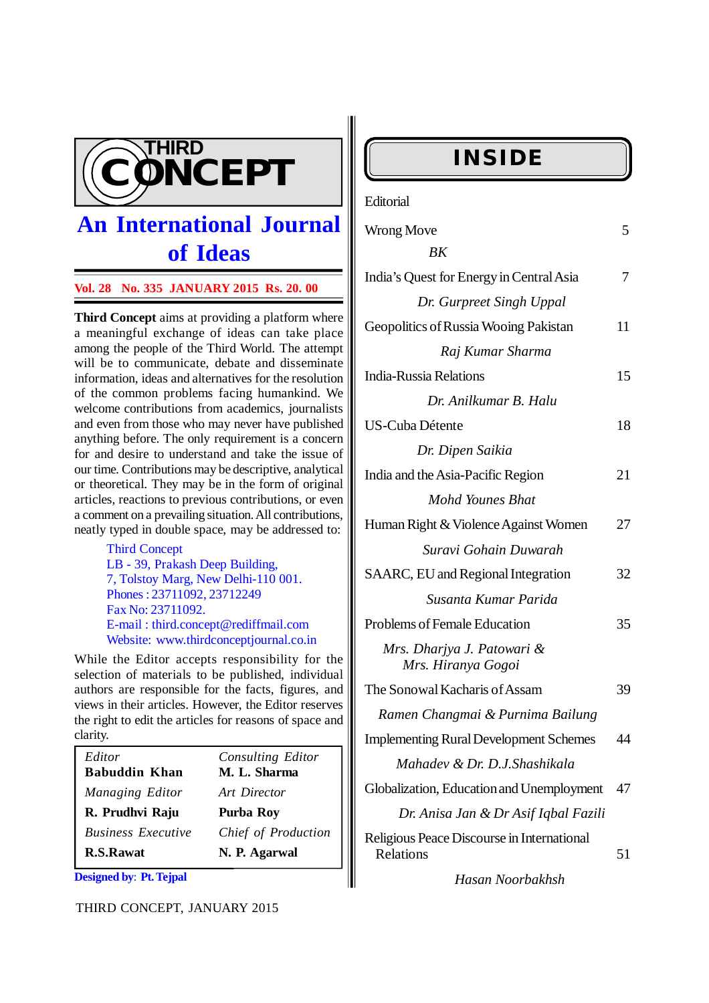

# **An International Journal of Ideas**

**Vol. 28 No. 335 JANUARY 2015 Rs. 20. 00**

**Third Concept** aims at providing a platform where a meaningful exchange of ideas can take place among the people of the Third World. The attempt will be to communicate, debate and disseminate information, ideas and alternatives for the resolution of the common problems facing humankind. We welcome contributions from academics, journalists and even from those who may never have published anything before. The only requirement is a concern for and desire to understand and take the issue of our time. Contributions may be descriptive, analytical or theoretical. They may be in the form of original articles, reactions to previous contributions, or even a comment on a prevailing situation. All contributions, neatly typed in double space, may be addressed to:

> Third Concept LB - 39, Prakash Deep Building, 7, Tolstoy Marg, New Delhi-110 001. Phones : 23711092, 23712249 Fax No: 23711092. E-mail : third.concept@rediffmail.com Website: www.thirdconceptjournal.co.in

While the Editor accepts responsibility for the selection of materials to be published, individual authors are responsible for the facts, figures, and views in their articles. However, the Editor reserves the right to edit the articles for reasons of space and clarity.

| Editor                    | Consulting Editor   |
|---------------------------|---------------------|
| <b>Babuddin Khan</b>      | M. L. Sharma        |
| Managing Editor           | Art Director        |
| R. Prudhvi Raju           | Purba Roy           |
| <b>Business Executive</b> | Chief of Production |
| <b>R.S.Rawat</b>          | N. P. Agarwal       |

**Designed by**: **Pt. Tejpal**

THIRD CONCEPT, JANUARY 2015

| Editorial                                               |    |
|---------------------------------------------------------|----|
| <b>Wrong Move</b>                                       | 5  |
| BK                                                      |    |
| India's Quest for Energy in Central Asia                | 7  |
| Dr. Gurpreet Singh Uppal                                |    |
| Geopolitics of Russia Wooing Pakistan                   | 11 |
| Raj Kumar Sharma                                        |    |
| <b>India-Russia Relations</b>                           | 15 |
| Dr. Anilkumar B. Halu                                   |    |
| <b>US-Cuba Détente</b>                                  | 18 |
| Dr. Dipen Saikia                                        |    |
| India and the Asia-Pacific Region                       | 21 |
| <b>Mohd Younes Bhat</b>                                 |    |
| Human Right & Violence Against Women                    | 27 |
| Suravi Gohain Duwarah                                   |    |
| <b>SAARC, EU and Regional Integration</b>               | 32 |
| Susanta Kumar Parida                                    |    |
| Problems of Female Education                            | 35 |
| Mrs. Dharjya J. Patowari &<br>Mrs. Hiranya Gogoi        |    |
| The Sonowal Kacharis of Assam                           | 39 |
| Ramen Changmai & Purnima Bailung                        |    |
| <b>Implementing Rural Development Schemes</b>           | 44 |
| Mahadev & Dr. D.J.Shashikala                            |    |
| Globalization, Education and Unemployment               | 47 |
| Dr. Anisa Jan & Dr Asif Iqbal Fazili                    |    |
| Religious Peace Discourse in International<br>Relations | 51 |

*Hasan Noorbakhsh*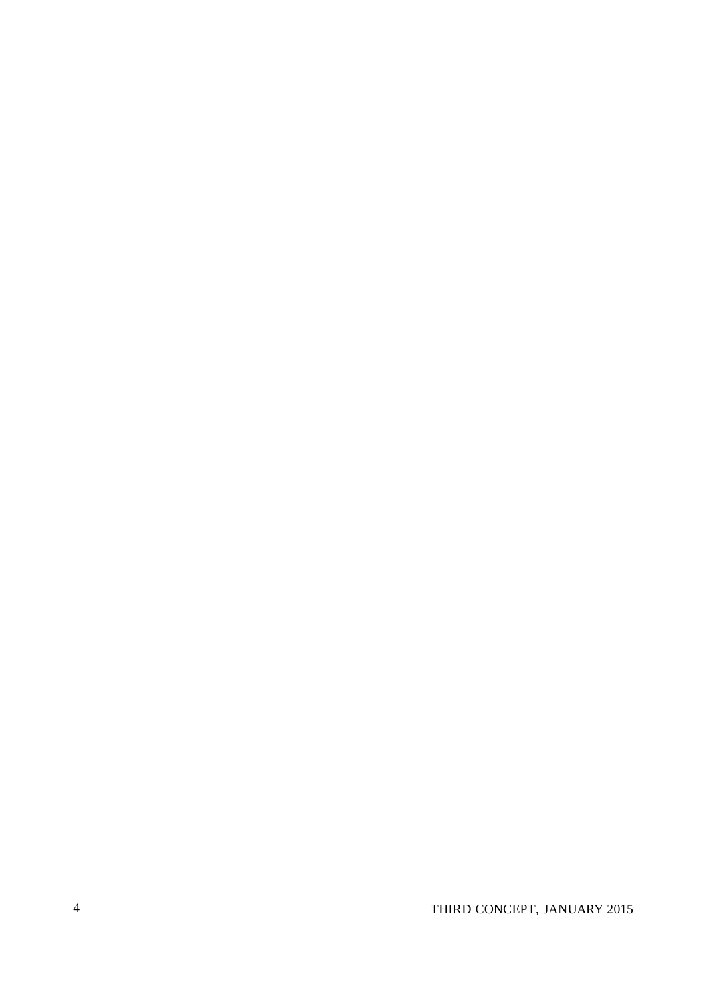THIRD CONCEPT, JANUARY 2015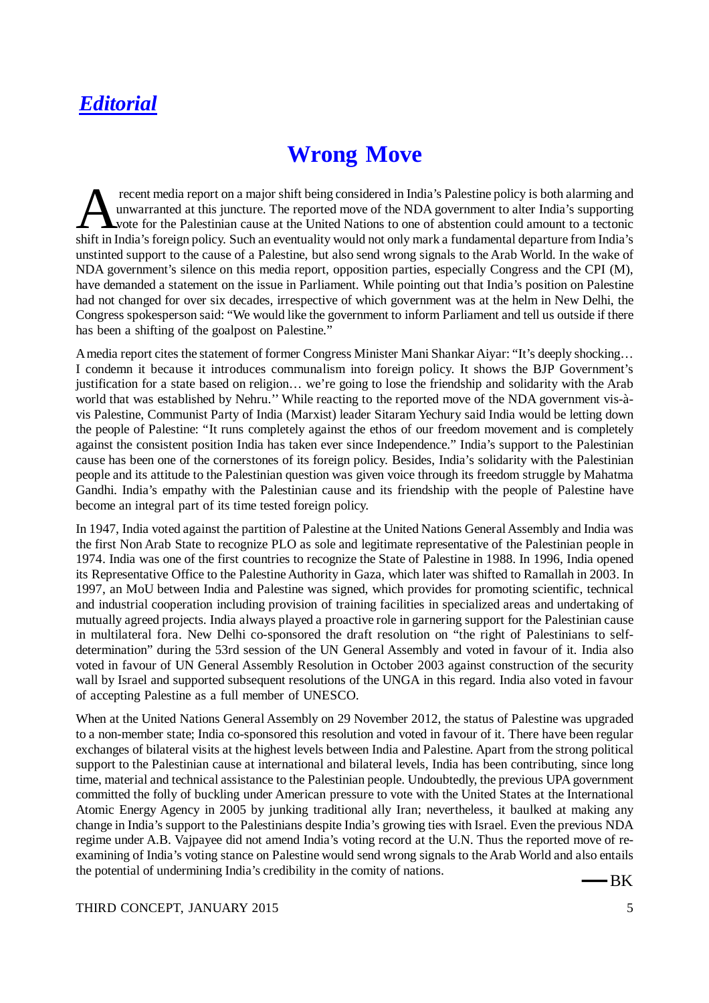# *Editorial*

# **Wrong Move**

Frecent media report on a major shift being considered in India's Palestine policy is both alarming and unwarranted at this juncture. The reported move of the NDA government to alter India's supporting vote for the Palesti recent media report on a major shift being considered in India's Palestine policy is both alarming and unwarranted at this juncture. The reported move of the NDA government to alter India's supporting vote for the Palestinian cause at the United Nations to one of abstention could amount to a tectonic unstinted support to the cause of a Palestine, but also send wrong signals to the Arab World. In the wake of NDA government's silence on this media report, opposition parties, especially Congress and the CPI (M), have demanded a statement on the issue in Parliament. While pointing out that India's position on Palestine had not changed for over six decades, irrespective of which government was at the helm in New Delhi, the Congress spokesperson said: "We would like the government to inform Parliament and tell us outside if there has been a shifting of the goalpost on Palestine."

A media report cites the statement of former Congress Minister Mani Shankar Aiyar: "It's deeply shocking… I condemn it because it introduces communalism into foreign policy. It shows the BJP Government's justification for a state based on religion… we're going to lose the friendship and solidarity with the Arab world that was established by Nehru.'' While reacting to the reported move of the NDA government vis-àvis Palestine, Communist Party of India (Marxist) leader Sitaram Yechury said India would be letting down the people of Palestine: "It runs completely against the ethos of our freedom movement and is completely against the consistent position India has taken ever since Independence." India's support to the Palestinian cause has been one of the cornerstones of its foreign policy. Besides, India's solidarity with the Palestinian people and its attitude to the Palestinian question was given voice through its freedom struggle by Mahatma Gandhi. India's empathy with the Palestinian cause and its friendship with the people of Palestine have become an integral part of its time tested foreign policy.

In 1947, India voted against the partition of Palestine at the United Nations General Assembly and India was the first Non Arab State to recognize PLO as sole and legitimate representative of the Palestinian people in 1974. India was one of the first countries to recognize the State of Palestine in 1988. In 1996, India opened its Representative Office to the Palestine Authority in Gaza, which later was shifted to Ramallah in 2003. In 1997, an MoU between India and Palestine was signed, which provides for promoting scientific, technical and industrial cooperation including provision of training facilities in specialized areas and undertaking of mutually agreed projects. India always played a proactive role in garnering support for the Palestinian cause in multilateral fora. New Delhi co-sponsored the draft resolution on "the right of Palestinians to selfdetermination" during the 53rd session of the UN General Assembly and voted in favour of it. India also voted in favour of UN General Assembly Resolution in October 2003 against construction of the security wall by Israel and supported subsequent resolutions of the UNGA in this regard. India also voted in favour of accepting Palestine as a full member of UNESCO.

 BK When at the United Nations General Assembly on 29 November 2012, the status of Palestine was upgraded to a non-member state; India co-sponsored this resolution and voted in favour of it. There have been regular exchanges of bilateral visits at the highest levels between India and Palestine. Apart from the strong political support to the Palestinian cause at international and bilateral levels, India has been contributing, since long time, material and technical assistance to the Palestinian people. Undoubtedly, the previous UPA government committed the folly of buckling under American pressure to vote with the United States at the International Atomic Energy Agency in 2005 by junking traditional ally Iran; nevertheless, it baulked at making any change in India's support to the Palestinians despite India's growing ties with Israel. Even the previous NDA regime under A.B. Vajpayee did not amend India's voting record at the U.N. Thus the reported move of reexamining of India's voting stance on Palestine would send wrong signals to the Arab World and also entails the potential of undermining India's credibility in the comity of nations.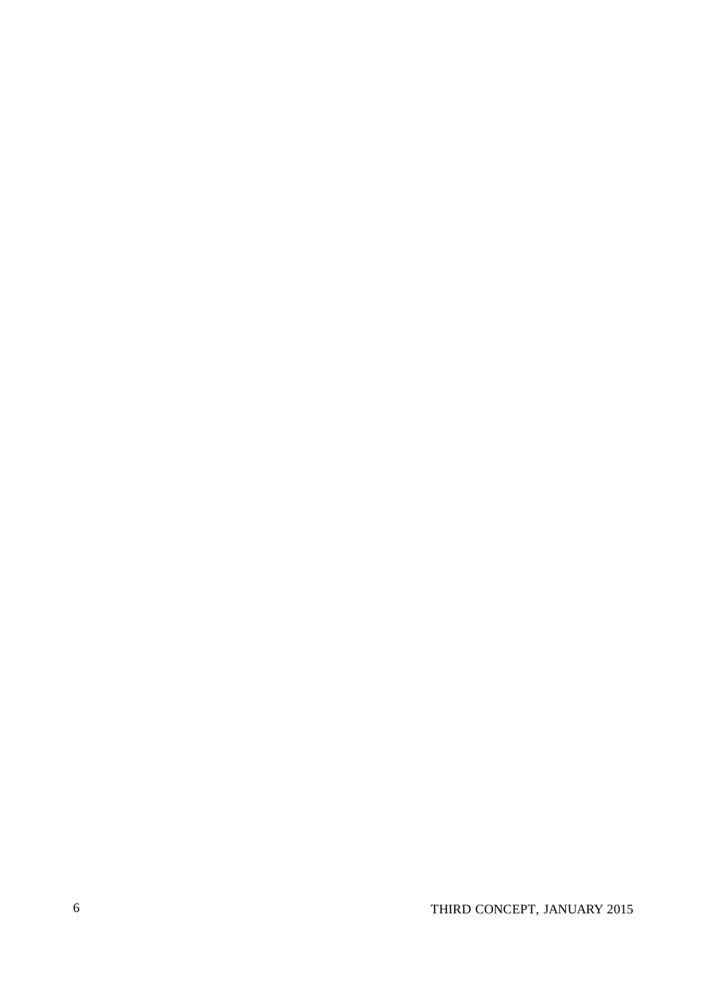THIRD CONCEPT, JANUARY 2015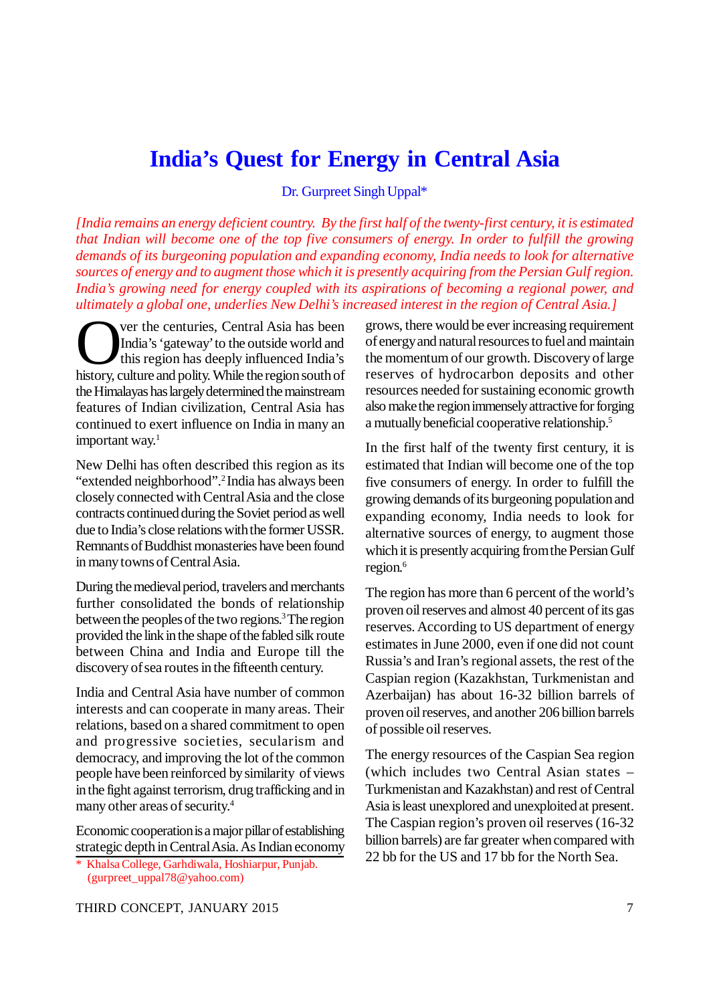# **India's Quest for Energy in Central Asia**

Dr. Gurpreet Singh Uppal\*

*[India remains an energy deficient country. By the first half of the twenty-first century, it is estimated that Indian will become one of the top five consumers of energy. In order to fulfill the growing demands of its burgeoning population and expanding economy, India needs to look for alternative sources of energy and to augment those which it is presently acquiring from the Persian Gulf region. India's growing need for energy coupled with its aspirations of becoming a regional power, and ultimately a global one, underlies New Delhi's increased interest in the region of Central Asia.]*

Ver the centuries, Central Asia has been<br>India's 'gateway' to the outside world and<br>this region has deeply influenced India's<br>history, culture and polity. While the region south of ver the centuries, Central Asia has been India's 'gateway' to the outside world and this region has deeply influenced India's the Himalayas has largely determined the mainstream features of Indian civilization, Central Asia has continued to exert influence on India in many an important way. $<sup>1</sup>$ </sup>

New Delhi has often described this region as its "extended neighborhood".<sup>2</sup>India has always been closely connected with Central Asia and the close contracts continued during the Soviet period as well due to India's close relations with the former USSR. Remnants of Buddhist monasteries have been found in many towns of Central Asia.

During the medieval period, travelers and merchants further consolidated the bonds of relationship between the peoples of the two regions.<sup>3</sup> The region provided the link in the shape of the fabled silk route between China and India and Europe till the discovery of sea routes in the fifteenth century.

India and Central Asia have number of common interests and can cooperate in many areas. Their relations, based on a shared commitment to open and progressive societies, secularism and democracy, and improving the lot of the common people have been reinforced by similarity of views in the fight against terrorism, drug trafficking and in many other areas of security.<sup>4</sup>

Economic cooperation is a major pillar of establishing strategic depth in Central Asia. As Indian economy

\* Khalsa College, Garhdiwala, Hoshiarpur, Punjab. (gurpreet\_uppal78@yahoo.com)

grows, there would be ever increasing requirement of energy and natural resources to fuel and maintain the momentum of our growth. Discovery of large reserves of hydrocarbon deposits and other resources needed for sustaining economic growth also make the region immensely attractive for forging a mutually beneficial cooperative relationship.<sup>5</sup>

In the first half of the twenty first century, it is estimated that Indian will become one of the top five consumers of energy. In order to fulfill the growing demands of its burgeoning population and expanding economy, India needs to look for alternative sources of energy, to augment those which it is presently acquiring from the Persian Gulf region.<sup>6</sup>

The region has more than 6 percent of the world's proven oil reserves and almost 40 percent of its gas reserves. According to US department of energy estimates in June 2000, even if one did not count Russia's and Iran's regional assets, the rest of the Caspian region (Kazakhstan, Turkmenistan and Azerbaijan) has about 16-32 billion barrels of proven oil reserves, and another 206 billion barrels of possible oil reserves.

The energy resources of the Caspian Sea region (which includes two Central Asian states – Turkmenistan and Kazakhstan) and rest of Central Asia is least unexplored and unexploited at present. The Caspian region's proven oil reserves (16-32 billion barrels) are far greater when compared with 22 bb for the US and 17 bb for the North Sea.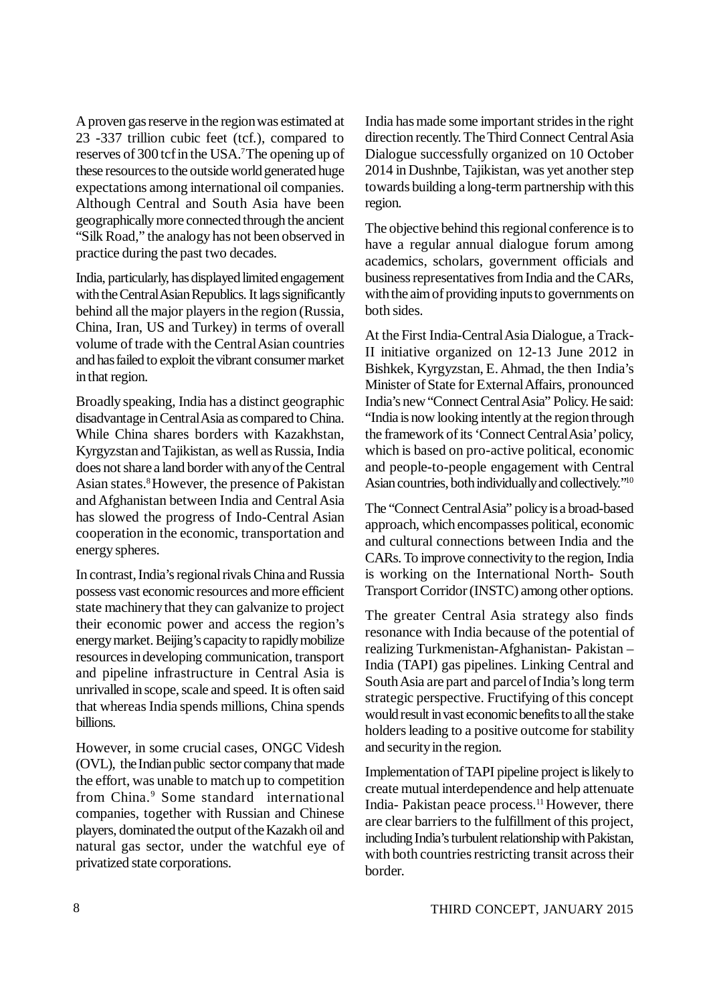A proven gas reserve in the region was estimated at 23 -337 trillion cubic feet (tcf.), compared to reserves of 300 tcf in the USA.<sup>7</sup>The opening up of these resources to the outside world generated huge expectations among international oil companies. Although Central and South Asia have been geographically more connected through the ancient "Silk Road," the analogy has not been observed in practice during the past two decades.

India, particularly, has displayed limited engagement with the Central Asian Republics. It lags significantly behind all the major players in the region (Russia, China, Iran, US and Turkey) in terms of overall volume of trade with the Central Asian countries and has failed to exploit the vibrant consumer market in that region.

Broadly speaking, India has a distinct geographic disadvantage in Central Asia as compared to China. While China shares borders with Kazakhstan, Kyrgyzstan and Tajikistan, as well as Russia, India does not share a land border with any of the Central Asian states.<sup>8</sup>However, the presence of Pakistan and Afghanistan between India and Central Asia has slowed the progress of Indo-Central Asian cooperation in the economic, transportation and energy spheres.

In contrast, India's regional rivals China and Russia possess vast economic resources and more efficient state machinery that they can galvanize to project their economic power and access the region's energy market. Beijing's capacity to rapidly mobilize resources in developing communication, transport and pipeline infrastructure in Central Asia is unrivalled in scope, scale and speed. It is often said that whereas India spends millions, China spends billions.

However, in some crucial cases, ONGC Videsh (OVL), the Indian public sector company that made the effort, was unable to match up to competition from China.<sup>9</sup> Some standard international companies, together with Russian and Chinese players, dominated the output of the Kazakh oil and natural gas sector, under the watchful eye of privatized state corporations.

India has made some important strides in the right direction recently. The Third Connect Central Asia Dialogue successfully organized on 10 October 2014 in Dushnbe, Tajikistan, was yet another step towards building a long-term partnership with this region.

The objective behind this regional conference is to have a regular annual dialogue forum among academics, scholars, government officials and business representatives from India and the CARs, with the aim of providing inputs to governments on both sides.

At the First India-Central Asia Dialogue, a Track-II initiative organized on 12-13 June 2012 in Bishkek, Kyrgyzstan, E. Ahmad, the then India's Minister of State for External Affairs, pronounced India's new "Connect Central Asia" Policy. He said: "India is now looking intently at the region through the framework of its 'Connect Central Asia' policy, which is based on pro-active political, economic and people-to-people engagement with Central Asian countries, both individually and collectively."<sup>10</sup>

The "Connect Central Asia" policy is a broad-based approach, which encompasses political, economic and cultural connections between India and the CARs. To improve connectivity to the region, India is working on the International North- South Transport Corridor (INSTC) among other options.

The greater Central Asia strategy also finds resonance with India because of the potential of realizing Turkmenistan-Afghanistan- Pakistan – India (TAPI) gas pipelines. Linking Central and South Asia are part and parcel of India's long term strategic perspective. Fructifying of this concept would result in vast economic benefits to all the stake holders leading to a positive outcome for stability and security in the region.

Implementation of TAPI pipeline project is likely to create mutual interdependence and help attenuate India- Pakistan peace process.<sup>11</sup> However, there are clear barriers to the fulfillment of this project, including India's turbulent relationship with Pakistan, with both countries restricting transit across their border.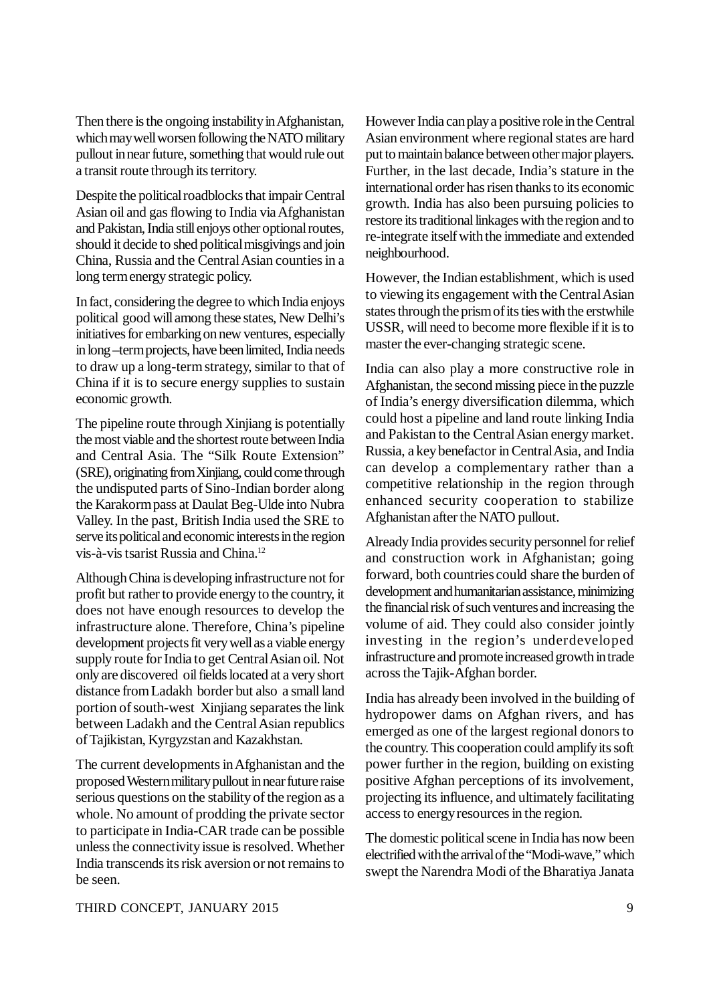Then there is the ongoing instability in Afghanistan, which may well worsen following the NATO military pullout in near future, something that would rule out a transit route through its territory.

Despite the political roadblocks that impair Central Asian oil and gas flowing to India via Afghanistan and Pakistan, India still enjoys other optional routes, should it decide to shed political misgivings and join China, Russia and the Central Asian counties in a long term energy strategic policy.

In fact, considering the degree to which India enjoys political good will among these states, New Delhi's initiatives for embarking on new ventures, especially in long –term projects, have been limited, India needs to draw up a long-term strategy, similar to that of China if it is to secure energy supplies to sustain economic growth.

The pipeline route through Xinjiang is potentially the most viable and the shortest route between India and Central Asia. The "Silk Route Extension" (SRE), originating from Xinjiang, could come through the undisputed parts of Sino-Indian border along the Karakorm pass at Daulat Beg-Ulde into Nubra Valley. In the past, British India used the SRE to serve its political and economic interests in the region vis-à-vis tsarist Russia and China.<sup>12</sup>

Although China is developing infrastructure not for profit but rather to provide energy to the country, it does not have enough resources to develop the infrastructure alone. Therefore, China's pipeline development projects fit very well as a viable energy supply route for India to get Central Asian oil. Not only are discovered oil fields located at a very short distance from Ladakh border but also a small land portion of south-west Xinjiang separates the link between Ladakh and the Central Asian republics of Tajikistan, Kyrgyzstan and Kazakhstan.

The current developments in Afghanistan and the proposed Western military pullout in near future raise serious questions on the stability of the region as a whole. No amount of prodding the private sector to participate in India-CAR trade can be possible unless the connectivity issue is resolved. Whether India transcends its risk aversion or not remains to be seen.

However India can play a positive role in the Central Asian environment where regional states are hard put to maintain balance between other major players. Further, in the last decade, India's stature in the international order has risen thanks to its economic growth. India has also been pursuing policies to restore its traditional linkages with the region and to re-integrate itself with the immediate and extended neighbourhood.

However, the Indian establishment, which is used to viewing its engagement with the Central Asian states through the prism of its ties with the erstwhile USSR, will need to become more flexible if it is to master the ever-changing strategic scene.

India can also play a more constructive role in Afghanistan, the second missing piece in the puzzle of India's energy diversification dilemma, which could host a pipeline and land route linking India and Pakistan to the Central Asian energy market. Russia, a key benefactor in Central Asia, and India can develop a complementary rather than a competitive relationship in the region through enhanced security cooperation to stabilize Afghanistan after the NATO pullout.

Already India provides security personnel for relief and construction work in Afghanistan; going forward, both countries could share the burden of development and humanitarian assistance, minimizing the financial risk of such ventures and increasing the volume of aid. They could also consider jointly investing in the region's underdeveloped infrastructure and promote increased growth in trade across the Tajik-Afghan border.

India has already been involved in the building of hydropower dams on Afghan rivers, and has emerged as one of the largest regional donors to the country. This cooperation could amplify its soft power further in the region, building on existing positive Afghan perceptions of its involvement, projecting its influence, and ultimately facilitating access to energy resources in the region.

The domestic political scene in India has now been electrified with the arrival of the "Modi-wave," which swept the Narendra Modi of the Bharatiya Janata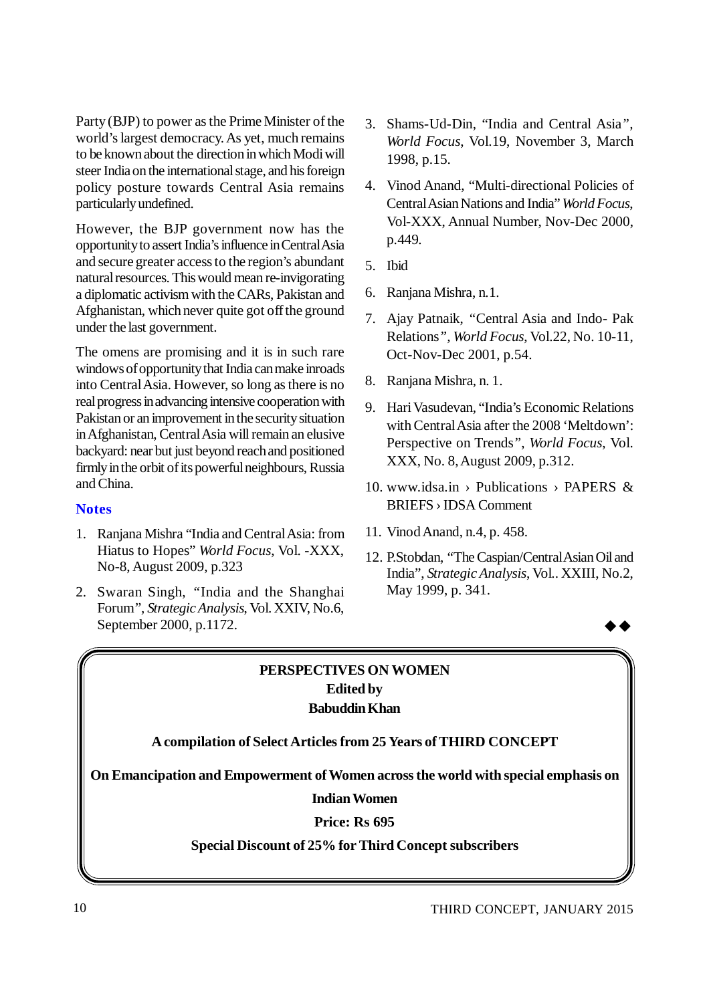Party (BJP) to power as the Prime Minister of the world's largest democracy. As yet, much remains to be known about the direction in which Modi will steer India on the international stage, and his foreign policy posture towards Central Asia remains particularly undefined.

However, the BJP government now has the opportunity to assert India's influence in Central Asia and secure greater access to the region's abundant natural resources. This would mean re-invigorating a diplomatic activism with the CARs, Pakistan and Afghanistan, which never quite got off the ground under the last government.

The omens are promising and it is in such rare windows of opportunity that India can make inroads into Central Asia. However, so long as there is no real progress in advancing intensive cooperation with Pakistan or an improvement in the security situation in Afghanistan, Central Asia will remain an elusive backyard: near but just beyond reach and positioned firmly in the orbit of its powerful neighbours, Russia and China.

### **Notes**

- 1. Ranjana Mishra "India and Central Asia: from Hiatus to Hopes" *World Focus*, Vol. -XXX, No-8, August 2009, p.323
- 2. Swaran Singh, *"*India and the Shanghai Forum*", Strategic Analysis*, Vol. XXIV, No.6, September 2000, p.1172.
- 3. Shams-Ud-Din, "India and Central Asia*", World Focus*, Vol.19, November 3, March 1998, p.15.
- 4. Vinod Anand, "Multi-directional Policies of Central Asian Nations and India" *World Focus*, Vol-XXX, Annual Number, Nov-Dec 2000, p.449*.*
- 5. Ibid
- 6. Ranjana Mishra, n.1.
- 7. Ajay Patnaik, *"*Central Asia and Indo- Pak Relations*", World Focus*, Vol.22, No. 10-11, Oct-Nov-Dec 2001, p.54.
- 8. Ranjana Mishra, n. 1.
- 9. Hari Vasudevan, "India's Economic Relations with Central Asia after the 2008 'Meltdown': Perspective on Trends*"*, *World Focus*, Vol. XXX, No. 8, August 2009, p.312.
- 10. www.idsa.in > Publications > PAPERS & BRIEFS › IDSA Comment
- 11. Vinod Anand, n.4, p. 458.
- 12. P.Stobdan, *"*The Caspian/Central Asian Oil and India", *Strategic Analysis*, Vol.. XXIII, No.2, May 1999, p. 341.

 $\rightarrow \rightarrow$ 

# **PERSPECTIVES ON WOMEN Edited by Babuddin Khan**

**A compilation of Select Articles from 25 Years of THIRD CONCEPT**

**On Emancipation and Empowerment of Women across the world with special emphasis on**

**Indian Women**

**Price: Rs 695**

**Special Discount of 25% for Third Concept subscribers**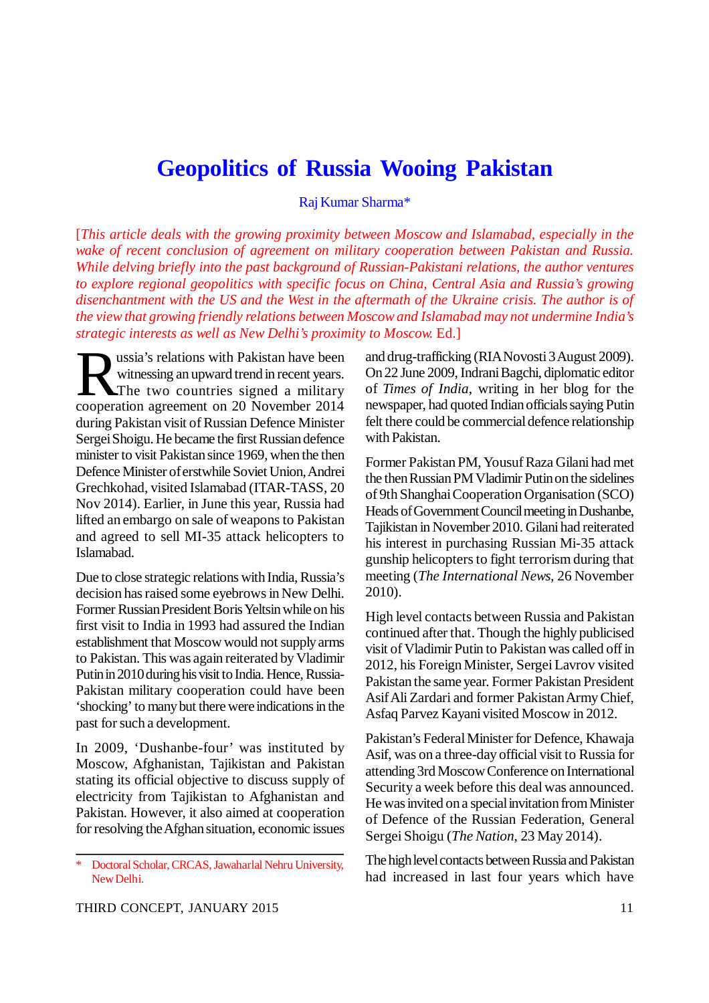# **Geopolitics of Russia Wooing Pakistan**

Raj Kumar Sharma\*

[*This article deals with the growing proximity between Moscow and Islamabad, especially in the wake of recent conclusion of agreement on military cooperation between Pakistan and Russia. While delving briefly into the past background of Russian-Pakistani relations, the author ventures to explore regional geopolitics with specific focus on China, Central Asia and Russia's growing disenchantment with the US and the West in the aftermath of the Ukraine crisis. The author is of the view that growing friendly relations between Moscow and Islamabad may not undermine India's strategic interests as well as New Delhi's proximity to Moscow.* Ed.]

**R** ussia's relations with Pakistan have been<br>witnessing an upward trend in recent years.<br>The two countries signed a military<br>cooperation agreement on 20 November 2014 ussia's relations with Pakistan have been witnessing an upward trend in recent years. The two countries signed a military during Pakistan visit of Russian Defence Minister Sergei Shoigu. He became the first Russian defence minister to visit Pakistan since 1969, when the then Defence Minister of erstwhile Soviet Union, Andrei Grechkohad, visited Islamabad (ITAR-TASS, 20 Nov 2014). Earlier, in June this year, Russia had lifted an embargo on sale of weapons to Pakistan and agreed to sell MI-35 attack helicopters to Islamabad.

Due to close strategic relations with India, Russia's decision has raised some eyebrows in New Delhi. Former Russian President Boris Yeltsin while on his first visit to India in 1993 had assured the Indian establishment that Moscow would not supply arms to Pakistan. This was again reiterated by Vladimir Putin in 2010 during his visit to India. Hence, Russia-Pakistan military cooperation could have been 'shocking' to many but there were indications in the past for such a development.

In 2009, 'Dushanbe-four' was instituted by Moscow, Afghanistan, Tajikistan and Pakistan stating its official objective to discuss supply of electricity from Tajikistan to Afghanistan and Pakistan. However, it also aimed at cooperation for resolving the Afghan situation, economic issues

and drug-trafficking (RIA Novosti 3 August 2009). On 22 June 2009, Indrani Bagchi, diplomatic editor of *Times of India*, writing in her blog for the newspaper, had quoted Indian officials saying Putin felt there could be commercial defence relationship with Pakistan.

Former Pakistan PM, Yousuf Raza Gilani had met the then Russian PM Vladimir Putin on the sidelines of 9th Shanghai Cooperation Organisation (SCO) Heads of Government Council meeting in Dushanbe, Tajikistan in November 2010. Gilani had reiterated his interest in purchasing Russian Mi-35 attack gunship helicopters to fight terrorism during that meeting (*The International News*, 26 November 2010).

High level contacts between Russia and Pakistan continued after that. Though the highly publicised visit of Vladimir Putin to Pakistan was called off in 2012, his Foreign Minister, Sergei Lavrov visited Pakistan the same year. Former Pakistan President Asif Ali Zardari and former Pakistan Army Chief, Asfaq Parvez Kayani visited Moscow in 2012.

Pakistan's Federal Minister for Defence, Khawaja Asif, was on a three-day official visit to Russia for attending 3rd Moscow Conference on International Security a week before this deal was announced. He was invited on a special invitation from Minister of Defence of the Russian Federation, General Sergei Shoigu (*The Nation*, 23 May 2014).

The high level contacts between Russia and Pakistan had increased in last four years which have

<sup>\*</sup> Doctoral Scholar, CRCAS, Jawaharlal Nehru University, New Delhi.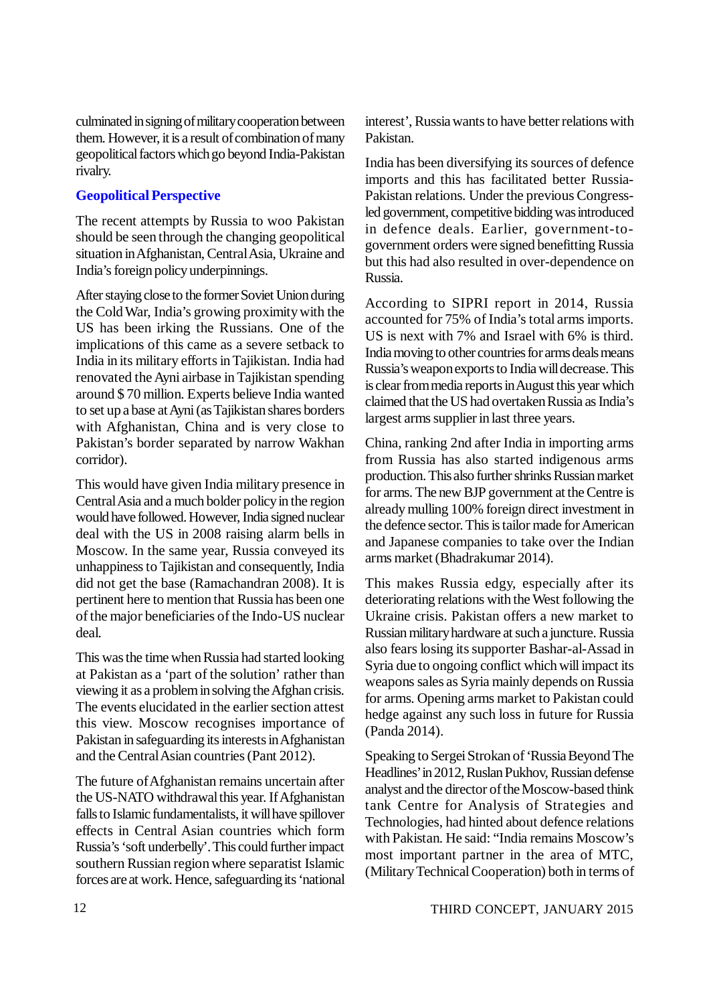culminated in signing of military cooperation between them. However, it is a result of combination of many geopolitical factors which go beyond India-Pakistan rivalry.

### **Geopolitical Perspective**

The recent attempts by Russia to woo Pakistan should be seen through the changing geopolitical situation in Afghanistan, Central Asia, Ukraine and India's foreign policy underpinnings.

After staying close to the former Soviet Union during the Cold War, India's growing proximity with the US has been irking the Russians. One of the implications of this came as a severe setback to India in its military efforts in Tajikistan. India had renovated the Ayni airbase in Tajikistan spending around \$ 70 million. Experts believe India wanted to set up a base at Ayni (as Tajikistan shares borders with Afghanistan, China and is very close to Pakistan's border separated by narrow Wakhan corridor).

This would have given India military presence in Central Asia and a much bolder policy in the region would have followed. However, India signed nuclear deal with the US in 2008 raising alarm bells in Moscow. In the same year, Russia conveyed its unhappiness to Tajikistan and consequently, India did not get the base (Ramachandran 2008). It is pertinent here to mention that Russia has been one of the major beneficiaries of the Indo-US nuclear deal.

This was the time when Russia had started looking at Pakistan as a 'part of the solution' rather than viewing it as a problem in solving the Afghan crisis. The events elucidated in the earlier section attest this view. Moscow recognises importance of Pakistan in safeguarding its interests in Afghanistan and the Central Asian countries (Pant 2012).

The future of Afghanistan remains uncertain after the US-NATO withdrawal this year. If Afghanistan falls to Islamic fundamentalists, it will have spillover effects in Central Asian countries which form Russia's 'soft underbelly'. This could further impact southern Russian region where separatist Islamic forces are at work. Hence, safeguarding its 'national interest', Russia wants to have better relations with Pakistan.

India has been diversifying its sources of defence imports and this has facilitated better Russia-Pakistan relations. Under the previous Congressled government, competitive bidding was introduced in defence deals. Earlier, government-togovernment orders were signed benefitting Russia but this had also resulted in over-dependence on Russia.

According to SIPRI report in 2014, Russia accounted for 75% of India's total arms imports. US is next with 7% and Israel with 6% is third. India moving to other countries for arms deals means Russia's weapon exports to India will decrease. This is clear from media reports in August this year which claimed that the US had overtaken Russia as India's largest arms supplier in last three years.

China, ranking 2nd after India in importing arms from Russia has also started indigenous arms production. This also further shrinks Russian market for arms. The new BJP government at the Centre is already mulling 100% foreign direct investment in the defence sector. This is tailor made for American and Japanese companies to take over the Indian arms market (Bhadrakumar 2014).

This makes Russia edgy, especially after its deteriorating relations with the West following the Ukraine crisis. Pakistan offers a new market to Russian military hardware at such a juncture. Russia also fears losing its supporter Bashar-al-Assad in Syria due to ongoing conflict which will impact its weapons sales as Syria mainly depends on Russia for arms. Opening arms market to Pakistan could hedge against any such loss in future for Russia (Panda 2014).

Speaking to Sergei Strokan of 'Russia Beyond The Headlines' in 2012, Ruslan Pukhov, Russian defense analyst and the director of the Moscow-based think tank Centre for Analysis of Strategies and Technologies, had hinted about defence relations with Pakistan. He said: "India remains Moscow's most important partner in the area of MTC, (Military Technical Cooperation) both in terms of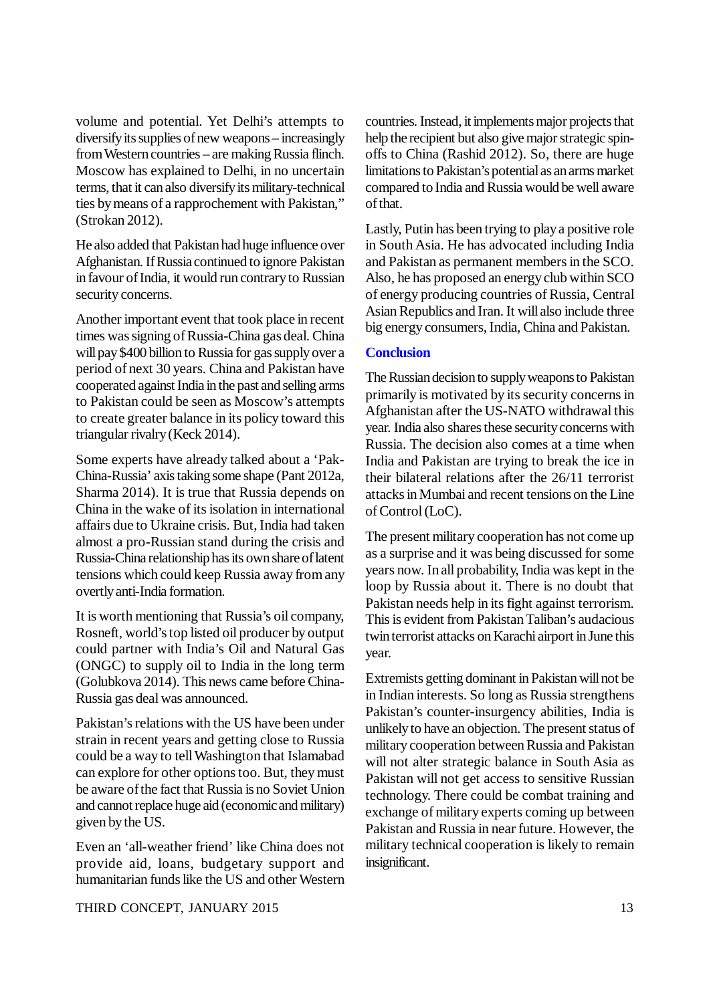volume and potential. Yet Delhi's attempts to diversify its supplies of new weapons – increasingly from Western countries – are making Russia flinch. Moscow has explained to Delhi, in no uncertain terms, that it can also diversify its military-technical ties by means of a rapprochement with Pakistan," (Strokan 2012).

He also added that Pakistan had huge influence over Afghanistan. If Russia continued to ignore Pakistan in favour of India, it would run contrary to Russian security concerns.

Another important event that took place in recent times was signing of Russia-China gas deal. China will pay \$400 billion to Russia for gas supply over a period of next 30 years. China and Pakistan have cooperated against India in the past and selling arms to Pakistan could be seen as Moscow's attempts to create greater balance in its policy toward this triangular rivalry (Keck 2014).

Some experts have already talked about a 'Pak-China-Russia' axis taking some shape (Pant 2012a, Sharma 2014). It is true that Russia depends on China in the wake of its isolation in international affairs due to Ukraine crisis. But, India had taken almost a pro-Russian stand during the crisis and Russia-China relationship has its own share of latent tensions which could keep Russia away from any overtly anti-India formation.

It is worth mentioning that Russia's oil company, Rosneft, world's top listed oil producer by output could partner with India's Oil and Natural Gas (ONGC) to supply oil to India in the long term (Golubkova 2014). This news came before China-Russia gas deal was announced.

Pakistan's relations with the US have been under strain in recent years and getting close to Russia could be a way to tell Washington that Islamabad can explore for other options too. But, they must be aware of the fact that Russia is no Soviet Union and cannot replace huge aid (economic and military) given by the US.

Even an 'all-weather friend' like China does not provide aid, loans, budgetary support and humanitarian funds like the US and other Western

THIRD CONCEPT, JANUARY 2015 13

countries. Instead, it implements major projects that help the recipient but also give major strategic spinoffs to China (Rashid 2012). So, there are huge limitations to Pakistan's potential as an arms market compared to India and Russia would be well aware of that.

Lastly, Putin has been trying to play a positive role in South Asia. He has advocated including India and Pakistan as permanent members in the SCO. Also, he has proposed an energy club within SCO of energy producing countries of Russia, Central Asian Republics and Iran. It will also include three big energy consumers, India, China and Pakistan.

#### **Conclusion**

The Russian decision to supply weapons to Pakistan primarily is motivated by its security concerns in Afghanistan after the US-NATO withdrawal this year. India also shares these security concerns with Russia. The decision also comes at a time when India and Pakistan are trying to break the ice in their bilateral relations after the 26/11 terrorist attacks in Mumbai and recent tensions on the Line of Control (LoC).

The present military cooperation has not come up as a surprise and it was being discussed for some years now. In all probability, India was kept in the loop by Russia about it. There is no doubt that Pakistan needs help in its fight against terrorism. This is evident from Pakistan Taliban's audacious twin terrorist attacks on Karachi airport in June this year.

Extremists getting dominant in Pakistan will not be in Indian interests. So long as Russia strengthens Pakistan's counter-insurgency abilities, India is unlikely to have an objection. The present status of military cooperation between Russia and Pakistan will not alter strategic balance in South Asia as Pakistan will not get access to sensitive Russian technology. There could be combat training and exchange of military experts coming up between Pakistan and Russia in near future. However, the military technical cooperation is likely to remain insignificant.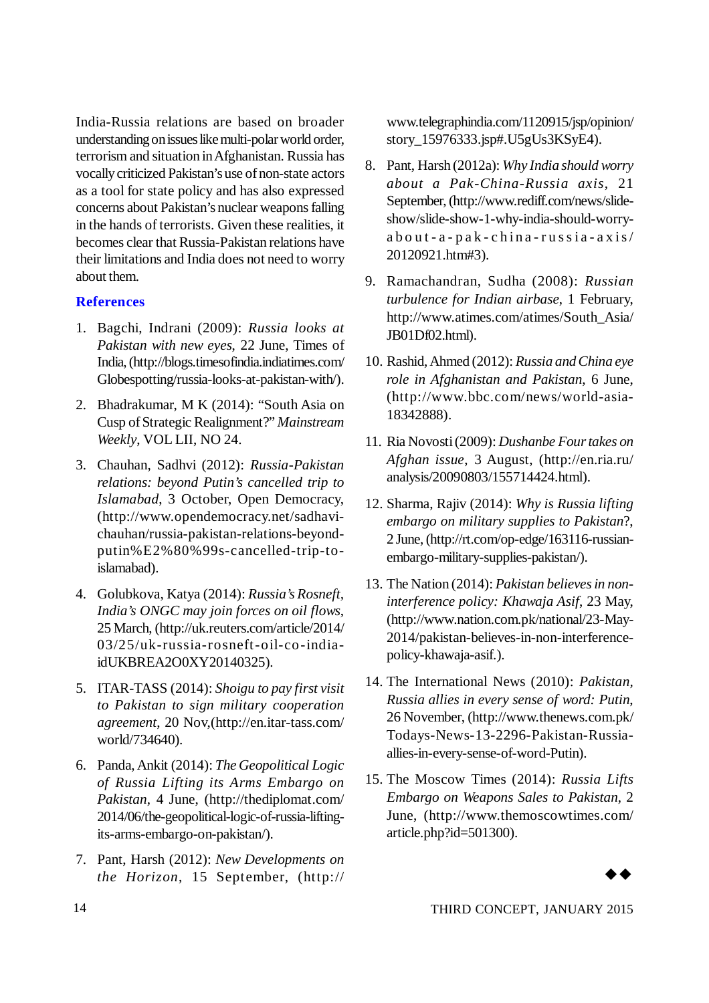India-Russia relations are based on broader understanding on issues like multi-polar world order, terrorism and situation in Afghanistan. Russia has vocally criticized Pakistan's use of non-state actors as a tool for state policy and has also expressed concerns about Pakistan's nuclear weapons falling in the hands of terrorists. Given these realities, it becomes clear that Russia-Pakistan relations have their limitations and India does not need to worry about them.

### **References**

- 1. Bagchi, Indrani (2009): *Russia looks at Pakistan with new eyes*, 22 June, Times of India, (http://blogs.timesofindia.indiatimes.com/ Globespotting/russia-looks-at-pakistan-with/).
- 2. Bhadrakumar, M K (2014): "South Asia on Cusp of Strategic Realignment?" *Mainstream Weekly*, VOL LII, NO 24.
- 3. Chauhan, Sadhvi (2012): *Russia-Pakistan relations: beyond Putin's cancelled trip to Islamabad*, 3 October, Open Democracy, (http://www.opendemocracy.net/sadhavichauhan/russia-pakistan-relations-beyondputin%E2%80%99s-cancelled-trip-toislamabad).
- 4. Golubkova, Katya (2014): *Russia's Rosneft, India's ONGC may join forces on oil flows*, 25 March, (http://uk.reuters.com/article/2014/ 03/25/uk-russia-rosneft-oil-co-indiaidUKBREA2O0XY20140325).
- 5. ITAR-TASS (2014): *Shoigu to pay first visit to Pakistan to sign military cooperation agreement*, 20 Nov,(http://en.itar-tass.com/ world/734640).
- 6. Panda, Ankit (2014): *The Geopolitical Logic of Russia Lifting its Arms Embargo on Pakistan*, 4 June, (http://thediplomat.com/ 2014/06/the-geopolitical-logic-of-russia-liftingits-arms-embargo-on-pakistan/).
- 7. Pant, Harsh (2012): *New Developments on the Horizon*, 15 September, (http://

www.telegraphindia.com/1120915/jsp/opinion/ story\_15976333.jsp#.U5gUs3KSyE4).

- 8. Pant, Harsh (2012a): *Why India should worry about a Pak-China-Russia axis*, 21 September, (http://www.rediff.com/news/slideshow/slide-show-1-why-india-should-worry $about-a-pak-china-russia-axis/$ 20120921.htm#3).
- 9. Ramachandran, Sudha (2008): *Russian turbulence for Indian airbase*, 1 February, http://www.atimes.com/atimes/South\_Asia/ JB01Df02.html).
- 10. Rashid, Ahmed (2012): *Russia and China eye role in Afghanistan and Pakistan*, 6 June, (http://www.bbc.com/news/world-asia-18342888).
- 11. Ria Novosti (2009): *Dushanbe Four takes on Afghan issue*, 3 August, (http://en.ria.ru/ analysis/20090803/155714424.html).
- 12. Sharma, Rajiv (2014): *Why is Russia lifting embargo on military supplies to Pakistan*?, 2 June, (http://rt.com/op-edge/163116-russianembargo-military-supplies-pakistan/).
- 13. The Nation (2014): *Pakistan believes in noninterference policy: Khawaja Asif*, 23 May, (http://www.nation.com.pk/national/23-May-2014/pakistan-believes-in-non-interferencepolicy-khawaja-asif.).
- 14. The International News (2010): *Pakistan, Russia allies in every sense of word: Putin*, 26 November, (http://www.thenews.com.pk/ Todays-News-13-2296-Pakistan-Russiaallies-in-every-sense-of-word-Putin).
- 15. The Moscow Times (2014): *Russia Lifts Embargo on Weapons Sales to Pakistan*, 2 June, (http://www.themoscowtimes.com/ article.php?id=501300).

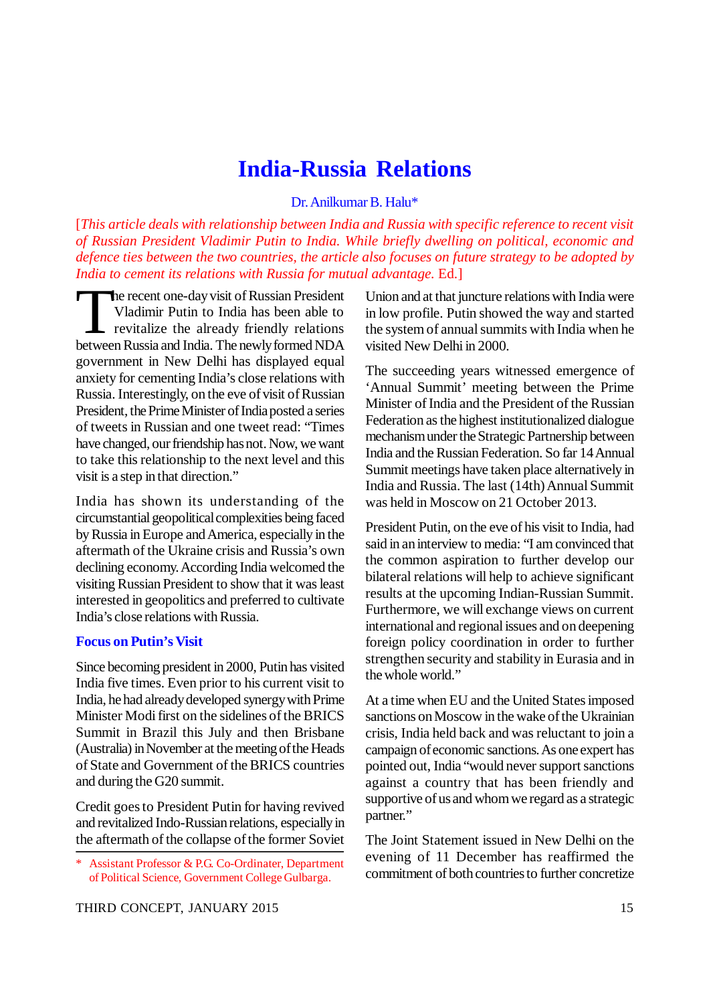# **India-Russia Relations**

Dr. Anilkumar B. Halu\*

[*This article deals with relationship between India and Russia with specific reference to recent visit of Russian President Vladimir Putin to India. While briefly dwelling on political, economic and defence ties between the two countries, the article also focuses on future strategy to be adopted by India to cement its relations with Russia for mutual advantage.* Ed.]

The recent one-day visit of Russian President<br>Vladimir Putin to India has been able to<br>revitalize the already friendly relations<br>between Russia and India. The newly formed NDA **he recent one-day visit of Russian President** Vladimir Putin to India has been able to revitalize the already friendly relations government in New Delhi has displayed equal anxiety for cementing India's close relations with Russia. Interestingly, on the eve of visit of Russian President, the Prime Minister of India posted a series of tweets in Russian and one tweet read: "Times have changed, our friendship has not. Now, we want to take this relationship to the next level and this visit is a step in that direction."

India has shown its understanding of the circumstantial geopolitical complexities being faced by Russia in Europe and America, especially in the aftermath of the Ukraine crisis and Russia's own declining economy. According India welcomed the visiting Russian President to show that it was least interested in geopolitics and preferred to cultivate India's close relations with Russia.

#### **Focus on Putin's Visit**

Since becoming president in 2000, Putin has visited India five times. Even prior to his current visit to India, he had already developed synergy with Prime Minister Modi first on the sidelines of the BRICS Summit in Brazil this July and then Brisbane (Australia) in November at the meeting of the Heads of State and Government of the BRICS countries and during the G20 summit.

Credit goes to President Putin for having revived and revitalized Indo-Russian relations, especially in the aftermath of the collapse of the former Soviet

Union and at that juncture relations with India were in low profile. Putin showed the way and started the system of annual summits with India when he visited New Delhi in 2000.

The succeeding years witnessed emergence of 'Annual Summit' meeting between the Prime Minister of India and the President of the Russian Federation as the highest institutionalized dialogue mechanism under the Strategic Partnership between India and the Russian Federation. So far 14 Annual Summit meetings have taken place alternatively in India and Russia. The last (14th) Annual Summit was held in Moscow on 21 October 2013.

President Putin, on the eve of his visit to India, had said in an interview to media: "I am convinced that the common aspiration to further develop our bilateral relations will help to achieve significant results at the upcoming Indian-Russian Summit. Furthermore, we will exchange views on current international and regional issues and on deepening foreign policy coordination in order to further strengthen security and stability in Eurasia and in the whole world."

At a time when EU and the United States imposed sanctions on Moscow in the wake of the Ukrainian crisis, India held back and was reluctant to join a campaign of economic sanctions. As one expert has pointed out, India "would never support sanctions against a country that has been friendly and supportive of us and whom we regard as a strategic partner."

The Joint Statement issued in New Delhi on the evening of 11 December has reaffirmed the commitment of both countries to further concretize

<sup>\*</sup> Assistant Professor & P.G. Co-Ordinater, Department of Political Science, Government College Gulbarga.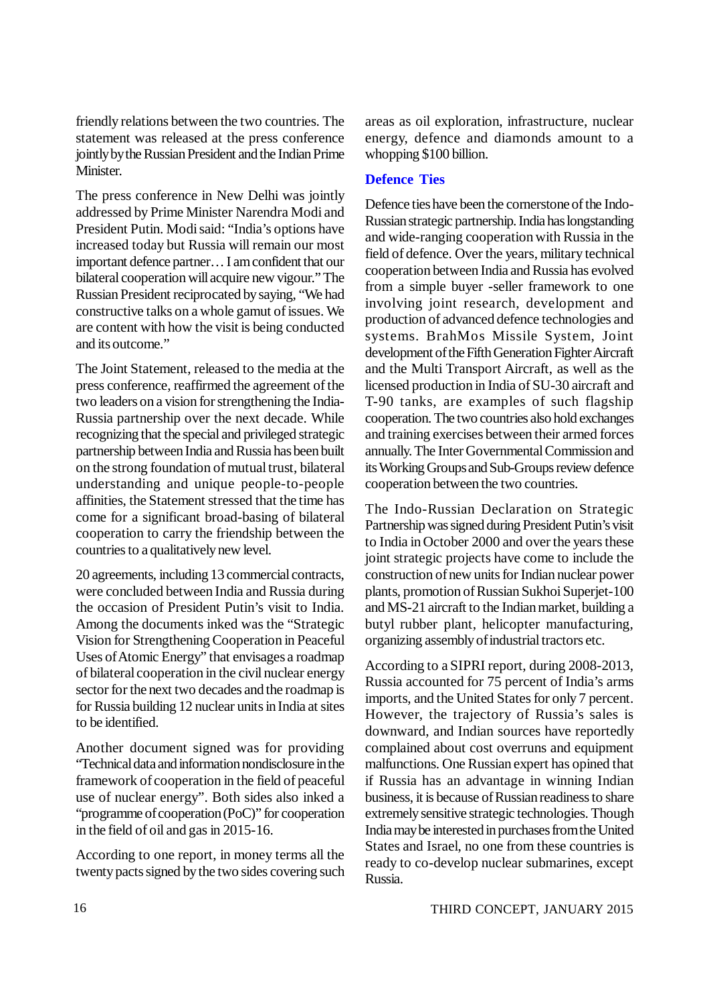friendly relations between the two countries. The statement was released at the press conference jointly by the Russian President and the Indian Prime Minister.

The press conference in New Delhi was jointly addressed by Prime Minister Narendra Modi and President Putin. Modi said: "India's options have increased today but Russia will remain our most important defence partner… I am confident that our bilateral cooperation will acquire new vigour." The Russian President reciprocated by saying, "We had constructive talks on a whole gamut of issues. We are content with how the visit is being conducted and its outcome."

The Joint Statement, released to the media at the press conference, reaffirmed the agreement of the two leaders on a vision for strengthening the India-Russia partnership over the next decade. While recognizing that the special and privileged strategic partnership between India and Russia has been built on the strong foundation of mutual trust, bilateral understanding and unique people-to-people affinities, the Statement stressed that the time has come for a significant broad-basing of bilateral cooperation to carry the friendship between the countries to a qualitatively new level.

20 agreements, including 13 commercial contracts, were concluded between India and Russia during the occasion of President Putin's visit to India. Among the documents inked was the "Strategic Vision for Strengthening Cooperation in Peaceful Uses of Atomic Energy" that envisages a roadmap of bilateral cooperation in the civil nuclear energy sector for the next two decades and the roadmap is for Russia building 12 nuclear units in India at sites to be identified.

Another document signed was for providing "Technical data and information nondisclosure in the framework of cooperation in the field of peaceful use of nuclear energy". Both sides also inked a "programme of cooperation (PoC)" for cooperation in the field of oil and gas in 2015-16.

According to one report, in money terms all the twenty pacts signed by the two sides covering such areas as oil exploration, infrastructure, nuclear energy, defence and diamonds amount to a whopping \$100 billion.

### **Defence Ties**

Defence ties have been the cornerstone of the Indo-Russian strategic partnership. India has longstanding and wide-ranging cooperation with Russia in the field of defence. Over the years, military technical cooperation between India and Russia has evolved from a simple buyer -seller framework to one involving joint research, development and production of advanced defence technologies and systems. BrahMos Missile System, Joint development of the Fifth Generation Fighter Aircraft and the Multi Transport Aircraft, as well as the licensed production in India of SU-30 aircraft and T-90 tanks, are examples of such flagship cooperation. The two countries also hold exchanges and training exercises between their armed forces annually. The Inter Governmental Commission and its Working Groups and Sub-Groups review defence cooperation between the two countries.

The Indo-Russian Declaration on Strategic Partnership was signed during President Putin's visit to India in October 2000 and over the years these joint strategic projects have come to include the construction of new units for Indian nuclear power plants, promotion of Russian Sukhoi Superjet-100 and MS-21 aircraft to the Indian market, building a butyl rubber plant, helicopter manufacturing, organizing assembly of industrial tractors etc.

According to a SIPRI report, during 2008-2013, Russia accounted for 75 percent of India's arms imports, and the United States for only 7 percent. However, the trajectory of Russia's sales is downward, and Indian sources have reportedly complained about cost overruns and equipment malfunctions. One Russian expert has opined that if Russia has an advantage in winning Indian business, it is because of Russian readiness to share extremely sensitive strategic technologies. Though India may be interested in purchases from the United States and Israel, no one from these countries is ready to co-develop nuclear submarines, except Russia.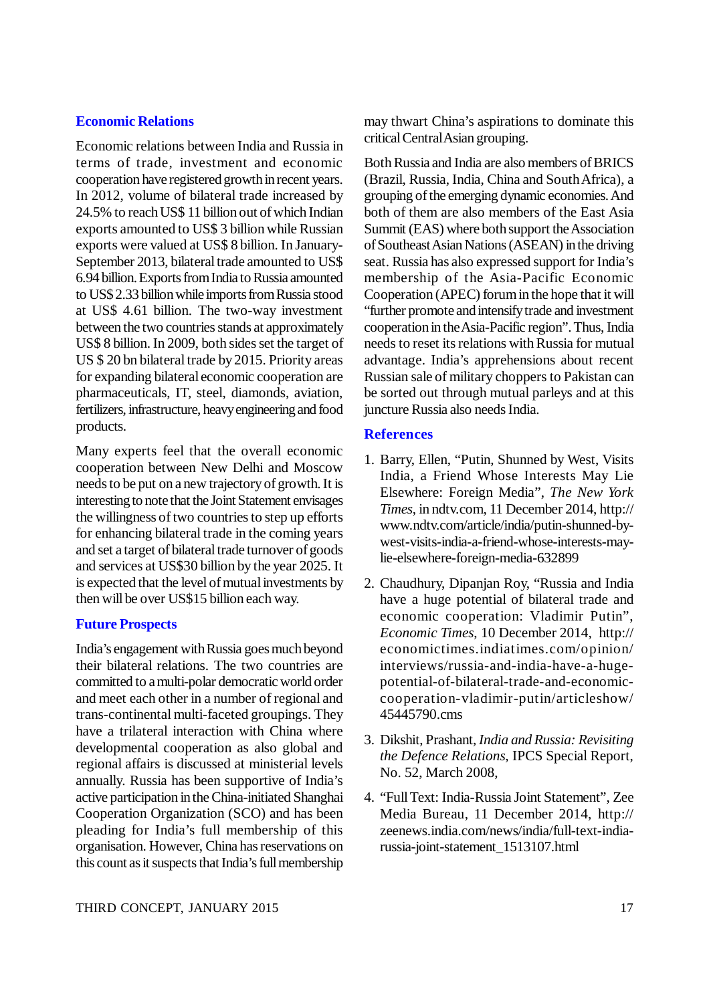#### **Economic Relations**

Economic relations between India and Russia in terms of trade, investment and economic cooperation have registered growth in recent years. In 2012, volume of bilateral trade increased by 24.5% to reach US\$ 11 billion out of which Indian exports amounted to US\$ 3 billion while Russian exports were valued at US\$ 8 billion. In January-September 2013, bilateral trade amounted to US\$ 6.94 billion. Exports from India to Russia amounted to US\$ 2.33 billion while imports from Russia stood at US\$ 4.61 billion. The two-way investment between the two countries stands at approximately US\$ 8 billion. In 2009, both sides set the target of US \$ 20 bn bilateral trade by 2015. Priority areas for expanding bilateral economic cooperation are pharmaceuticals, IT, steel, diamonds, aviation, fertilizers, infrastructure, heavy engineering and food products.

Many experts feel that the overall economic cooperation between New Delhi and Moscow needs to be put on a new trajectory of growth. It is interesting to note that the Joint Statement envisages the willingness of two countries to step up efforts for enhancing bilateral trade in the coming years and set a target of bilateral trade turnover of goods and services at US\$30 billion by the year 2025. It is expected that the level of mutual investments by then will be over US\$15 billion each way.

### **Future Prospects**

India's engagement with Russia goes much beyond their bilateral relations. The two countries are committed to a multi-polar democratic world order and meet each other in a number of regional and trans-continental multi-faceted groupings. They have a trilateral interaction with China where developmental cooperation as also global and regional affairs is discussed at ministerial levels annually. Russia has been supportive of India's active participation in the China-initiated Shanghai Cooperation Organization (SCO) and has been pleading for India's full membership of this organisation. However, China has reservations on this count as it suspects that India's full membership may thwart China's aspirations to dominate this critical Central Asian grouping.

Both Russia and India are also members of BRICS (Brazil, Russia, India, China and South Africa), a grouping of the emerging dynamic economies. And both of them are also members of the East Asia Summit (EAS) where both support the Association of Southeast Asian Nations (ASEAN) in the driving seat. Russia has also expressed support for India's membership of the Asia-Pacific Economic Cooperation (APEC) forum in the hope that it will "further promote and intensify trade and investment cooperation in the Asia-Pacific region". Thus, India needs to reset its relations with Russia for mutual advantage. India's apprehensions about recent Russian sale of military choppers to Pakistan can be sorted out through mutual parleys and at this juncture Russia also needs India.

#### **References**

- 1. Barry, Ellen, "Putin, Shunned by West, Visits India, a Friend Whose Interests May Lie Elsewhere: Foreign Media", *The New York Times*, in ndtv.com, 11 December 2014, http:// www.ndtv.com/article/india/putin-shunned-bywest-visits-india-a-friend-whose-interests-maylie-elsewhere-foreign-media-632899
- 2. Chaudhury, Dipanjan Roy, "Russia and India have a huge potential of bilateral trade and economic cooperation: Vladimir Putin", *Economic Times*, 10 December 2014, http:// economictimes.indiatimes.com/opinion/ interviews/russia-and-india-have-a-hugepotential-of-bilateral-trade-and-economiccooperation-vladimir-putin/articleshow/ 45445790.cms
- 3. Dikshit, Prashant, *India and Russia: Revisiting the Defence Relations*, IPCS Special Report, No. 52, March 2008,
- 4. "Full Text: India-Russia Joint Statement", Zee Media Bureau, 11 December 2014, http:// zeenews.india.com/news/india/full-text-indiarussia-joint-statement\_1513107.html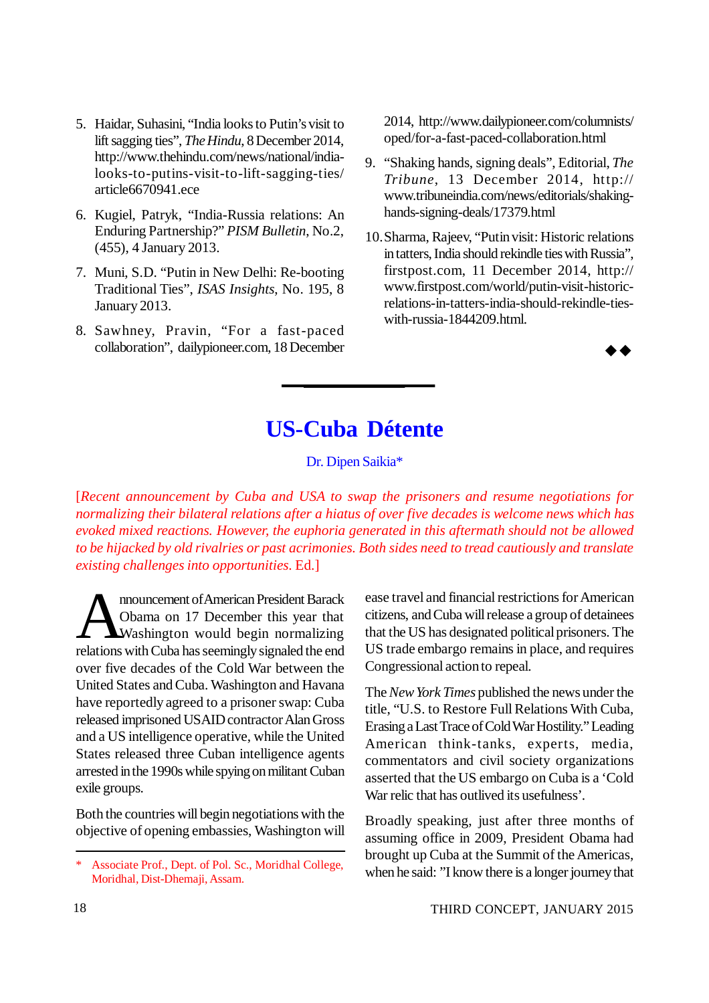- 5. Haidar, Suhasini, "India looks to Putin's visit to lift sagging ties", *The Hindu*, 8 December 2014, http://www.thehindu.com/news/national/indialooks-to-putins-visit-to-lift-sagging-ties/ article6670941.ece
- 6. Kugiel, Patryk, "India-Russia relations: An Enduring Partnership?" *PISM Bulletin*, No.2, (455), 4 January 2013.
- 7. Muni, S.D. "Putin in New Delhi: Re-booting Traditional Ties", *ISAS Insights*, No. 195, 8 January 2013.
- 8. Sawhney, Pravin, "For a fast-paced collaboration", dailypioneer.com, 18 December

2014, http://www.dailypioneer.com/columnists/ oped/for-a-fast-paced-collaboration.html

- 9. "Shaking hands, signing deals", Editorial, *The Tribune*, 13 December 2014, http:// www.tribuneindia.com/news/editorials/shakinghands-signing-deals/17379.html
- 10.Sharma, Rajeev, "Putin visit: Historic relations in tatters, India should rekindle ties with Russia", firstpost.com, 11 December 2014, http:// www.firstpost.com/world/putin-visit-historicrelations-in-tatters-india-should-rekindle-tieswith-russia-1844209.html.



# **US-Cuba Détente**

### Dr. Dipen Saikia\*

[*Recent announcement by Cuba and USA to swap the prisoners and resume negotiations for normalizing their bilateral relations after a hiatus of over five decades is welcome news which has evoked mixed reactions. However, the euphoria generated in this aftermath should not be allowed to be hijacked by old rivalries or past acrimonies. Both sides need to tread cautiously and translate existing challenges into opportunities*. Ed.]

mouncement of American President Barack<br>Obama on 17 December this year that<br>Washington would begin normalizing<br>relations with Cuba has seemingly signaled the end nnouncement of American President Barack Obama on 17 December this year that Washington would begin normalizing over five decades of the Cold War between the United States and Cuba. Washington and Havana have reportedly agreed to a prisoner swap: Cuba released imprisoned USAID contractor Alan Gross and a US intelligence operative, while the United States released three Cuban intelligence agents arrested in the 1990s while spying on militant Cuban exile groups.

Both the countries will begin negotiations with the objective of opening embassies, Washington will ease travel and financial restrictions for American citizens, and Cuba will release a group of detainees that the US has designated political prisoners. The US trade embargo remains in place, and requires Congressional action to repeal.

The *New York Times* published the news under the title, "U.S. to Restore Full Relations With Cuba, Erasing a Last Trace of Cold War Hostility." Leading American think-tanks, experts, media, commentators and civil society organizations asserted that the US embargo on Cuba is a 'Cold War relic that has outlived its usefulness'.

Broadly speaking, just after three months of assuming office in 2009, President Obama had brought up Cuba at the Summit of the Americas, when he said: "I know there is a longer journey that

Associate Prof., Dept. of Pol. Sc., Moridhal College, Moridhal, Dist-Dhemaji, Assam.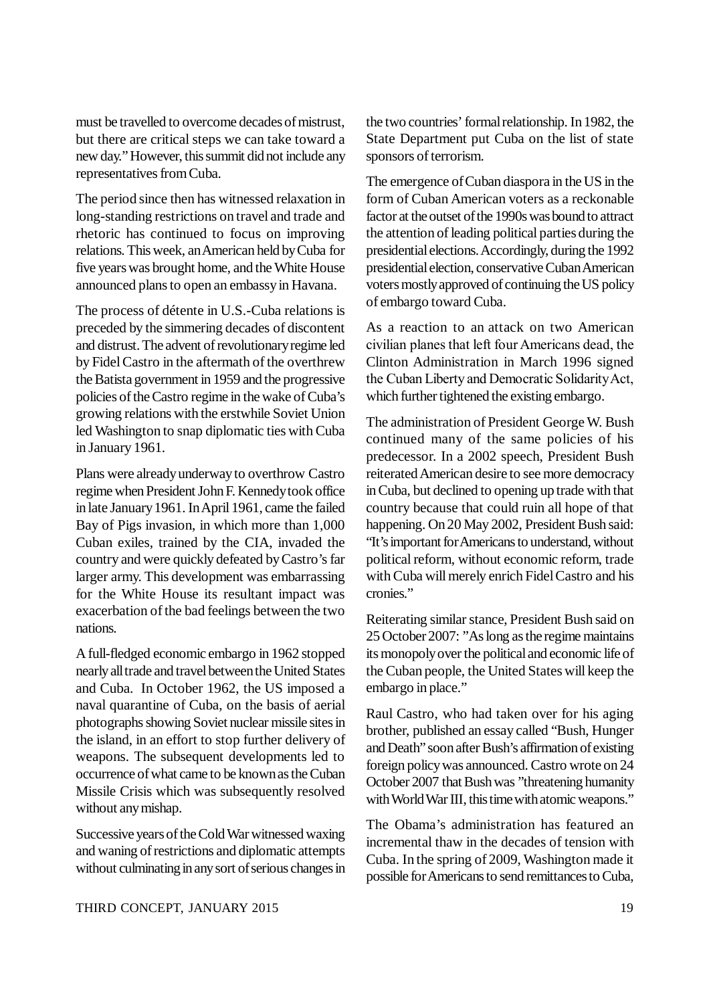must be travelled to overcome decades of mistrust, but there are critical steps we can take toward a new day." However, this summit did not include any representatives from Cuba.

The period since then has witnessed relaxation in long-standing restrictions on travel and trade and rhetoric has continued to focus on improving relations. This week, an American held by Cuba for five years was brought home, and the White House announced plans to open an embassy in Havana.

The process of détente in U.S.-Cuba relations is preceded by the simmering decades of discontent and distrust. The advent of revolutionary regime led by Fidel Castro in the aftermath of the overthrew the Batista government in 1959 and the progressive policies of the Castro regime in the wake of Cuba's growing relations with the erstwhile Soviet Union led Washington to snap diplomatic ties with Cuba in January 1961.

Plans were already underway to overthrow Castro regime when President John F. Kennedy took office in late January 1961. In April 1961, came the failed Bay of Pigs invasion, in which more than 1,000 Cuban exiles, trained by the CIA, invaded the country and were quickly defeated by Castro's far larger army. This development was embarrassing for the White House its resultant impact was exacerbation of the bad feelings between the two nations.

A full-fledged economic embargo in 1962 stopped nearly all trade and travel between the United States and Cuba. In October 1962, the US imposed a naval quarantine of Cuba, on the basis of aerial photographs showing Soviet nuclear missile sites in the island, in an effort to stop further delivery of weapons. The subsequent developments led to occurrence of what came to be known as the Cuban Missile Crisis which was subsequently resolved without any mishap.

Successive years of the Cold War witnessed waxing and waning of restrictions and diplomatic attempts without culminating in any sort of serious changes in the two countries' formal relationship. In 1982, the State Department put Cuba on the list of state sponsors of terrorism.

The emergence of Cuban diaspora in the US in the form of Cuban American voters as a reckonable factor at the outset of the 1990s was bound to attract the attention of leading political parties during the presidential elections. Accordingly, during the 1992 presidential election, conservative Cuban American voters mostly approved of continuing the US policy of embargo toward Cuba.

As a reaction to an attack on two American civilian planes that left four Americans dead, the Clinton Administration in March 1996 signed the Cuban Liberty and Democratic Solidarity Act, which further tightened the existing embargo.

The administration of President George W. Bush continued many of the same policies of his predecessor. In a 2002 speech, President Bush reiterated American desire to see more democracy in Cuba, but declined to opening up trade with that country because that could ruin all hope of that happening. On 20 May 2002, President Bush said: "It's important for Americans to understand, without political reform, without economic reform, trade with Cuba will merely enrich Fidel Castro and his cronies."

Reiterating similar stance, President Bush said on 25 October 2007: "As long as the regime maintains its monopoly over the political and economic life of the Cuban people, the United States will keep the embargo in place."

Raul Castro, who had taken over for his aging brother, published an essay called "Bush, Hunger and Death" soon after Bush's affirmation of existing foreign policy was announced. Castro wrote on 24 October 2007 that Bush was "threatening humanity with World War III, this time with atomic weapons."

The Obama's administration has featured an incremental thaw in the decades of tension with Cuba. In the spring of 2009, Washington made it possible for Americans to send remittances to Cuba,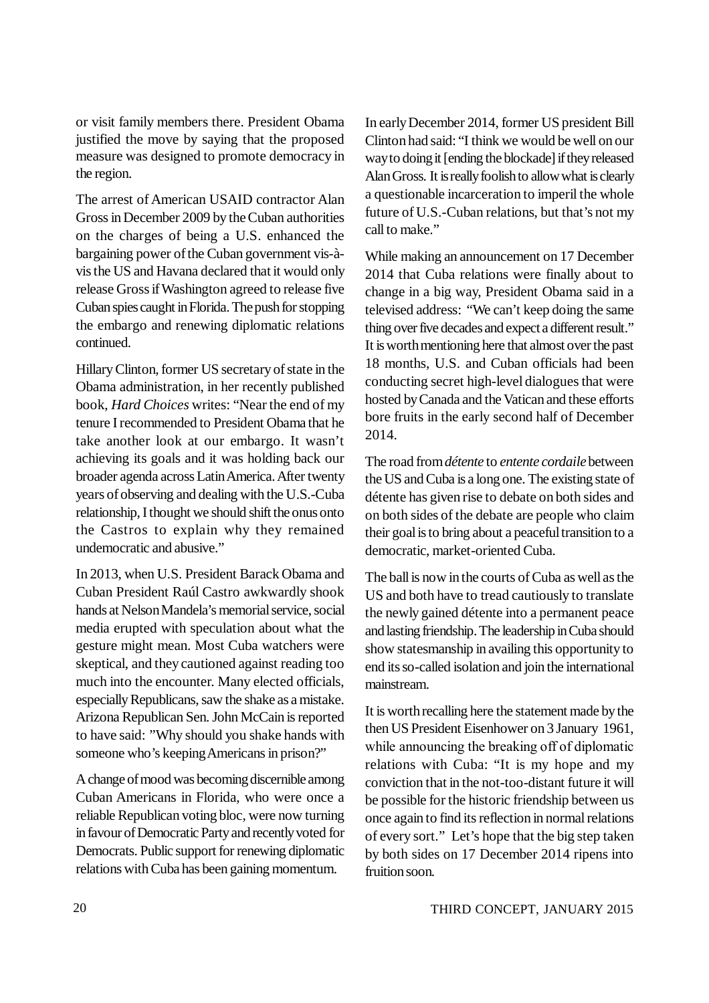or visit family members there. President Obama justified the move by saying that the proposed measure was designed to promote democracy in the region.

The arrest of American USAID contractor Alan Gross in December 2009 by the Cuban authorities on the charges of being a U.S. enhanced the bargaining power of the Cuban government vis-àvis the US and Havana declared that it would only release Gross if Washington agreed to release five Cuban spies caught in Florida. The push for stopping the embargo and renewing diplomatic relations continued.

Hillary Clinton, former US secretary of state in the Obama administration, in her recently published book, *Hard Choices* writes: "Near the end of my tenure I recommended to President Obama that he take another look at our embargo. It wasn't achieving its goals and it was holding back our broader agenda across Latin America. After twenty years of observing and dealing with the U.S.-Cuba relationship, I thought we should shift the onus onto the Castros to explain why they remained undemocratic and abusive."

In 2013, when U.S. President Barack Obama and Cuban President Raúl Castro awkwardly shook hands at Nelson Mandela's memorial service, social media erupted with speculation about what the gesture might mean. Most Cuba watchers were skeptical, and they cautioned against reading too much into the encounter. Many elected officials, especially Republicans, saw the shake as a mistake. Arizona Republican Sen. John McCain is reported to have said: "Why should you shake hands with someone who's keeping Americans in prison?"

A change of mood was becoming discernible among Cuban Americans in Florida, who were once a reliable Republican voting bloc, were now turning in favour of Democratic Party and recently voted for Democrats. Public support for renewing diplomatic relations with Cuba has been gaining momentum.

In early December 2014, former US president Bill Clinton had said: "I think we would be well on our way to doing it [ending the blockade] if they released Alan Gross. It is really foolish to allow what is clearly a questionable incarceration to imperil the whole future of U.S.-Cuban relations, but that's not my call to make."

While making an announcement on 17 December 2014 that Cuba relations were finally about to change in a big way, President Obama said in a televised address: "We can't keep doing the same thing over five decades and expect a different result." It is worth mentioning here that almost over the past 18 months, U.S. and Cuban officials had been conducting secret high-level dialogues that were hosted by Canada and the Vatican and these efforts bore fruits in the early second half of December 2014.

The road from *détente* to *entente cordaile* between the US and Cuba is a long one. The existing state of détente has given rise to debate on both sides and on both sides of the debate are people who claim their goal is to bring about a peaceful transition to a democratic, market-oriented Cuba.

The ball is now in the courts of Cuba as well as the US and both have to tread cautiously to translate the newly gained détente into a permanent peace and lasting friendship. The leadership in Cuba should show statesmanship in availing this opportunity to end its so-called isolation and join the international mainstream.

It is worth recalling here the statement made by the then US President Eisenhower on 3 January 1961, while announcing the breaking off of diplomatic relations with Cuba: "It is my hope and my conviction that in the not-too-distant future it will be possible for the historic friendship between us once again to find its reflection in normal relations of every sort." Let's hope that the big step taken by both sides on 17 December 2014 ripens into fruition soon.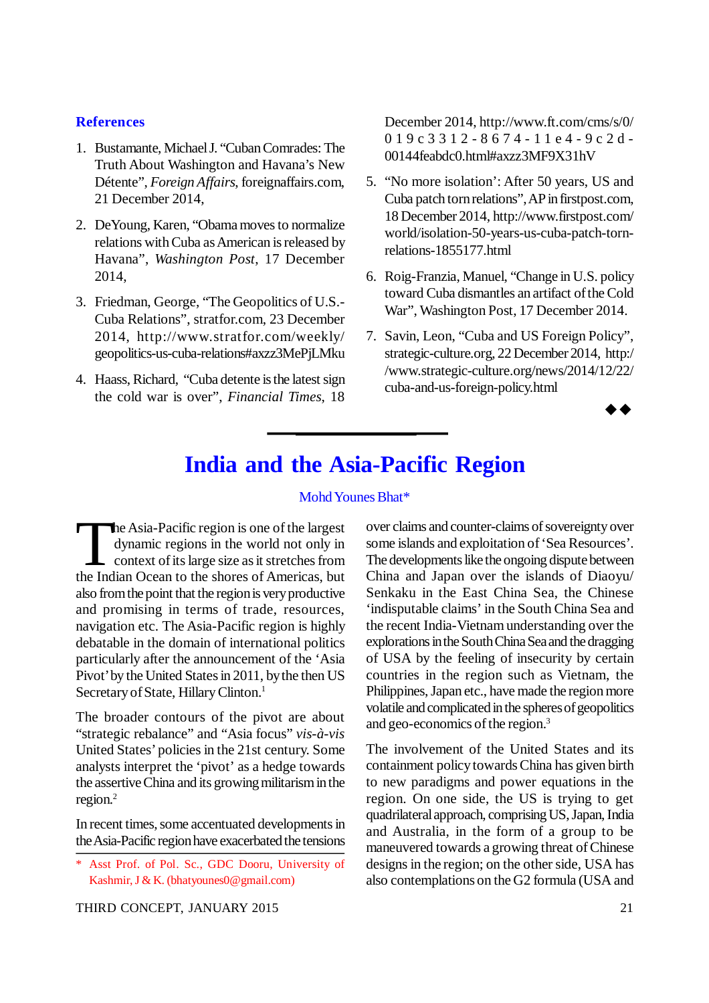#### **References**

- 1. Bustamante, Michael J. "Cuban Comrades: The Truth About Washington and Havana's New Détente", *Foreign Affairs*, foreignaffairs.com, 21 December 2014,
- 2. DeYoung, Karen, "Obama moves to normalize relations with Cuba as American is released by Havana", *Washington Post*, 17 December 2014,
- 3. Friedman, George, "The Geopolitics of U.S.- Cuba Relations", stratfor.com, 23 December 2014, http://www.stratfor.com/weekly/ geopolitics-us-cuba-relations#axzz3MePjLMku
- 4. Haass, Richard, "Cuba detente is the latest sign the cold war is over", *Financial Times*, 18

December 2014, http://www.ft.com/cms/s/0/ 0 1 9 c 3 3 1 2 - 8 6 7 4 - 1 1 e 4 - 9 c 2 d - 00144feabdc0.html#axzz3MF9X31hV

- 5. "No more isolation': After 50 years, US and Cuba patch torn relations", AP in firstpost.com, 18 December 2014, http://www.firstpost.com/ world/isolation-50-years-us-cuba-patch-tornrelations-1855177.html
- 6. Roig-Franzia, Manuel, "Change in U.S. policy toward Cuba dismantles an artifact of the Cold War", Washington Post, 17 December 2014.
- 7. Savin, Leon, "Cuba and US Foreign Policy", strategic-culture.org, 22 December 2014, http:/ /www.strategic-culture.org/news/2014/12/22/ cuba-and-us-foreign-policy.html



# **India and the Asia-Pacific Region**

#### Mohd Younes Bhat\*

The Asia-Pacific region is one of the largest<br>dynamic regions in the world not only in<br>context of its large size as it stretches from<br>the Indian Ocean to the shores of Americas, but he Asia-Pacific region is one of the largest dynamic regions in the world not only in  $\Box$  context of its large size as it stretches from also from the point that the region is very productive and promising in terms of trade, resources, navigation etc. The Asia-Pacific region is highly debatable in the domain of international politics particularly after the announcement of the 'Asia Pivot' by the United States in 2011, by the then US Secretary of State, Hillary Clinton.<sup>1</sup>

The broader contours of the pivot are about "strategic rebalance" and "Asia focus" *vis-à-vis* United States' policies in the 21st century. Some analysts interpret the 'pivot' as a hedge towards the assertive China and its growing militarism in the region.<sup>2</sup>

In recent times, some accentuated developments in the Asia-Pacific region have exacerbated the tensions over claims and counter-claims of sovereignty over some islands and exploitation of 'Sea Resources'. The developments like the ongoing dispute between China and Japan over the islands of Diaoyu/ Senkaku in the East China Sea, the Chinese 'indisputable claims' in the South China Sea and the recent India-Vietnam understanding over the explorations in the South China Sea and the dragging of USA by the feeling of insecurity by certain countries in the region such as Vietnam, the Philippines, Japan etc., have made the region more volatile and complicated in the spheres of geopolitics and geo-economics of the region.<sup>3</sup>

The involvement of the United States and its containment policy towards China has given birth to new paradigms and power equations in the region. On one side, the US is trying to get quadrilateral approach, comprising US, Japan, India and Australia, in the form of a group to be maneuvered towards a growing threat of Chinese designs in the region; on the other side, USA has also contemplations on the G2 formula (USA and

<sup>\*</sup> Asst Prof. of Pol. Sc., GDC Dooru, University of Kashmir, J & K. (bhatyounes0@gmail.com)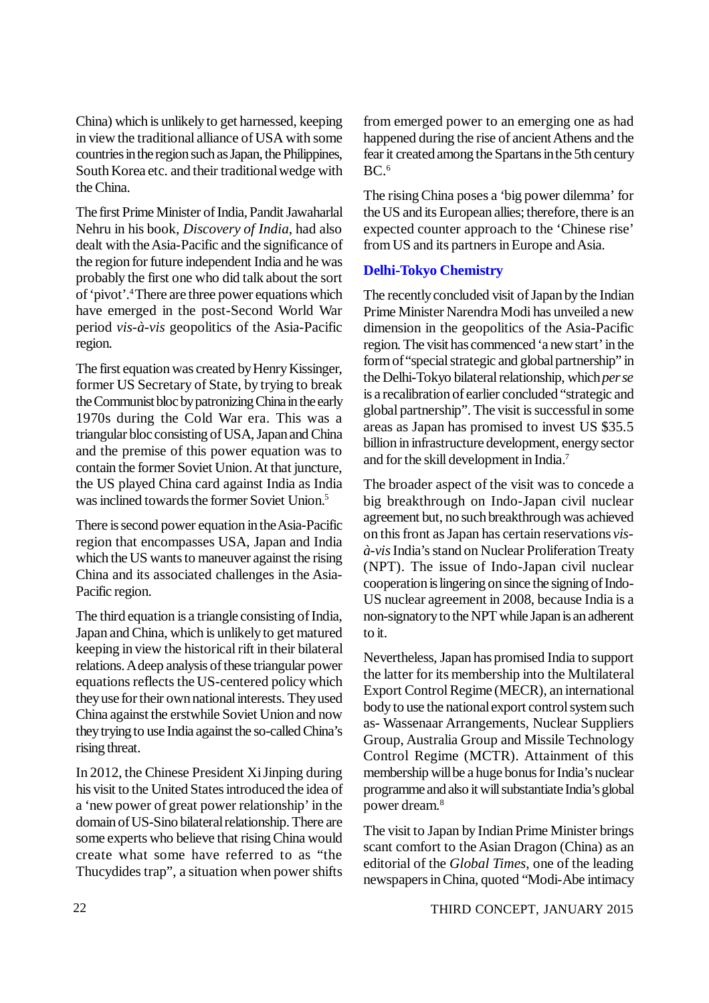China) which is unlikely to get harnessed, keeping in view the traditional alliance of USA with some countries in the region such as Japan, the Philippines, South Korea etc. and their traditional wedge with the China.

The first Prime Minister of India, Pandit Jawaharlal Nehru in his book, *Discovery of India*, had also dealt with the Asia-Pacific and the significance of the region for future independent India and he was probably the first one who did talk about the sort of 'pivot'.<sup>4</sup>There are three power equations which have emerged in the post-Second World War period *vis-à-vis* geopolitics of the Asia-Pacific region.

The first equation was created by Henry Kissinger, former US Secretary of State, by trying to break the Communist bloc by patronizing China in the early 1970s during the Cold War era. This was a triangular bloc consisting of USA, Japan and China and the premise of this power equation was to contain the former Soviet Union. At that juncture, the US played China card against India as India was inclined towards the former Soviet Union.<sup>5</sup>

There is second power equation in the Asia-Pacific region that encompasses USA, Japan and India which the US wants to maneuver against the rising China and its associated challenges in the Asia-Pacific region.

The third equation is a triangle consisting of India, Japan and China, which is unlikely to get matured keeping in view the historical rift in their bilateral relations. A deep analysis of these triangular power equations reflects the US-centered policy which they use for their own national interests. They used China against the erstwhile Soviet Union and now they trying to use India against the so-called China's rising threat.

In 2012, the Chinese President Xi Jinping during his visit to the United States introduced the idea of a 'new power of great power relationship' in the domain of US-Sino bilateral relationship. There are some experts who believe that rising China would create what some have referred to as "the Thucydides trap", a situation when power shifts

from emerged power to an emerging one as had happened during the rise of ancient Athens and the fear it created among the Spartans in the 5th century  $BC.<sub>6</sub>$ 

The rising China poses a 'big power dilemma' for the US and its European allies; therefore, there is an expected counter approach to the 'Chinese rise' from US and its partners in Europe and Asia.

### **Delhi-Tokyo Chemistry**

The recently concluded visit of Japan by the Indian Prime Minister Narendra Modi has unveiled a new dimension in the geopolitics of the Asia-Pacific region. The visit has commenced 'a new start' in the form of "special strategic and global partnership" in the Delhi-Tokyo bilateral relationship, which *per se* is a recalibration of earlier concluded "strategic and global partnership". The visit is successful in some areas as Japan has promised to invest US \$35.5 billion in infrastructure development, energy sector and for the skill development in India.<sup>7</sup>

The broader aspect of the visit was to concede a big breakthrough on Indo-Japan civil nuclear agreement but, no such breakthrough was achieved on this front as Japan has certain reservations *visà-vis* India's stand on Nuclear Proliferation Treaty (NPT). The issue of Indo-Japan civil nuclear cooperation is lingering on since the signing of Indo-US nuclear agreement in 2008, because India is a non-signatory to the NPT while Japan is an adherent to it.

Nevertheless, Japan has promised India to support the latter for its membership into the Multilateral Export Control Regime (MECR), an international body to use the national export control system such as- Wassenaar Arrangements, Nuclear Suppliers Group, Australia Group and Missile Technology Control Regime (MCTR). Attainment of this membership will be a huge bonus for India's nuclear programme and also it will substantiate India's global power dream.<sup>8</sup>

The visit to Japan by Indian Prime Minister brings scant comfort to the Asian Dragon (China) as an editorial of the *Global Times*, one of the leading newspapers in China, quoted "Modi-Abe intimacy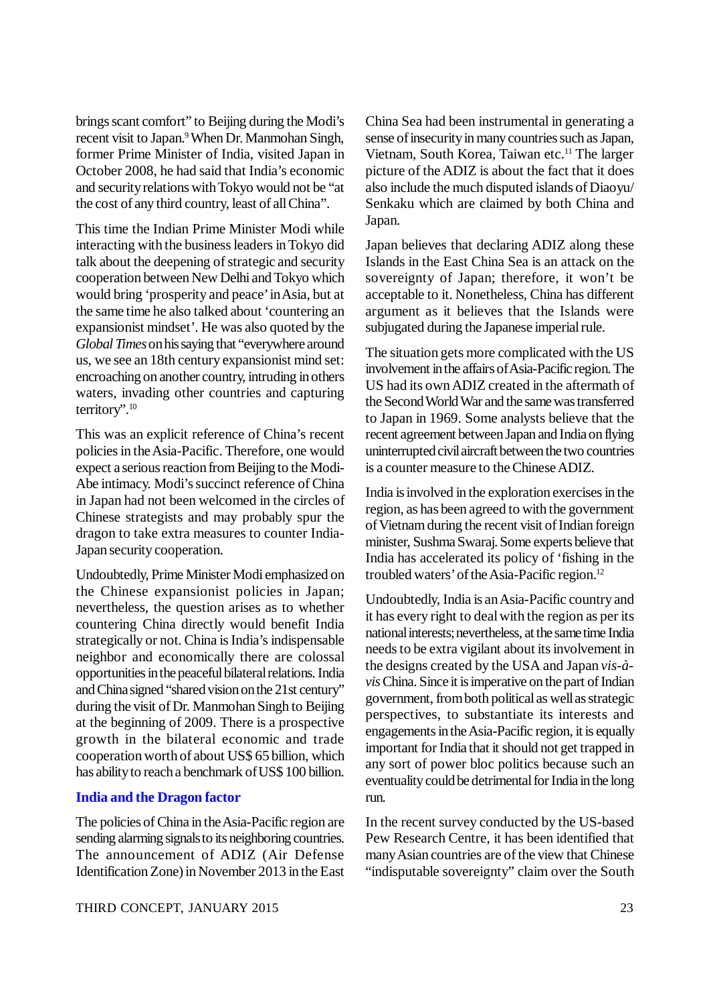brings scant comfort" to Beijing during the Modi's recent visit to Japan.<sup>9</sup> When Dr. Manmohan Singh, former Prime Minister of India, visited Japan in October 2008, he had said that India's economic and security relations with Tokyo would not be "at the cost of any third country, least of all China".

This time the Indian Prime Minister Modi while interacting with the business leaders in Tokyo did talk about the deepening of strategic and security cooperation between New Delhi and Tokyo which would bring 'prosperity and peace' in Asia, but at the same time he also talked about 'countering an expansionist mindset'. He was also quoted by the *Global Times* on his saying that "everywhere around us, we see an 18th century expansionist mind set: encroaching on another country, intruding in others waters, invading other countries and capturing territory".<sup>10</sup>

This was an explicit reference of China's recent policies in the Asia-Pacific. Therefore, one would expect a serious reaction from Beijing to the Modi-Abe intimacy. Modi's succinct reference of China in Japan had not been welcomed in the circles of Chinese strategists and may probably spur the dragon to take extra measures to counter India-Japan security cooperation.

Undoubtedly, Prime Minister Modi emphasized on the Chinese expansionist policies in Japan; nevertheless, the question arises as to whether countering China directly would benefit India strategically or not. China is India's indispensable neighbor and economically there are colossal opportunities in the peaceful bilateral relations. India and China signed "shared vision on the 21st century" during the visit of Dr. Manmohan Singh to Beijing at the beginning of 2009. There is a prospective growth in the bilateral economic and trade cooperation worth of about US\$ 65 billion, which has ability to reach a benchmark of US\$ 100 billion.

#### **India and the Dragon factor**

The policies of China in the Asia-Pacific region are sending alarming signals to its neighboring countries. The announcement of ADIZ (Air Defense Identification Zone) in November 2013 in the East

China Sea had been instrumental in generating a sense of insecurity in many countries such as Japan, Vietnam, South Korea, Taiwan etc.<sup>11</sup> The larger picture of the ADIZ is about the fact that it does also include the much disputed islands of Diaoyu/ Senkaku which are claimed by both China and Japan.

Japan believes that declaring ADIZ along these Islands in the East China Sea is an attack on the sovereignty of Japan; therefore, it won't be acceptable to it. Nonetheless, China has different argument as it believes that the Islands were subjugated during the Japanese imperial rule.

The situation gets more complicated with the US involvement in the affairs of Asia-Pacific region. The US had its own ADIZ created in the aftermath of the Second World War and the same was transferred to Japan in 1969. Some analysts believe that the recent agreement between Japan and India on flying uninterrupted civil aircraft between the two countries is a counter measure to the Chinese ADIZ.

India is involved in the exploration exercises in the region, as has been agreed to with the government of Vietnam during the recent visit of Indian foreign minister, Sushma Swaraj. Some experts believe that India has accelerated its policy of 'fishing in the troubled waters' of the Asia-Pacific region.<sup>12</sup>

Undoubtedly, India is an Asia-Pacific country and it has every right to deal with the region as per its national interests; nevertheless, at the same time India needs to be extra vigilant about its involvement in the designs created by the USA and Japan *vis-àvis* China. Since it is imperative on the part of Indian government, from both political as well as strategic perspectives, to substantiate its interests and engagements in the Asia-Pacific region, it is equally important for India that it should not get trapped in any sort of power bloc politics because such an eventuality could be detrimental for India in the long run.

In the recent survey conducted by the US-based Pew Research Centre, it has been identified that many Asian countries are of the view that Chinese "indisputable sovereignty" claim over the South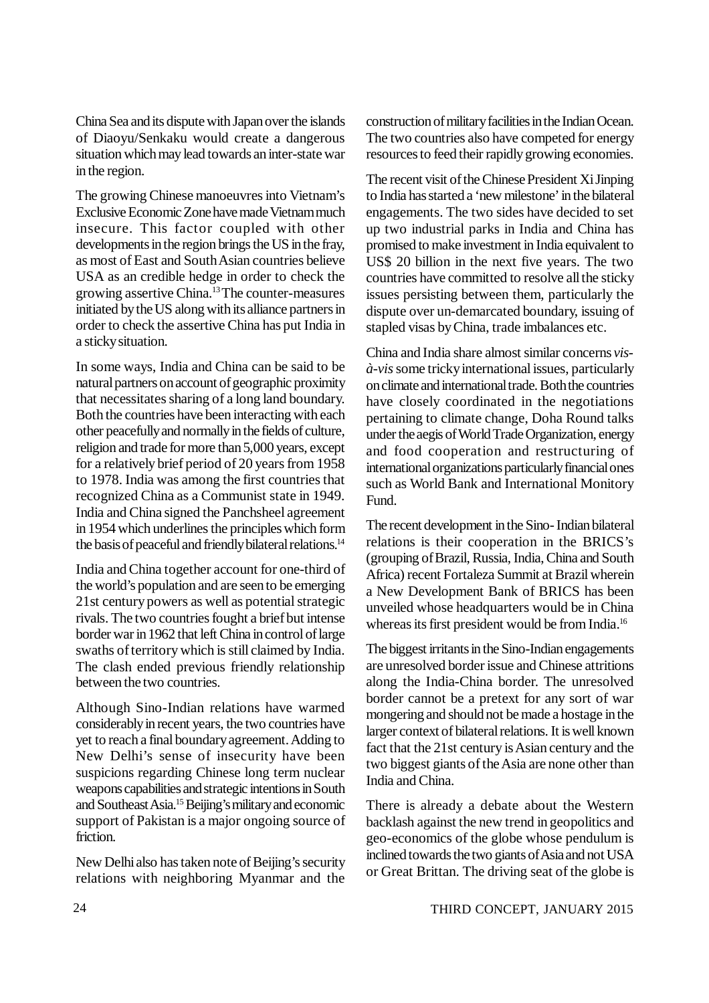China Sea and its dispute with Japan over the islands of Diaoyu/Senkaku would create a dangerous situation which may lead towards an inter-state war in the region.

The growing Chinese manoeuvres into Vietnam's Exclusive Economic Zone have made Vietnam much insecure. This factor coupled with other developments in the region brings the US in the fray, as most of East and South Asian countries believe USA as an credible hedge in order to check the growing assertive China.<sup>13</sup>The counter-measures initiated by the US along with its alliance partners in order to check the assertive China has put India in a sticky situation.

In some ways, India and China can be said to be natural partners on account of geographic proximity that necessitates sharing of a long land boundary. Both the countries have been interacting with each other peacefully and normally in the fields of culture, religion and trade for more than 5,000 years, except for a relatively brief period of 20 years from 1958 to 1978. India was among the first countries that recognized China as a Communist state in 1949. India and China signed the Panchsheel agreement in 1954 which underlines the principles which form the basis of peaceful and friendly bilateral relations.<sup>14</sup>

India and China together account for one-third of the world's population and are seen to be emerging 21st century powers as well as potential strategic rivals. The two countries fought a brief but intense border war in 1962 that left China in control of large swaths of territory which is still claimed by India. The clash ended previous friendly relationship between the two countries.

Although Sino-Indian relations have warmed considerably in recent years, the two countries have yet to reach a final boundary agreement. Adding to New Delhi's sense of insecurity have been suspicions regarding Chinese long term nuclear weapons capabilities and strategic intentions in South and Southeast Asia.<sup>15</sup> Beijing's military and economic support of Pakistan is a major ongoing source of friction.

New Delhi also has taken note of Beijing's security relations with neighboring Myanmar and the construction of military facilities in the Indian Ocean. The two countries also have competed for energy resources to feed their rapidly growing economies.

The recent visit of the Chinese President Xi Jinping to India has started a 'new milestone' in the bilateral engagements. The two sides have decided to set up two industrial parks in India and China has promised to make investment in India equivalent to US\$ 20 billion in the next five years. The two countries have committed to resolve all the sticky issues persisting between them, particularly the dispute over un-demarcated boundary, issuing of stapled visas by China, trade imbalances etc.

China and India share almost similar concerns *visà-vis* some tricky international issues, particularly on climate and international trade. Both the countries have closely coordinated in the negotiations pertaining to climate change, Doha Round talks under the aegis of World Trade Organization, energy and food cooperation and restructuring of international organizations particularly financial ones such as World Bank and International Monitory Fund.

The recent development in the Sino- Indian bilateral relations is their cooperation in the BRICS's (grouping of Brazil, Russia, India, China and South Africa) recent Fortaleza Summit at Brazil wherein a New Development Bank of BRICS has been unveiled whose headquarters would be in China whereas its first president would be from India.<sup>16</sup>

The biggest irritants in the Sino-Indian engagements are unresolved border issue and Chinese attritions along the India-China border. The unresolved border cannot be a pretext for any sort of war mongering and should not be made a hostage in the larger context of bilateral relations. It is well known fact that the 21st century is Asian century and the two biggest giants of the Asia are none other than India and China.

There is already a debate about the Western backlash against the new trend in geopolitics and geo-economics of the globe whose pendulum is inclined towards the two giants of Asia and not USA or Great Brittan. The driving seat of the globe is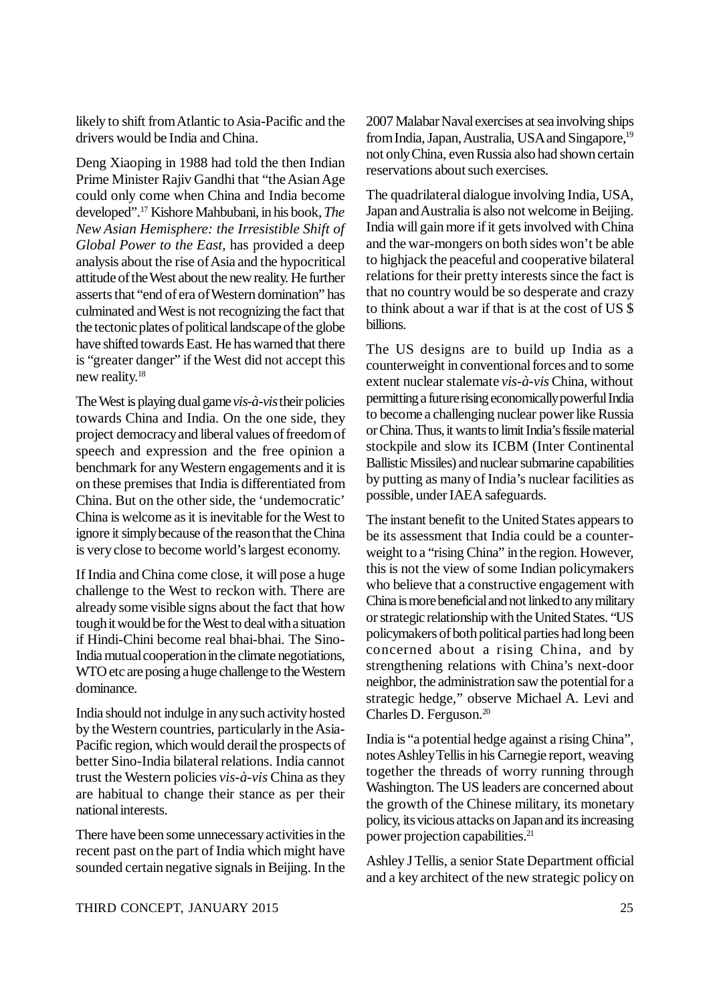likely to shift from Atlantic to Asia-Pacific and the drivers would be India and China.

Deng Xiaoping in 1988 had told the then Indian Prime Minister Rajiv Gandhi that "the Asian Age could only come when China and India become developed".<sup>17</sup> Kishore Mahbubani, in his book, *The New Asian Hemisphere: the Irresistible Shift of Global Power to the East,* has provided a deep analysis about the rise of Asia and the hypocritical attitude of the West about the new reality. He further asserts that "end of era of Western domination" has culminated and West is not recognizing the fact that the tectonic plates of political landscape of the globe have shifted towards East. He has warned that there is "greater danger" if the West did not accept this new reality.<sup>18</sup>

The West is playing dual game *vis-à-vis* their policies towards China and India. On the one side, they project democracy and liberal values of freedom of speech and expression and the free opinion a benchmark for any Western engagements and it is on these premises that India is differentiated from China. But on the other side, the 'undemocratic' China is welcome as it is inevitable for the West to ignore it simply because of the reason that the China is very close to become world's largest economy.

If India and China come close, it will pose a huge challenge to the West to reckon with. There are already some visible signs about the fact that how tough it would be for the West to deal with a situation if Hindi-Chini become real bhai-bhai. The Sino-India mutual cooperation in the climate negotiations, WTO etc are posing a huge challenge to the Western dominance.

India should not indulge in any such activity hosted by the Western countries, particularly in the Asia-Pacific region, which would derail the prospects of better Sino-India bilateral relations. India cannot trust the Western policies *vis-à-vis* China as they are habitual to change their stance as per their national interests.

There have been some unnecessary activities in the recent past on the part of India which might have sounded certain negative signals in Beijing. In the 2007 Malabar Naval exercises at sea involving ships from India, Japan, Australia, USA and Singapore,<sup>19</sup> not only China, even Russia also had shown certain reservations about such exercises.

The quadrilateral dialogue involving India, USA, Japan and Australia is also not welcome in Beijing. India will gain more if it gets involved with China and the war-mongers on both sides won't be able to highjack the peaceful and cooperative bilateral relations for their pretty interests since the fact is that no country would be so desperate and crazy to think about a war if that is at the cost of US \$ billions.

The US designs are to build up India as a counterweight in conventional forces and to some extent nuclear stalemate *vis-à-vis* China, without permitting a future rising economically powerful India to become a challenging nuclear power like Russia or China. Thus, it wants to limit India's fissile material stockpile and slow its ICBM (Inter Continental Ballistic Missiles) and nuclear submarine capabilities by putting as many of India's nuclear facilities as possible, under IAEA safeguards.

The instant benefit to the United States appears to be its assessment that India could be a counterweight to a "rising China" in the region. However, this is not the view of some Indian policymakers who believe that a constructive engagement with China is more beneficial and not linked to any military or strategic relationship with the United States. "US policymakers of both political parties had long been concerned about a rising China, and by strengthening relations with China's next-door neighbor, the administration saw the potential for a strategic hedge," observe Michael A. Levi and Charles D. Ferguson.<sup>20</sup>

India is "a potential hedge against a rising China", notes Ashley Tellis in his Carnegie report, weaving together the threads of worry running through Washington. The US leaders are concerned about the growth of the Chinese military, its monetary policy, its vicious attacks on Japan and its increasing power projection capabilities.<sup>21</sup>

Ashley J Tellis, a senior State Department official and a key architect of the new strategic policy on

#### THIRD CONCEPT, JANUARY 2015 25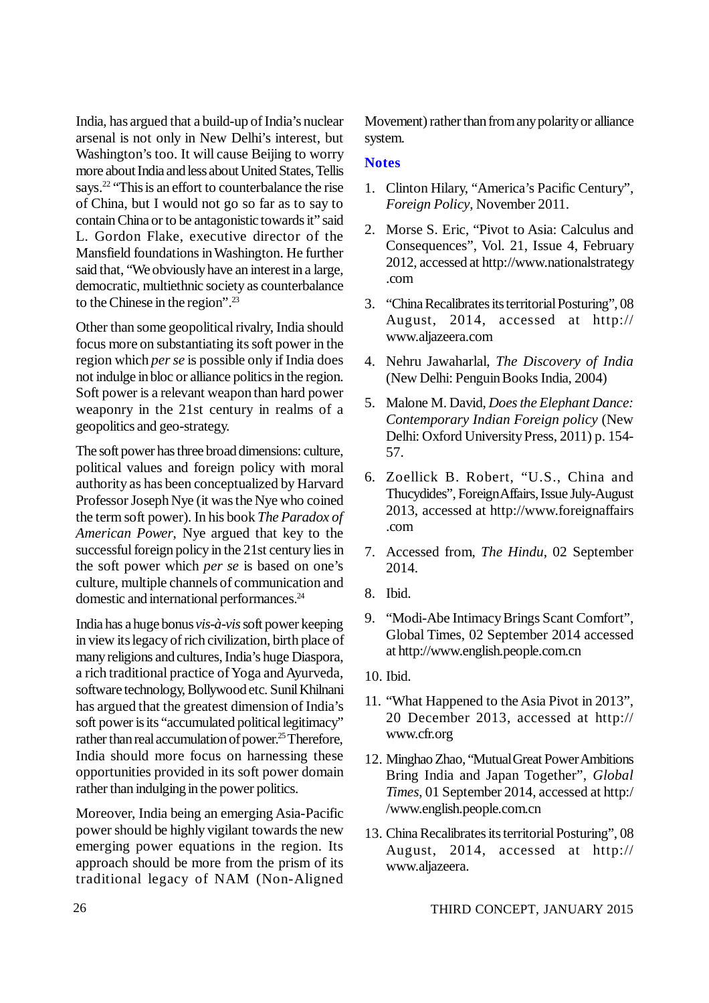India, has argued that a build-up of India's nuclear arsenal is not only in New Delhi's interest, but Washington's too. It will cause Beijing to worry more about India and less about United States, Tellis says.<sup>22</sup> "This is an effort to counterbalance the rise of China, but I would not go so far as to say to contain China or to be antagonistic towards it" said L. Gordon Flake, executive director of the Mansfield foundations in Washington. He further said that, "We obviously have an interest in a large, democratic, multiethnic society as counterbalance to the Chinese in the region".<sup>23</sup>

Other than some geopolitical rivalry, India should focus more on substantiating its soft power in the region which *per se* is possible only if India does not indulge in bloc or alliance politics in the region. Soft power is a relevant weapon than hard power weaponry in the 21st century in realms of a geopolitics and geo-strategy.

The soft power has three broad dimensions: culture, political values and foreign policy with moral authority as has been conceptualized by Harvard Professor Joseph Nye (it was the Nye who coined the term soft power). In his book *The Paradox of American Power*, Nye argued that key to the successful foreign policy in the 21st century lies in the soft power which *per se* is based on one's culture, multiple channels of communication and domestic and international performances.<sup>24</sup>

India has a huge bonus *vis-à-vis* soft power keeping in view its legacy of rich civilization, birth place of many religions and cultures, India's huge Diaspora, a rich traditional practice of Yoga and Ayurveda, software technology, Bollywood etc. Sunil Khilnani has argued that the greatest dimension of India's soft power is its "accumulated political legitimacy" rather than real accumulation of power.<sup>25</sup> Therefore, India should more focus on harnessing these opportunities provided in its soft power domain rather than indulging in the power politics.

Moreover, India being an emerging Asia-Pacific power should be highly vigilant towards the new emerging power equations in the region. Its approach should be more from the prism of its traditional legacy of NAM (Non-Aligned Movement) rather than from any polarity or alliance system.

#### **Notes**

- 1. Clinton Hilary, "America's Pacific Century", *Foreign Policy*, November 2011.
- 2. Morse S. Eric, "Pivot to Asia: Calculus and Consequences", Vol. 21, Issue 4, February 2012, accessed at http://www.nationalstrategy .com
- 3. "China Recalibrates its territorial Posturing", 08 August, 2014, accessed at http:// www.aljazeera.com
- 4. Nehru Jawaharlal, *The Discovery of India* (New Delhi: Penguin Books India, 2004)
- 5. Malone M. David, *Does the Elephant Dance: Contemporary Indian Foreign policy* (New Delhi: Oxford University Press, 2011) p. 154- 57.
- 6. Zoellick B. Robert, "U.S., China and Thucydides", Foreign Affairs, Issue July-August 2013, accessed at http://www.foreignaffairs .com
- 7. Accessed from, *The Hindu*, 02 September 2014.
- 8. Ibid.
- 9. "Modi-Abe Intimacy Brings Scant Comfort", Global Times, 02 September 2014 accessed at http://www.english.people.com.cn
- 10. Ibid.
- 11. "What Happened to the Asia Pivot in 2013", 20 December 2013, accessed at http:// www.cfr.org
- 12. Minghao Zhao, "Mutual Great Power Ambitions Bring India and Japan Together", *Global Times*, 01 September 2014, accessed at http:/ /www.english.people.com.cn
- 13. China Recalibrates its territorial Posturing", 08 August, 2014, accessed at http:// www.aljazeera.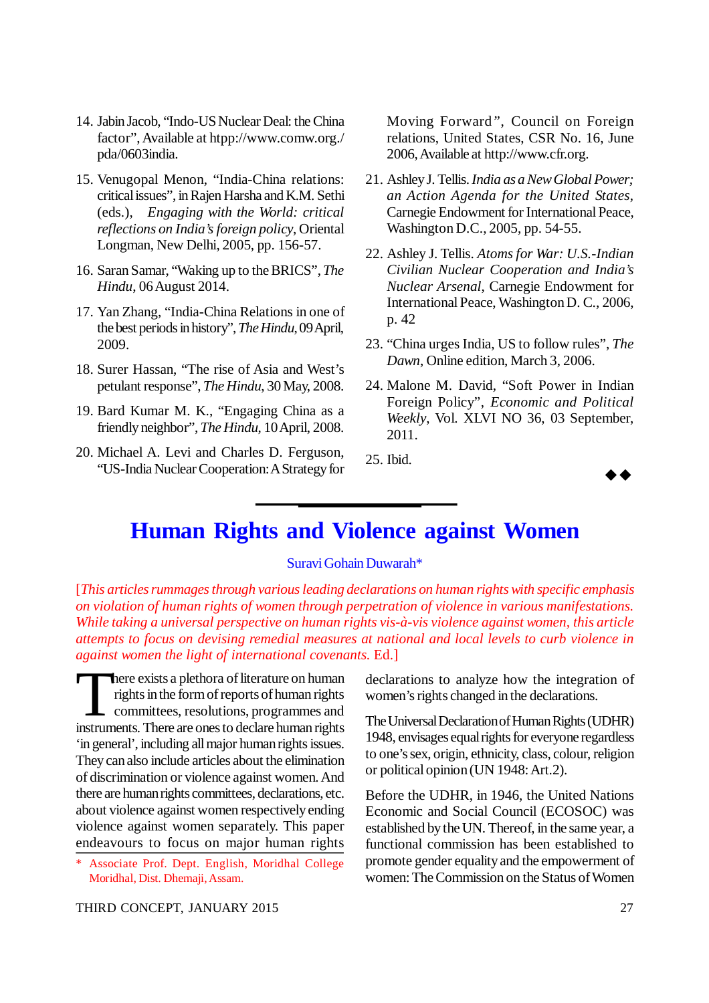- 14. Jabin Jacob, "Indo-US Nuclear Deal: the China factor", Available at htpp://www.comw.org./ pda/0603india.
- 15. Venugopal Menon, "India-China relations: critical issues", in Rajen Harsha and K.M. Sethi (eds.), *Engaging with the World: critical reflections on India's foreign policy*, Oriental Longman, New Delhi, 2005, pp. 156-57.
- 16. Saran Samar, "Waking up to the BRICS", *The Hindu*, 06 August 2014.
- 17. Yan Zhang, "India-China Relations in one of the best periods in history", *The Hindu*, 09 April, 2009.
- 18. Surer Hassan, "The rise of Asia and West's petulant response", *The Hindu*, 30 May, 2008.
- 19. Bard Kumar M. K., "Engaging China as a friendly neighbor", *The Hindu*, 10 April, 2008.
- 20. Michael A. Levi and Charles D. Ferguson, "US-India Nuclear Cooperation: A Strategy for

Moving Forward*"*, Council on Foreign relations, United States, CSR No. 16, June 2006, Available at http://www.cfr.org.

- 21. Ashley J. Tellis. *India as a New Global Power; an Action Agenda for the United States*, Carnegie Endowment for International Peace, Washington D.C., 2005, pp. 54-55.
- 22. Ashley J. Tellis. *Atoms for War: U.S.-Indian Civilian Nuclear Cooperation and India's Nuclear Arsenal*, Carnegie Endowment for International Peace, Washington D. C., 2006, p. 42
- 23. "China urges India, US to follow rules", *The Dawn*, Online edition, March 3, 2006.
- 24. Malone M. David, "Soft Power in Indian Foreign Policy", *Economic and Political Weekly*, Vol. XLVI NO 36, 03 September, 2011.
- 25. Ibid.



# **Human Rights and Violence against Women**

#### Suravi Gohain Duwarah\*

[*This articles rummages through various leading declarations on human rights with specific emphasis on violation of human rights of women through perpetration of violence in various manifestations. While taking a universal perspective on human rights vis-à-vis violence against women, this article attempts to focus on devising remedial measures at national and local levels to curb violence in against women the light of international covenants.* Ed.]

There exists a plethora of literature on human<br>rights in the form of reports of human rights<br>committees, resolutions, programmes and<br>instruments. There are ones to declare human rights here exists a plethora of literature on human rights in the form of reports of human rights committees, resolutions, programmes and 'in general', including all major human rights issues. They can also include articles about the elimination of discrimination or violence against women. And there are human rights committees, declarations, etc. about violence against women respectively ending violence against women separately. This paper endeavours to focus on major human rights

declarations to analyze how the integration of women's rights changed in the declarations.

The Universal Declaration of Human Rights (UDHR) 1948, envisages equal rights for everyone regardless to one's sex, origin, ethnicity, class, colour, religion or political opinion (UN 1948: Art.2).

Before the UDHR, in 1946, the United Nations Economic and Social Council (ECOSOC) was established by the UN. Thereof, in the same year, a functional commission has been established to promote gender equality and the empowerment of women: The Commission on the Status of Women

Associate Prof. Dept. English, Moridhal College Moridhal, Dist. Dhemaji, Assam.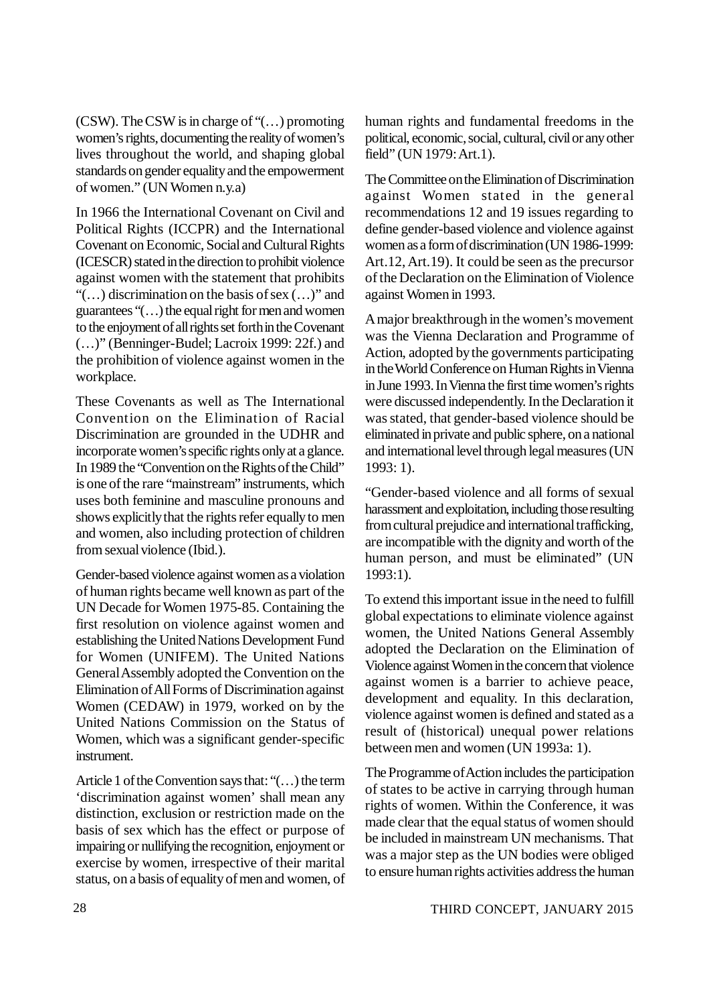(CSW). The CSW is in charge of "(…) promoting women's rights, documenting the reality of women's lives throughout the world, and shaping global standards on gender equality and the empowerment of women." (UN Women n.y.a)

In 1966 the International Covenant on Civil and Political Rights (ICCPR) and the International Covenant on Economic, Social and Cultural Rights (ICESCR) stated in the direction to prohibit violence against women with the statement that prohibits "(…) discrimination on the basis of sex (…)" and guarantees "(…) the equal right for men and women to the enjoyment of all rights set forth in the Covenant (…)" (Benninger-Budel; Lacroix 1999: 22f.) and the prohibition of violence against women in the workplace.

These Covenants as well as The International Convention on the Elimination of Racial Discrimination are grounded in the UDHR and incorporate women's specific rights only at a glance. In 1989 the "Convention on the Rights of the Child" is one of the rare "mainstream" instruments, which uses both feminine and masculine pronouns and shows explicitly that the rights refer equally to men and women, also including protection of children from sexual violence (Ibid.).

Gender-based violence against women as a violation of human rights became well known as part of the UN Decade for Women 1975-85. Containing the first resolution on violence against women and establishing the United Nations Development Fund for Women (UNIFEM). The United Nations General Assembly adopted the Convention on the Elimination of All Forms of Discrimination against Women (CEDAW) in 1979, worked on by the United Nations Commission on the Status of Women, which was a significant gender-specific instrument.

Article 1 of the Convention says that: "(…) the term 'discrimination against women' shall mean any distinction, exclusion or restriction made on the basis of sex which has the effect or purpose of impairing or nullifying the recognition, enjoyment or exercise by women, irrespective of their marital status, on a basis of equality of men and women, of human rights and fundamental freedoms in the political, economic, social, cultural, civil or any other field" (UN 1979: Art.1).

The Committee on the Elimination of Discrimination against Women stated in the general recommendations 12 and 19 issues regarding to define gender-based violence and violence against women as a form of discrimination (UN 1986-1999: Art.12, Art.19). It could be seen as the precursor of the Declaration on the Elimination of Violence against Women in 1993.

A major breakthrough in the women's movement was the Vienna Declaration and Programme of Action, adopted by the governments participating in the World Conference on Human Rights in Vienna in June 1993. In Vienna the first time women's rights were discussed independently. In the Declaration it was stated, that gender-based violence should be eliminated in private and public sphere, on a national and international level through legal measures (UN 1993: 1).

"Gender-based violence and all forms of sexual harassment and exploitation, including those resulting from cultural prejudice and international trafficking, are incompatible with the dignity and worth of the human person, and must be eliminated" (UN 1993:1).

To extend this important issue in the need to fulfill global expectations to eliminate violence against women, the United Nations General Assembly adopted the Declaration on the Elimination of Violence against Women in the concern that violence against women is a barrier to achieve peace, development and equality. In this declaration, violence against women is defined and stated as a result of (historical) unequal power relations between men and women (UN 1993a: 1).

The Programme of Action includes the participation of states to be active in carrying through human rights of women. Within the Conference, it was made clear that the equal status of women should be included in mainstream UN mechanisms. That was a major step as the UN bodies were obliged to ensure human rights activities address the human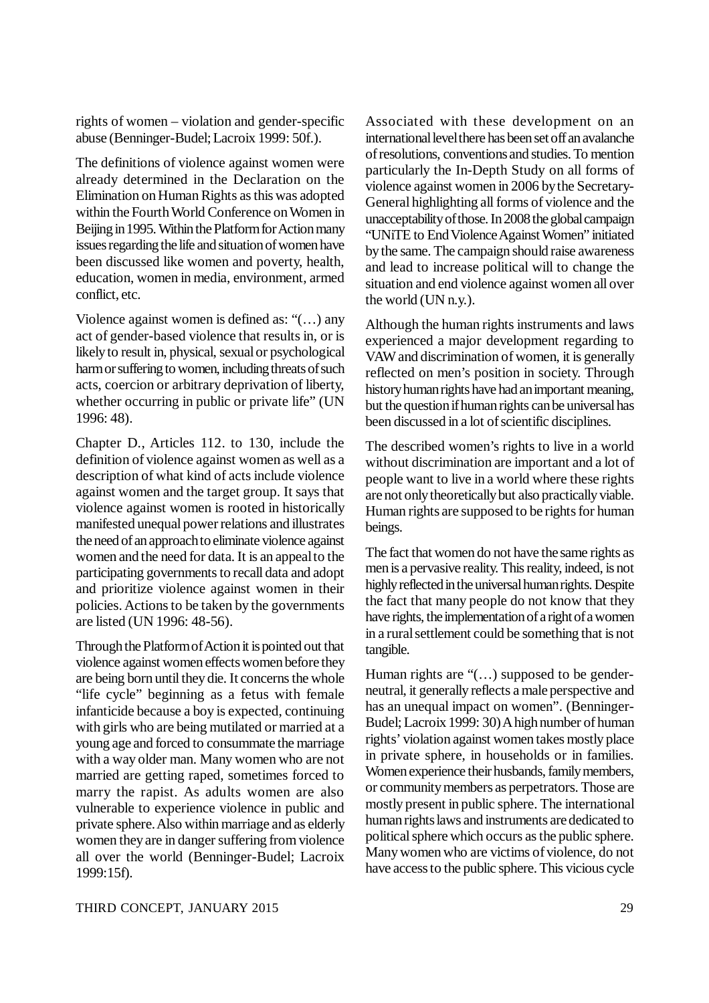rights of women – violation and gender-specific abuse (Benninger-Budel; Lacroix 1999: 50f.).

The definitions of violence against women were already determined in the Declaration on the Elimination on Human Rights as this was adopted within the Fourth World Conference on Women in Beijing in 1995. Within the Platform for Action many issues regarding the life and situation of women have been discussed like women and poverty, health, education, women in media, environment, armed conflict, etc.

Violence against women is defined as: "(…) any act of gender-based violence that results in, or is likely to result in, physical, sexual or psychological harm or suffering to women, including threats of such acts, coercion or arbitrary deprivation of liberty, whether occurring in public or private life" (UN 1996: 48).

Chapter D., Articles 112. to 130, include the definition of violence against women as well as a description of what kind of acts include violence against women and the target group. It says that violence against women is rooted in historically manifested unequal power relations and illustrates the need of an approach to eliminate violence against women and the need for data. It is an appeal to the participating governments to recall data and adopt and prioritize violence against women in their policies. Actions to be taken by the governments are listed (UN 1996: 48-56).

Through the Platform of Action it is pointed out that violence against women effects women before they are being born until they die. It concerns the whole "life cycle" beginning as a fetus with female infanticide because a boy is expected, continuing with girls who are being mutilated or married at a young age and forced to consummate the marriage with a way older man. Many women who are not married are getting raped, sometimes forced to marry the rapist. As adults women are also vulnerable to experience violence in public and private sphere. Also within marriage and as elderly women they are in danger suffering from violence all over the world (Benninger-Budel; Lacroix 1999:15f).

Associated with these development on an international level there has been set off an avalanche of resolutions, conventions and studies. To mention particularly the In-Depth Study on all forms of violence against women in 2006 by the Secretary-General highlighting all forms of violence and the unacceptability of those. In 2008 the global campaign "UNiTE to End Violence Against Women" initiated by the same. The campaign should raise awareness and lead to increase political will to change the situation and end violence against women all over the world (UN n.y.).

Although the human rights instruments and laws experienced a major development regarding to VAW and discrimination of women, it is generally reflected on men's position in society. Through history human rights have had an important meaning, but the question if human rights can be universal has been discussed in a lot of scientific disciplines.

The described women's rights to live in a world without discrimination are important and a lot of people want to live in a world where these rights are not only theoretically but also practically viable. Human rights are supposed to be rights for human beings.

The fact that women do not have the same rights as men is a pervasive reality. This reality, indeed, is not highly reflected in the universal human rights. Despite the fact that many people do not know that they have rights, the implementation of a right of a women in a rural settlement could be something that is not tangible.

Human rights are "(...) supposed to be genderneutral, it generally reflects a male perspective and has an unequal impact on women". (Benninger-Budel; Lacroix 1999: 30) A high number of human rights' violation against women takes mostly place in private sphere, in households or in families. Women experience their husbands, family members, or community members as perpetrators. Those are mostly present in public sphere. The international human rights laws and instruments are dedicated to political sphere which occurs as the public sphere. Many women who are victims of violence, do not have access to the public sphere. This vicious cycle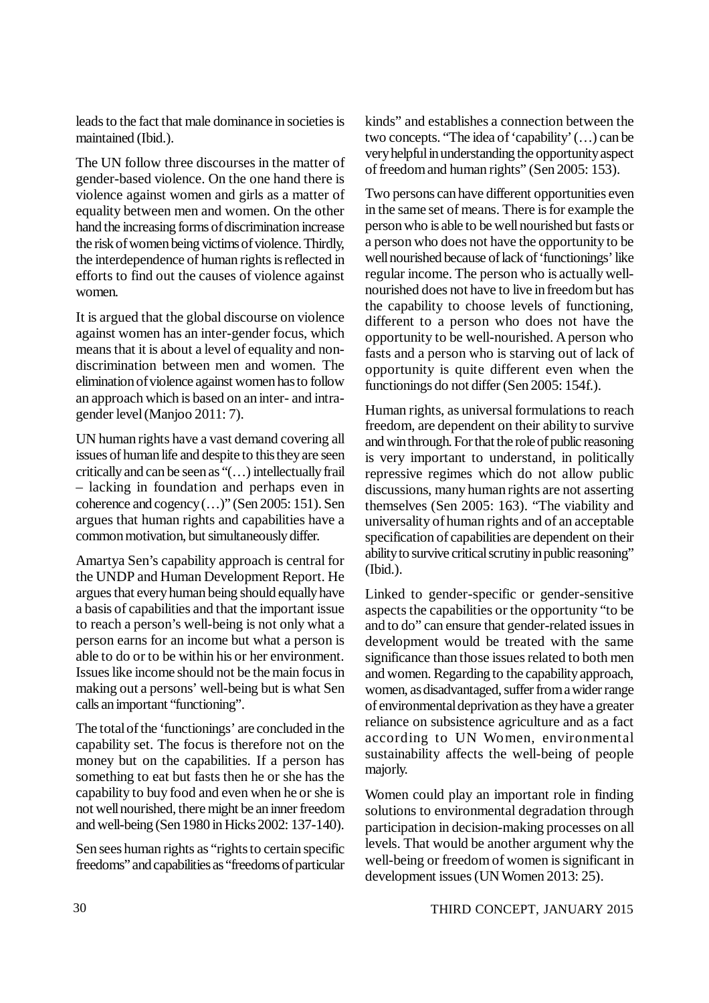leads to the fact that male dominance in societies is maintained (Ibid.).

The UN follow three discourses in the matter of gender-based violence. On the one hand there is violence against women and girls as a matter of equality between men and women. On the other hand the increasing forms of discrimination increase the risk of women being victims of violence. Thirdly, the interdependence of human rights is reflected in efforts to find out the causes of violence against women.

It is argued that the global discourse on violence against women has an inter-gender focus, which means that it is about a level of equality and nondiscrimination between men and women. The elimination of violence against women has to follow an approach which is based on an inter- and intragender level (Manjoo 2011: 7).

UN human rights have a vast demand covering all issues of human life and despite to this they are seen critically and can be seen as "(…) intellectually frail – lacking in foundation and perhaps even in coherence and cogency (…)" (Sen 2005: 151). Sen argues that human rights and capabilities have a common motivation, but simultaneously differ.

Amartya Sen's capability approach is central for the UNDP and Human Development Report. He argues that every human being should equally have a basis of capabilities and that the important issue to reach a person's well-being is not only what a person earns for an income but what a person is able to do or to be within his or her environment. Issues like income should not be the main focus in making out a persons' well-being but is what Sen calls an important "functioning".

The total of the 'functionings' are concluded in the capability set. The focus is therefore not on the money but on the capabilities. If a person has something to eat but fasts then he or she has the capability to buy food and even when he or she is not well nourished, there might be an inner freedom and well-being (Sen 1980 in Hicks 2002: 137-140).

Sen sees human rights as "rights to certain specific freedoms" and capabilities as "freedoms of particular kinds" and establishes a connection between the two concepts. "The idea of 'capability' (…) can be very helpful in understanding the opportunity aspect of freedom and human rights" (Sen 2005: 153).

Two persons can have different opportunities even in the same set of means. There is for example the person who is able to be well nourished but fasts or a person who does not have the opportunity to be well nourished because of lack of 'functionings' like regular income. The person who is actually wellnourished does not have to live in freedom but has the capability to choose levels of functioning, different to a person who does not have the opportunity to be well-nourished. A person who fasts and a person who is starving out of lack of opportunity is quite different even when the functionings do not differ (Sen 2005: 154f.).

Human rights, as universal formulations to reach freedom, are dependent on their ability to survive and win through. For that the role of public reasoning is very important to understand, in politically repressive regimes which do not allow public discussions, many human rights are not asserting themselves (Sen 2005: 163). "The viability and universality of human rights and of an acceptable specification of capabilities are dependent on their ability to survive critical scrutiny in public reasoning" (Ibid.).

Linked to gender-specific or gender-sensitive aspects the capabilities or the opportunity "to be and to do" can ensure that gender-related issues in development would be treated with the same significance than those issues related to both men and women. Regarding to the capability approach, women, as disadvantaged, suffer from a wider range of environmental deprivation as they have a greater reliance on subsistence agriculture and as a fact according to UN Women, environmental sustainability affects the well-being of people majorly.

Women could play an important role in finding solutions to environmental degradation through participation in decision-making processes on all levels. That would be another argument why the well-being or freedom of women is significant in development issues (UN Women 2013: 25).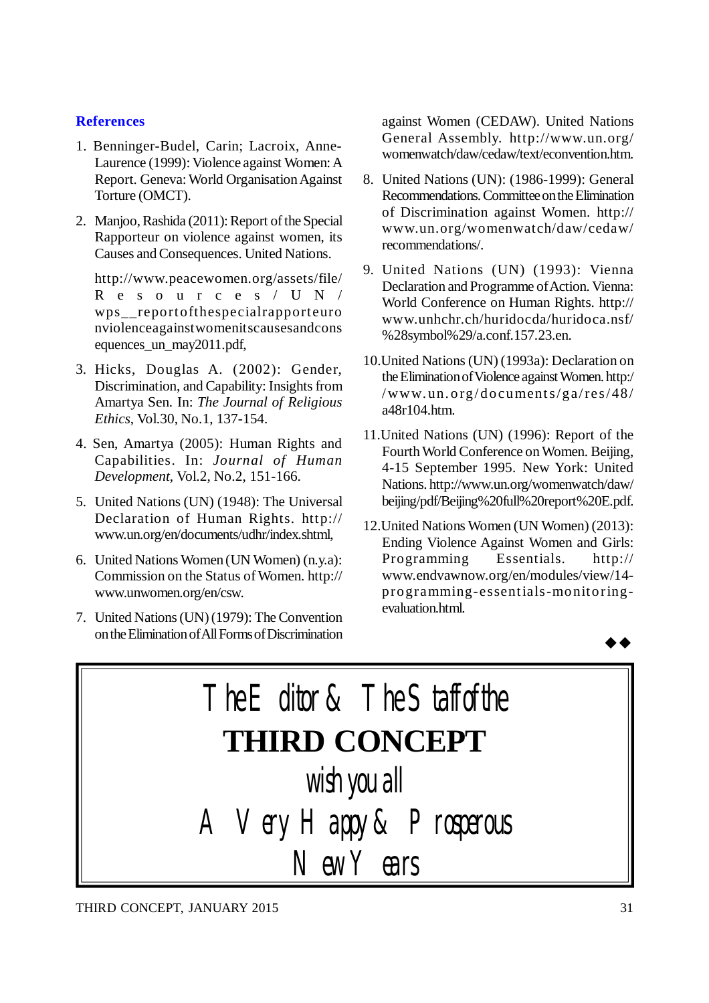# **References**

- 1. Benninger-Budel, Carin; Lacroix, Anne-Laurence (1999): Violence against Women: A Report. Geneva: World Organisation Against Torture (OMCT).
- 2. Manjoo, Rashida (2011): Report of the Special Rapporteur on violence against women, its Causes and Consequences. United Nations.

http://www.peacewomen.org/assets/file/ R e s o u r c e s / U N / wps\_\_reportofthespecialrapporteuro nviolenceagainstwomenitscausesandcons equences\_un\_may2011.pdf,

- 3. Hicks, Douglas A. (2002): Gender, Discrimination, and Capability: Insights from Amartya Sen. In: *The Journal of Religious Ethics*, Vol.30, No.1, 137-154.
- 4. Sen, Amartya (2005): Human Rights and Capabilities. In: *Journal of Human Development*, Vol.2, No.2, 151-166.
- 5. United Nations (UN) (1948): The Universal Declaration of Human Rights. http:// www.un.org/en/documents/udhr/index.shtml,
- 6. United Nations Women (UN Women) (n.y.a): Commission on the Status of Women. http:// www.unwomen.org/en/csw.
- 7. United Nations (UN) (1979): The Convention on the Elimination of All Forms of Discrimination

against Women (CEDAW). United Nations General Assembly. http://www.un.org/ womenwatch/daw/cedaw/text/econvention.htm.

- 8. United Nations (UN): (1986-1999): General Recommendations. Committee on the Elimination of Discrimination against Women. http:// www.un.org/womenwatch/daw/cedaw/ recommendations/.
- 9. United Nations (UN) (1993): Vienna Declaration and Programme of Action. Vienna: World Conference on Human Rights. http:// www.unhchr.ch/huridocda/huridoca.nsf/ %28symbol%29/a.conf.157.23.en.
- 10.United Nations (UN) (1993a): Declaration on the Elimination of Violence against Women. http:/ /www. un. o rg/document s/ga/res/48/ a48r104.htm.
- 11.United Nations (UN) (1996): Report of the Fourth World Conference on Women. Beijing, 4-15 September 1995. New York: United Nations. http://www.un.org/womenwatch/daw/ beijing/pdf/Beijing%20full%20report%20E.pdf.
- 12.United Nations Women (UN Women) (2013): Ending Violence Against Women and Girls: Programming Essentials. http:// www.endvawnow.org/en/modules/view/14 programming-essentials-monitoringevaluation.html.



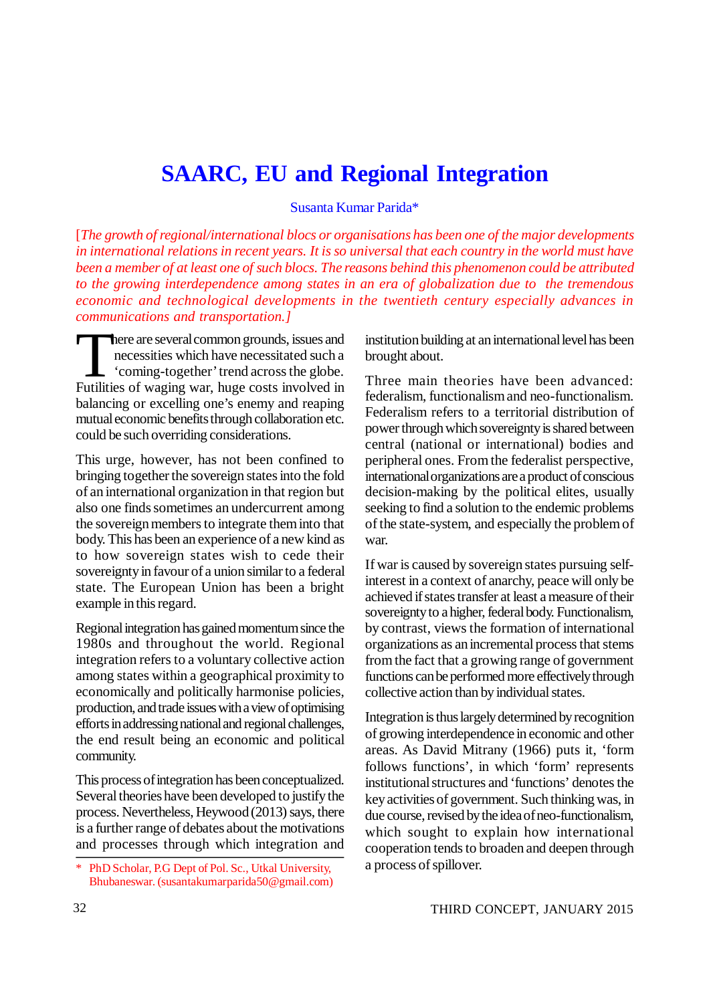# **SAARC, EU and Regional Integration**

Susanta Kumar Parida\*

[*The growth of regional/international blocs or organisations has been one of the major developments in international relations in recent years. It is so universal that each country in the world must have been a member of at least one of such blocs. The reasons behind this phenomenon could be attributed to the growing interdependence among states in an era of globalization due to the tremendous economic and technological developments in the twentieth century especially advances in communications and transportation.]*

There are several common grounds, issues and<br>necessities which have necessitated such a<br>coming-together' trend across the globe.<br>Futilities of waging war, huge costs involved in here are several common grounds, issues and necessities which have necessitated such a 'coming-together' trend across the globe. balancing or excelling one's enemy and reaping mutual economic benefits through collaboration etc. could be such overriding considerations.

This urge, however, has not been confined to bringing together the sovereign states into the fold of an international organization in that region but also one finds sometimes an undercurrent among the sovereign members to integrate them into that body. This has been an experience of a new kind as to how sovereign states wish to cede their sovereignty in favour of a union similar to a federal state. The European Union has been a bright example in this regard.

Regional integration has gained momentum since the 1980s and throughout the world. Regional integration refers to a voluntary collective action among states within a geographical proximity to economically and politically harmonise policies, production, and trade issues with a view of optimising efforts in addressing national and regional challenges, the end result being an economic and political community.

This process of integration has been conceptualized. Several theories have been developed to justify the process. Nevertheless, Heywood (2013) says, there is a further range of debates about the motivations and processes through which integration and

institution building at an international level has been brought about.

Three main theories have been advanced: federalism, functionalism and neo-functionalism. Federalism refers to a territorial distribution of power through which sovereignty is shared between central (national or international) bodies and peripheral ones. From the federalist perspective, international organizations are a product of conscious decision-making by the political elites, usually seeking to find a solution to the endemic problems of the state-system, and especially the problem of war.

If war is caused by sovereign states pursuing selfinterest in a context of anarchy, peace will only be achieved if states transfer at least a measure of their sovereignty to a higher, federal body. Functionalism, by contrast, views the formation of international organizations as an incremental process that stems from the fact that a growing range of government functions can be performed more effectively through collective action than by individual states.

Integration is thus largely determined by recognition of growing interdependence in economic and other areas. As David Mitrany (1966) puts it, 'form follows functions', in which 'form' represents institutional structures and 'functions' denotes the key activities of government. Such thinking was, in due course, revised by the idea of neo-functionalism, which sought to explain how international cooperation tends to broaden and deepen through a process of spillover.

<sup>\*</sup> PhD Scholar, P.G Dept of Pol. Sc., Utkal University, Bhubaneswar. (susantakumarparida50@gmail.com)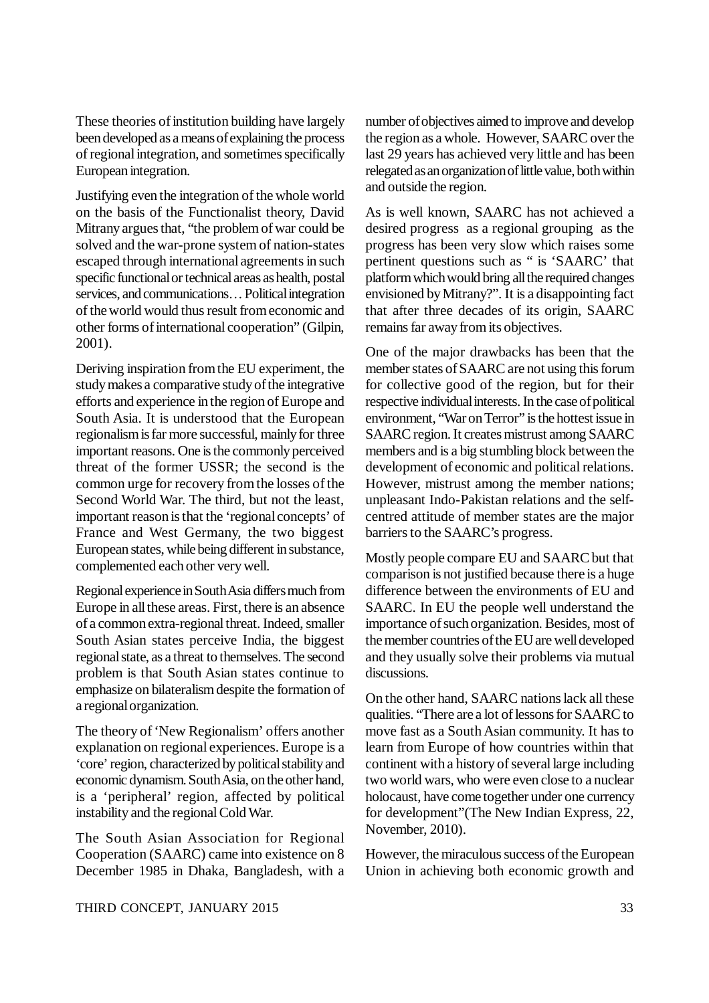These theories of institution building have largely been developed as a means of explaining the process of regional integration, and sometimes specifically European integration.

Justifying even the integration of the whole world on the basis of the Functionalist theory, David Mitrany argues that, "the problem of war could be solved and the war-prone system of nation-states escaped through international agreements in such specific functional or technical areas as health, postal services, and communications… Political integration of the world would thus result from economic and other forms of international cooperation" (Gilpin, 2001).

Deriving inspiration from the EU experiment, the study makes a comparative study of the integrative efforts and experience in the region of Europe and South Asia. It is understood that the European regionalism is far more successful, mainly for three important reasons. One is the commonly perceived threat of the former USSR; the second is the common urge for recovery from the losses of the Second World War. The third, but not the least, important reason is that the 'regional concepts' of France and West Germany, the two biggest European states, while being different in substance, complemented each other very well.

Regional experience in South Asia differs much from Europe in all these areas. First, there is an absence of a common extra-regional threat. Indeed, smaller South Asian states perceive India, the biggest regional state, as a threat to themselves. The second problem is that South Asian states continue to emphasize on bilateralism despite the formation of a regional organization.

The theory of 'New Regionalism' offers another explanation on regional experiences. Europe is a 'core' region, characterized by political stability and economic dynamism. South Asia, on the other hand, is a 'peripheral' region, affected by political instability and the regional Cold War.

The South Asian Association for Regional Cooperation (SAARC) came into existence on 8 December 1985 in Dhaka, Bangladesh, with a number of objectives aimed to improve and develop the region as a whole. However, SAARC over the last 29 years has achieved very little and has been relegated as an organization of little value, both within and outside the region.

As is well known, SAARC has not achieved a desired progress as a regional grouping as the progress has been very slow which raises some pertinent questions such as " is 'SAARC' that platform which would bring all the required changes envisioned by Mitrany?". It is a disappointing fact that after three decades of its origin, SAARC remains far away from its objectives.

One of the major drawbacks has been that the member states of SAARC are not using this forum for collective good of the region, but for their respective individual interests. In the case of political environment, "War on Terror" is the hottest issue in SAARC region. It creates mistrust among SAARC members and is a big stumbling block between the development of economic and political relations. However, mistrust among the member nations; unpleasant Indo-Pakistan relations and the selfcentred attitude of member states are the major barriers to the SAARC's progress.

Mostly people compare EU and SAARC but that comparison is not justified because there is a huge difference between the environments of EU and SAARC. In EU the people well understand the importance of such organization. Besides, most of the member countries of the EU are well developed and they usually solve their problems via mutual discussions.

On the other hand, SAARC nations lack all these qualities. "There are a lot of lessons for SAARC to move fast as a South Asian community. It has to learn from Europe of how countries within that continent with a history of several large including two world wars, who were even close to a nuclear holocaust, have come together under one currency for development"(The New Indian Express, 22, November, 2010).

However, the miraculous success of the European Union in achieving both economic growth and

#### THIRD CONCEPT, JANUARY 2015 33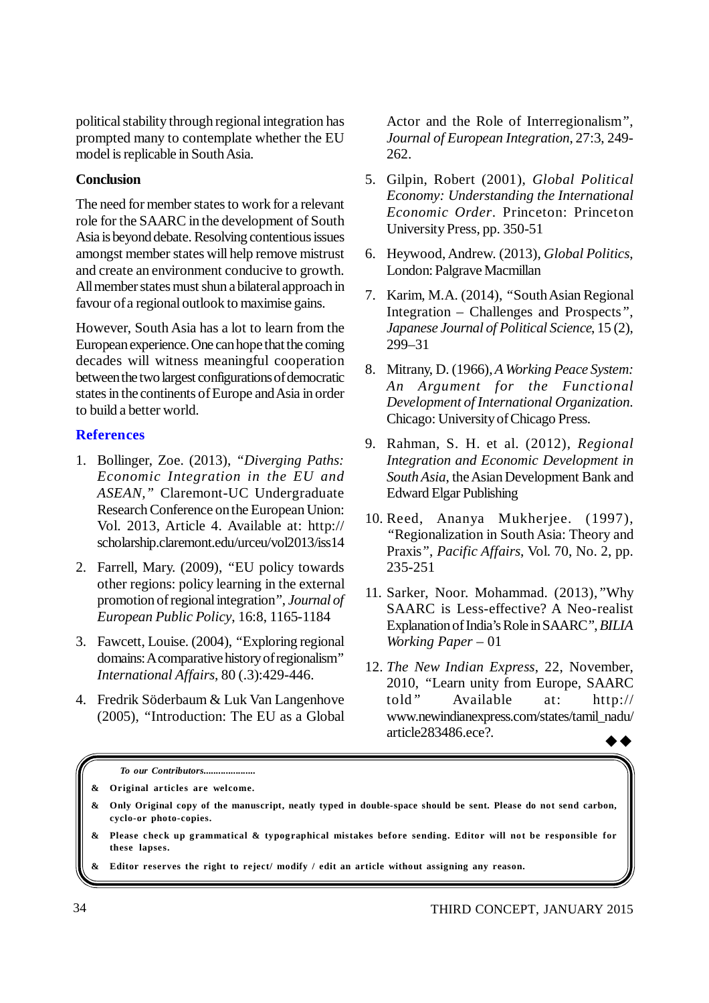political stability through regional integration has prompted many to contemplate whether the EU model is replicable in South Asia.

### **Conclusion**

The need for member states to work for a relevant role for the SAARC in the development of South Asia is beyond debate. Resolving contentious issues amongst member states will help remove mistrust and create an environment conducive to growth. All member states must shun a bilateral approach in favour of a regional outlook to maximise gains.

However, South Asia has a lot to learn from the European experience. One can hope that the coming decades will witness meaningful cooperation between the two largest configurations of democratic states in the continents of Europe and Asia in order to build a better world.

# **References**

- 1. Bollinger, Zoe. (2013), *"Diverging Paths: Economic Integration in the EU and ASEAN,"* Claremont-UC Undergraduate Research Conference on the European Union: Vol. 2013, Article 4. Available at: http:// scholarship.claremont.edu/urceu/vol2013/iss14
- 2. Farrell, Mary. (2009), *"*EU policy towards other regions: policy learning in the external promotion of regional integration*"*, *Journal of European Public Policy*, 16:8, 1165-1184
- 3. Fawcett, Louise. (2004), *"*Exploring regional domains: A comparative history of regionalism*" International Affairs*, 80 (.3):429-446.
- 4. Fredrik Söderbaum & Luk Van Langenhove (2005), *"*Introduction: The EU as a Global

Actor and the Role of Interregionalism*"*, *Journal of European Integration*, 27:3, 249- 262.

- 5. Gilpin, Robert (2001), *Global Political Economy: Understanding the International Economic Order*. Princeton: Princeton University Press, pp. 350-51
- 6. Heywood, Andrew. (2013), *Global Politics*, London: Palgrave Macmillan
- 7. Karim, M.A. (2014), *"*South Asian Regional Integration – Challenges and Prospects*"*, *Japanese Journal of Political Science*, 15 (2), 299–31
- 8. Mitrany, D. (1966), *A Working Peace System: An Argument for the Functional Development of International Organization*. Chicago: University of Chicago Press.
- 9. Rahman, S. H. et al. (2012), *Regional Integration and Economic Development in South Asia*, the Asian Development Bank and Edward Elgar Publishing
- 10. Reed, Ananya Mukherjee. (1997), *"*Regionalization in South Asia: Theory and Praxis*"*, *Pacific Affairs*, Vol. 70, No. 2, pp. 235-251
- 11. Sarker, Noor. Mohammad. (2013),*"*Why SAARC is Less-effective? A Neo-realist Explanation of India's Role in SAARC*"*, *BILIA Working Paper* – 01
- 12. *The New Indian Express*, 22, November, 2010, *"*Learn unity from Europe, SAARC told*"* Available at: http:// www.newindianexpress.com/states/tamil\_nadu/ article283486.ece?.  $\rightarrow \rightarrow$

- **& Please check up grammatical & typographical mistakes before sending. Editor will not be responsible for these lapses.**
- **& Editor reserves the right to reject/ modify / edit an article without assigning any reason.**

*To our Contributors.....................*

**<sup>&</sup>amp; Original articles are welcome.**

**<sup>&</sup>amp; Only Original copy of the manuscript, neatly typed in double-space should be sent. Please do not send carbon, cyclo-or photo-copies.**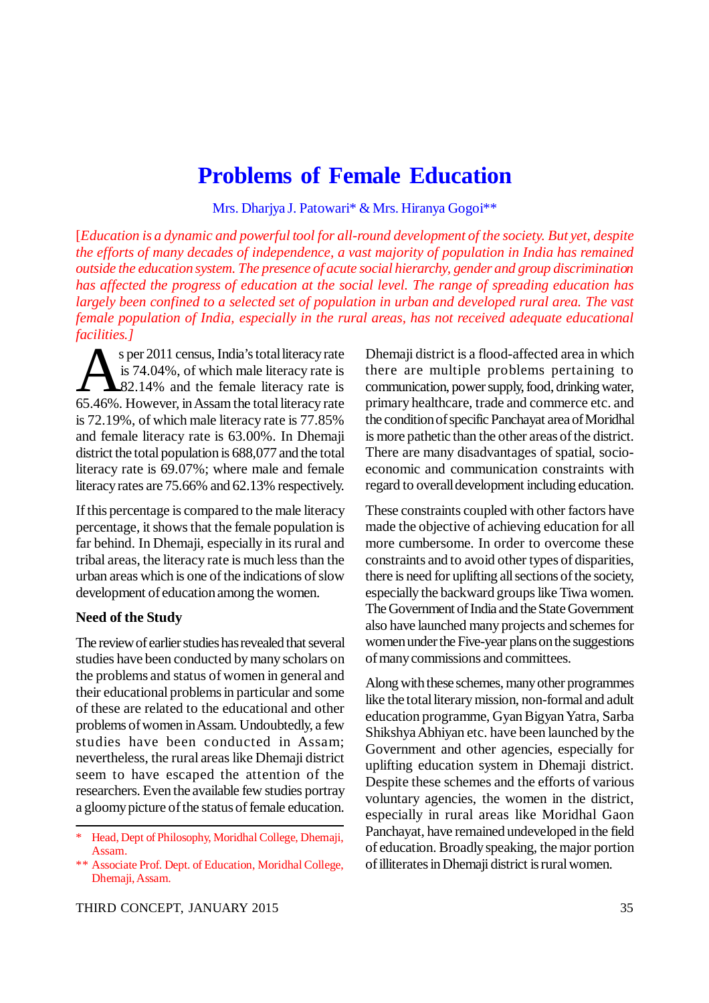# **Problems of Female Education**

Mrs. Dharjya J. Patowari\* & Mrs. Hiranya Gogoi\*\*

[*Education is a dynamic and powerful tool for all-round development of the society. But yet, despite the efforts of many decades of independence, a vast majority of population in India has remained outside the education system. The presence of acute social hierarchy, gender and group discrimination has affected the progress of education at the social level. The range of spreading education has largely been confined to a selected set of population in urban and developed rural area. The vast female population of India, especially in the rural areas, has not received adequate educational facilities.]*

Seper 2011 census, India's total literacy rate<br>is 74.04%, of which male literacy rate is<br>65.46%. However, in Assam the total literacy rate s per 2011 census, India's total literacy rate is 74.04%, of which male literacy rate is 82.14% and the female literacy rate is is 72.19%, of which male literacy rate is 77.85% and female literacy rate is 63.00%. In Dhemaji district the total population is 688,077 and the total literacy rate is 69.07%; where male and female literacy rates are 75.66% and 62.13% respectively.

If this percentage is compared to the male literacy percentage, it shows that the female population is far behind. In Dhemaji, especially in its rural and tribal areas, the literacy rate is much less than the urban areas which is one of the indications of slow development of education among the women.

#### **Need of the Study**

The review of earlier studies has revealed that several studies have been conducted by many scholars on the problems and status of women in general and their educational problems in particular and some of these are related to the educational and other problems of women in Assam. Undoubtedly, a few studies have been conducted in Assam; nevertheless, the rural areas like Dhemaji district seem to have escaped the attention of the researchers. Even the available few studies portray a gloomy picture of the status of female education.

Dhemaji district is a flood-affected area in which there are multiple problems pertaining to communication, power supply, food, drinking water, primary healthcare, trade and commerce etc. and the condition of specific Panchayat area of Moridhal is more pathetic than the other areas of the district. There are many disadvantages of spatial, socioeconomic and communication constraints with regard to overall development including education.

These constraints coupled with other factors have made the objective of achieving education for all more cumbersome. In order to overcome these constraints and to avoid other types of disparities, there is need for uplifting all sections of the society, especially the backward groups like Tiwa women. The Government of India and the State Government also have launched many projects and schemes for women under the Five-year plans on the suggestions of many commissions and committees.

Along with these schemes, many other programmes like the total literary mission, non-formal and adult education programme, Gyan Bigyan Yatra, Sarba Shikshya Abhiyan etc. have been launched by the Government and other agencies, especially for uplifting education system in Dhemaji district. Despite these schemes and the efforts of various voluntary agencies, the women in the district, especially in rural areas like Moridhal Gaon Panchayat, have remained undeveloped in the field of education. Broadly speaking, the major portion of illiterates in Dhemaji district is rural women.

<sup>\*</sup> Head, Dept of Philosophy, Moridhal College, Dhemaji, Assam.

<sup>\*\*</sup> Associate Prof. Dept. of Education, Moridhal College, Dhemaji, Assam.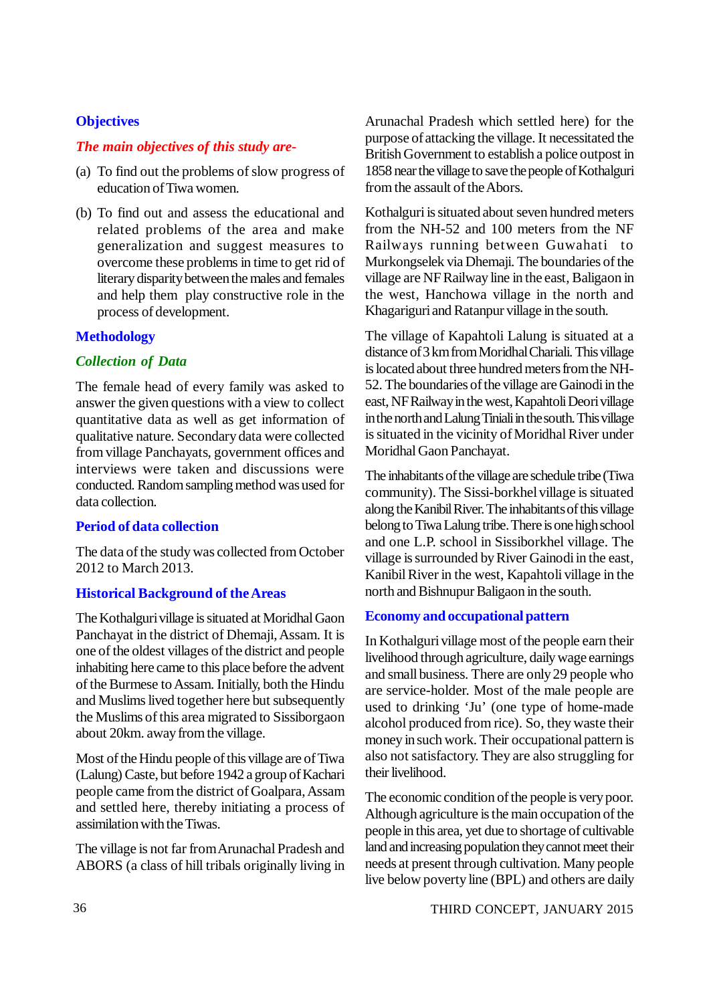#### **Objectives**

#### *The main objectives of this study are-*

- (a) To find out the problems of slow progress of education of Tiwa women.
- (b) To find out and assess the educational and related problems of the area and make generalization and suggest measures to overcome these problems in time to get rid of literary disparity between the males and females and help them play constructive role in the process of development.

#### **Methodology**

#### *Collection of Data*

The female head of every family was asked to answer the given questions with a view to collect quantitative data as well as get information of qualitative nature. Secondary data were collected from village Panchayats, government offices and interviews were taken and discussions were conducted. Random sampling method was used for data collection.

#### **Period of data collection**

The data of the study was collected from October 2012 to March 2013.

#### **Historical Background of the Areas**

The Kothalguri village is situated at Moridhal Gaon Panchayat in the district of Dhemaji, Assam. It is one of the oldest villages of the district and people inhabiting here came to this place before the advent of the Burmese to Assam. Initially, both the Hindu and Muslims lived together here but subsequently the Muslims of this area migrated to Sissiborgaon about 20km. away from the village.

Most of the Hindu people of this village are of Tiwa (Lalung) Caste, but before 1942 a group of Kachari people came from the district of Goalpara, Assam and settled here, thereby initiating a process of assimilation with the Tiwas.

The village is not far from Arunachal Pradesh and ABORS (a class of hill tribals originally living in Arunachal Pradesh which settled here) for the purpose of attacking the village. It necessitated the British Government to establish a police outpost in 1858 near the village to save the people of Kothalguri from the assault of the Abors.

Kothalguri is situated about seven hundred meters from the NH-52 and 100 meters from the NF Railways running between Guwahati to Murkongselek via Dhemaji. The boundaries of the village are NF Railway line in the east, Baligaon in the west, Hanchowa village in the north and Khagariguri and Ratanpur village in the south.

The village of Kapahtoli Lalung is situated at a distance of 3 km from Moridhal Chariali. This village is located about three hundred meters from the NH-52. The boundaries of the village are Gainodi in the east, NF Railway in the west, Kapahtoli Deori village in the north and Lalung Tiniali in the south. This village is situated in the vicinity of Moridhal River under Moridhal Gaon Panchayat.

The inhabitants of the village are schedule tribe (Tiwa community). The Sissi-borkhel village is situated along the Kanibil River. The inhabitants of this village belong to Tiwa Lalung tribe. There is one high school and one L.P. school in Sissiborkhel village. The village is surrounded by River Gainodi in the east, Kanibil River in the west, Kapahtoli village in the north and Bishnupur Baligaon in the south.

#### **Economy and occupational pattern**

In Kothalguri village most of the people earn their livelihood through agriculture, daily wage earnings and small business. There are only 29 people who are service-holder. Most of the male people are used to drinking 'Ju' (one type of home-made alcohol produced from rice). So, they waste their money in such work. Their occupational pattern is also not satisfactory. They are also struggling for their livelihood.

The economic condition of the people is very poor. Although agriculture is the main occupation of the people in this area, yet due to shortage of cultivable land and increasing population they cannot meet their needs at present through cultivation. Many people live below poverty line (BPL) and others are daily

36 THIRD CONCEPT, JANUARY 2015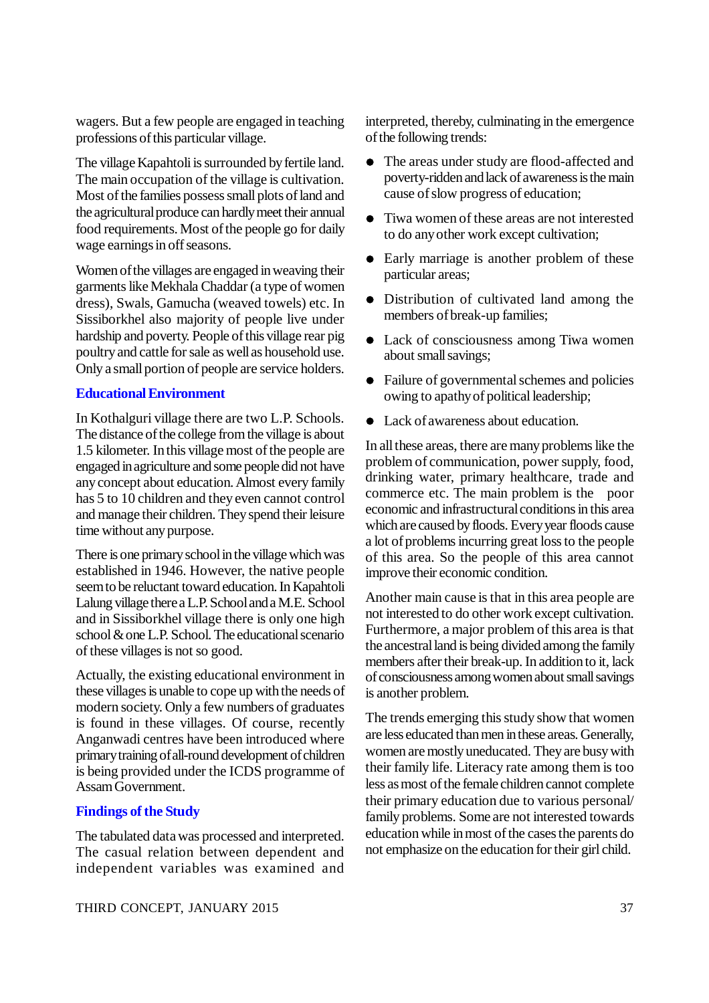wagers. But a few people are engaged in teaching professions of this particular village.

The village Kapahtoli is surrounded by fertile land. The main occupation of the village is cultivation. Most of the families possess small plots of land and the agricultural produce can hardly meet their annual food requirements. Most of the people go for daily wage earnings in off seasons.

Women of the villages are engaged in weaving their garments like Mekhala Chaddar (a type of women dress), Swals, Gamucha (weaved towels) etc. In Sissiborkhel also majority of people live under hardship and poverty. People of this village rear pig poultry and cattle for sale as well as household use. Only a small portion of people are service holders.

#### **Educational Environment**

In Kothalguri village there are two L.P. Schools. The distance of the college from the village is about 1.5 kilometer. In this village most of the people are engaged in agriculture and some people did not have any concept about education. Almost every family has 5 to 10 children and they even cannot control and manage their children. They spend their leisure time without any purpose.

There is one primary school in the village which was established in 1946. However, the native people seem to be reluctant toward education. In Kapahtoli Lalung village there a L.P. School and a M.E. School and in Sissiborkhel village there is only one high school & one L.P. School. The educational scenario of these villages is not so good.

Actually, the existing educational environment in these villages is unable to cope up with the needs of modern society. Only a few numbers of graduates is found in these villages. Of course, recently Anganwadi centres have been introduced where primary training of all-round development of children is being provided under the ICDS programme of Assam Government.

### **Findings of the Study**

The tabulated data was processed and interpreted. The casual relation between dependent and independent variables was examined and interpreted, thereby, culminating in the emergence of the following trends:

- The areas under study are flood-affected and poverty-ridden and lack of awareness is the main cause of slow progress of education;
- Tiwa women of these areas are not interested to do any other work except cultivation;
- Early marriage is another problem of these particular areas;
- Distribution of cultivated land among the members of break-up families;
- Lack of consciousness among Tiwa women about small savings;
- Failure of governmental schemes and policies owing to apathy of political leadership;
- Lack of awareness about education.

In all these areas, there are many problems like the problem of communication, power supply, food, drinking water, primary healthcare, trade and commerce etc. The main problem is the poor economic and infrastructural conditions in this area which are caused by floods. Every year floods cause a lot of problems incurring great loss to the people of this area. So the people of this area cannot improve their economic condition.

Another main cause is that in this area people are not interested to do other work except cultivation. Furthermore, a major problem of this area is that the ancestral land is being divided among the family members after their break-up. In addition to it, lack of consciousness among women about small savings is another problem.

The trends emerging this study show that women are less educated than men in these areas. Generally, women are mostly uneducated. They are busy with their family life. Literacy rate among them is too less as most of the female children cannot complete their primary education due to various personal/ family problems. Some are not interested towards education while in most of the cases the parents do not emphasize on the education for their girl child.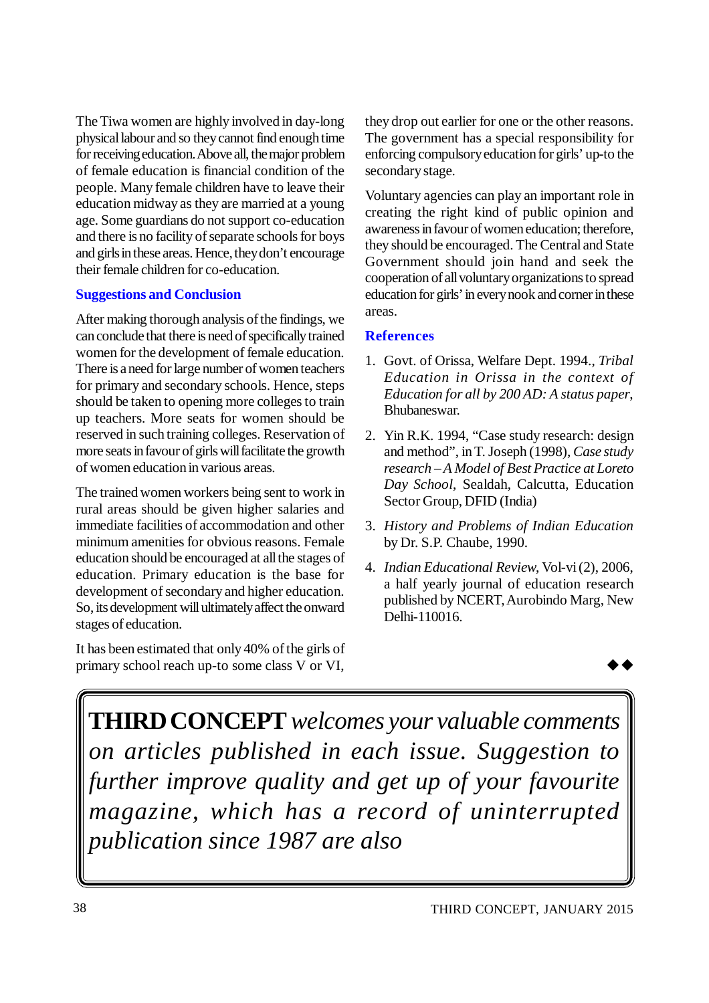The Tiwa women are highly involved in day-long physical labour and so they cannot find enough time for receiving education. Above all, the major problem of female education is financial condition of the people. Many female children have to leave their education midway as they are married at a young age. Some guardians do not support co-education and there is no facility of separate schools for boys and girls in these areas. Hence, they don't encourage their female children for co-education.

### **Suggestions and Conclusion**

After making thorough analysis of the findings, we can conclude that there is need of specifically trained women for the development of female education. There is a need for large number of women teachers for primary and secondary schools. Hence, steps should be taken to opening more colleges to train up teachers. More seats for women should be reserved in such training colleges. Reservation of more seats in favour of girls will facilitate the growth of women education in various areas.

The trained women workers being sent to work in rural areas should be given higher salaries and immediate facilities of accommodation and other minimum amenities for obvious reasons. Female education should be encouraged at all the stages of education. Primary education is the base for development of secondary and higher education. So, its development will ultimately affect the onward stages of education.

It has been estimated that only 40% of the girls of primary school reach up-to some class V or VI,

they drop out earlier for one or the other reasons. The government has a special responsibility for enforcing compulsory education for girls' up-to the secondary stage.

Voluntary agencies can play an important role in creating the right kind of public opinion and awareness in favour of women education; therefore, they should be encouraged. The Central and State Government should join hand and seek the cooperation of all voluntary organizations to spread education for girls' in every nook and corner in these areas.

### **References**

- 1. Govt. of Orissa, Welfare Dept. 1994., *Tribal Education in Orissa in the context of Education for all by 200 AD: A status paper*, Bhubaneswar.
- 2. Yin R.K. 1994, "Case study research: design and method", in T. Joseph (1998), *Case study research – A Model of Best Practice at Loreto Day School*, Sealdah, Calcutta, Education Sector Group, DFID (India)
- 3. *History and Problems of Indian Education* by Dr. S.P. Chaube, 1990.
- 4. *Indian Educational Review*, Vol-vi (2), 2006, a half yearly journal of education research published by NCERT, Aurobindo Marg, New Delhi-110016.



**THIRD CONCEPT***welcomes your valuable comments on articles published in each issue. Suggestion to further improve quality and get up of your favourite magazine, which has a record of uninterrupted publication since 1987 are also*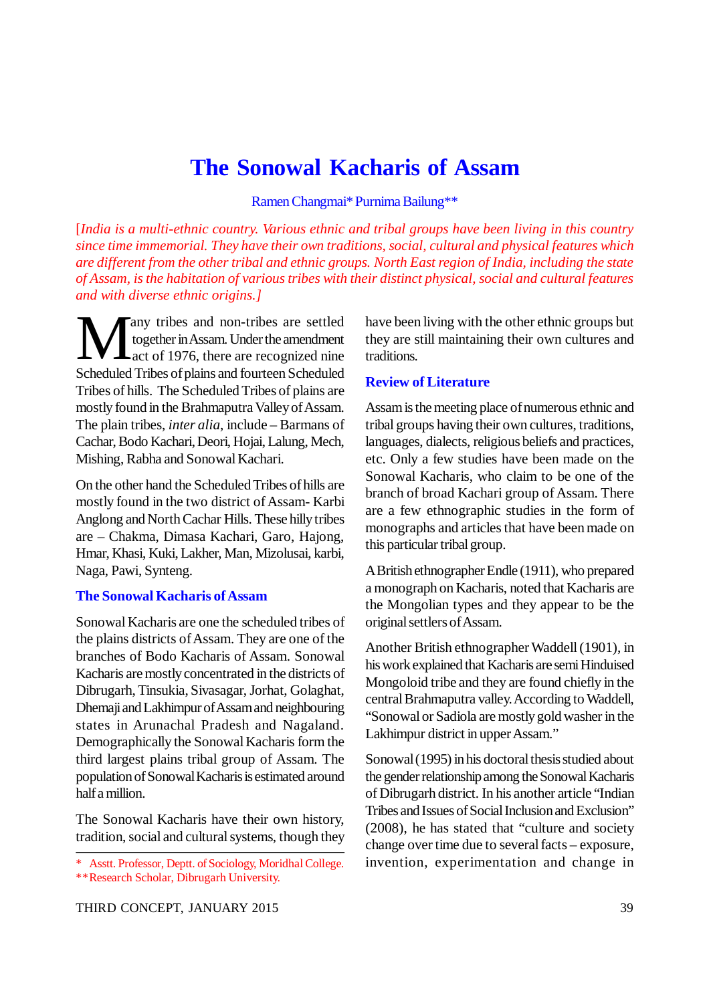# **The Sonowal Kacharis of Assam**

Ramen Changmai\* Purnima Bailung\*\*

[*India is a multi-ethnic country. Various ethnic and tribal groups have been living in this country since time immemorial. They have their own traditions, social, cultural and physical features which are different from the other tribal and ethnic groups. North East region of India, including the state of Assam, is the habitation of various tribes with their distinct physical, social and cultural features and with diverse ethnic origins.]*

Many tribes and non-tribes are settled<br>together in Assam. Under the amendment<br>Scheduled Tribes of plains and fourteen Scheduled Tany tribes and non-tribes are settled together in Assam. Under the amendment act of 1976, there are recognized nine Tribes of hills. The Scheduled Tribes of plains are mostly found in the Brahmaputra Valley of Assam. The plain tribes, *inter alia*, include – Barmans of Cachar, Bodo Kachari, Deori, Hojai, Lalung, Mech, Mishing, Rabha and Sonowal Kachari.

On the other hand the Scheduled Tribes of hills are mostly found in the two district of Assam- Karbi Anglong and North Cachar Hills. These hilly tribes are – Chakma, Dimasa Kachari, Garo, Hajong, Hmar, Khasi, Kuki, Lakher, Man, Mizolusai, karbi, Naga, Pawi, Synteng.

### **The Sonowal Kacharis of Assam**

Sonowal Kacharis are one the scheduled tribes of the plains districts of Assam. They are one of the branches of Bodo Kacharis of Assam. Sonowal Kacharis are mostly concentrated in the districts of Dibrugarh, Tinsukia, Sivasagar, Jorhat, Golaghat, Dhemaji and Lakhimpur of Assam and neighbouring states in Arunachal Pradesh and Nagaland. Demographically the Sonowal Kacharis form the third largest plains tribal group of Assam. The population of Sonowal Kacharis is estimated around half a million.

The Sonowal Kacharis have their own history, tradition, social and cultural systems, though they have been living with the other ethnic groups but they are still maintaining their own cultures and traditions.

#### **Review of Literature**

Assam is the meeting place of numerous ethnic and tribal groups having their own cultures, traditions, languages, dialects, religious beliefs and practices, etc. Only a few studies have been made on the Sonowal Kacharis, who claim to be one of the branch of broad Kachari group of Assam. There are a few ethnographic studies in the form of monographs and articles that have been made on this particular tribal group.

A British ethnographer Endle (1911), who prepared a monograph on Kacharis, noted that Kacharis are the Mongolian types and they appear to be the original settlers of Assam.

Another British ethnographer Waddell (1901), in his work explained that Kacharis are semi Hinduised Mongoloid tribe and they are found chiefly in the central Brahmaputra valley. According to Waddell, "Sonowal or Sadiola are mostly gold washer in the Lakhimpur district in upper Assam."

Sonowal (1995) in his doctoral thesis studied about the gender relationship among the Sonowal Kacharis of Dibrugarh district. In his another article "Indian Tribes and Issues of Social Inclusion and Exclusion" (2008), he has stated that "culture and society change over time due to several facts – exposure, invention, experimentation and change in

<sup>\*</sup> Asstt. Professor, Deptt. of Sociology, Moridhal College.

<sup>\*\*</sup>Research Scholar, Dibrugarh University.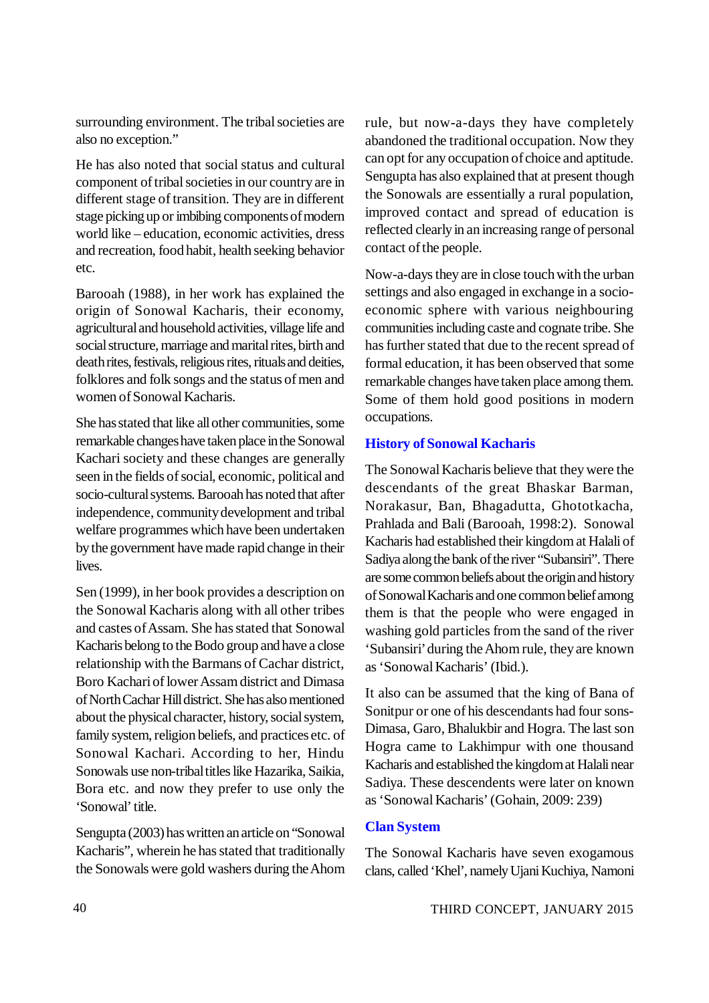surrounding environment. The tribal societies are also no exception."

He has also noted that social status and cultural component of tribal societies in our country are in different stage of transition. They are in different stage picking up or imbibing components of modern world like – education, economic activities, dress and recreation, food habit, health seeking behavior etc.

Barooah (1988), in her work has explained the origin of Sonowal Kacharis, their economy, agricultural and household activities, village life and social structure, marriage and marital rites, birth and death rites, festivals, religious rites, rituals and deities, folklores and folk songs and the status of men and women of Sonowal Kacharis.

She has stated that like all other communities, some remarkable changes have taken place in the Sonowal Kachari society and these changes are generally seen in the fields of social, economic, political and socio-cultural systems. Barooah has noted that after independence, community development and tribal welfare programmes which have been undertaken by the government have made rapid change in their lives.

Sen (1999), in her book provides a description on the Sonowal Kacharis along with all other tribes and castes of Assam. She has stated that Sonowal Kacharis belong to the Bodo group and have a close relationship with the Barmans of Cachar district, Boro Kachari of lower Assam district and Dimasa of North Cachar Hill district. She has also mentioned about the physical character, history, social system, family system, religion beliefs, and practices etc. of Sonowal Kachari. According to her, Hindu Sonowals use non-tribal titles like Hazarika, Saikia, Bora etc. and now they prefer to use only the 'Sonowal' title.

Sengupta (2003) has written an article on "Sonowal Kacharis", wherein he has stated that traditionally the Sonowals were gold washers during the Ahom rule, but now-a-days they have completely abandoned the traditional occupation. Now they can opt for any occupation of choice and aptitude. Sengupta has also explained that at present though the Sonowals are essentially a rural population, improved contact and spread of education is reflected clearly in an increasing range of personal contact of the people.

Now-a-days they are in close touch with the urban settings and also engaged in exchange in a socioeconomic sphere with various neighbouring communities including caste and cognate tribe. She has further stated that due to the recent spread of formal education, it has been observed that some remarkable changes have taken place among them. Some of them hold good positions in modern occupations.

#### **History of Sonowal Kacharis**

The Sonowal Kacharis believe that they were the descendants of the great Bhaskar Barman, Norakasur, Ban, Bhagadutta, Ghototkacha, Prahlada and Bali (Barooah, 1998:2). Sonowal Kacharis had established their kingdom at Halali of Sadiya along the bank of the river "Subansiri". There are some common beliefs about the origin and history of Sonowal Kacharis and one common belief among them is that the people who were engaged in washing gold particles from the sand of the river 'Subansiri' during the Ahom rule, they are known as 'Sonowal Kacharis' (Ibid.).

It also can be assumed that the king of Bana of Sonitpur or one of his descendants had four sons-Dimasa, Garo, Bhalukbir and Hogra. The last son Hogra came to Lakhimpur with one thousand Kacharis and established the kingdom at Halali near Sadiya. These descendents were later on known as 'Sonowal Kacharis' (Gohain, 2009: 239)

#### **Clan System**

The Sonowal Kacharis have seven exogamous clans, called 'Khel', namely Ujani Kuchiya, Namoni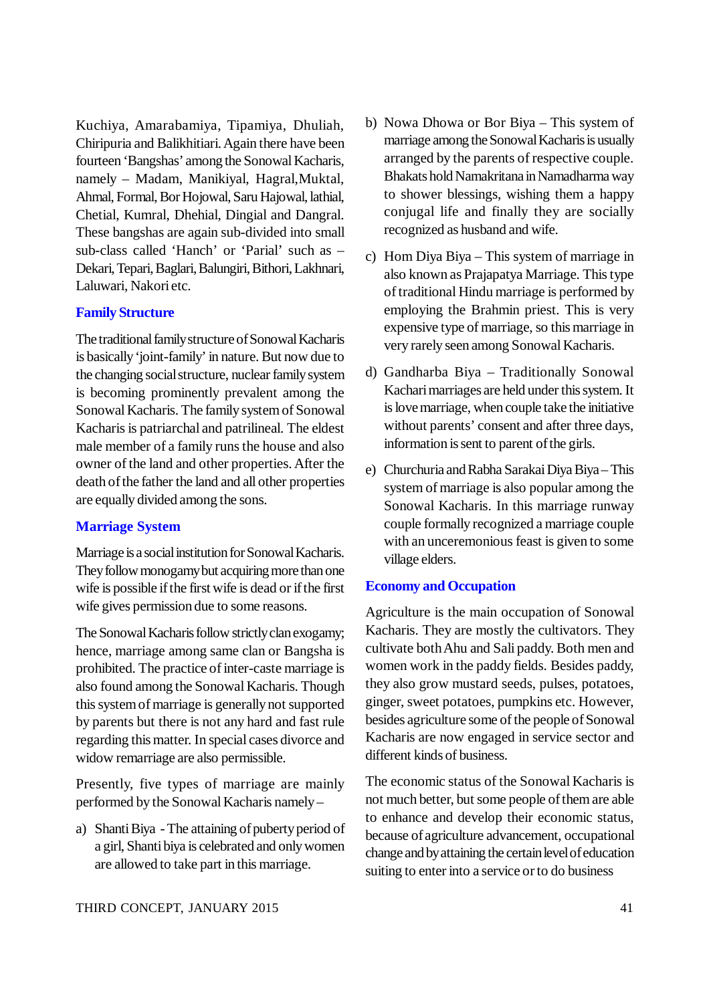Kuchiya, Amarabamiya, Tipamiya, Dhuliah, Chiripuria and Balikhitiari. Again there have been fourteen 'Bangshas' among the Sonowal Kacharis, namely – Madam, Manikiyal, Hagral,Muktal, Ahmal, Formal, Bor Hojowal, Saru Hajowal, lathial, Chetial, Kumral, Dhehial, Dingial and Dangral. These bangshas are again sub-divided into small sub-class called 'Hanch' or 'Parial' such as – Dekari, Tepari, Baglari, Balungiri, Bithori, Lakhnari, Laluwari, Nakori etc.

#### **Family Structure**

The traditional family structure of Sonowal Kacharis is basically 'joint-family' in nature. But now due to the changing social structure, nuclear family system is becoming prominently prevalent among the Sonowal Kacharis. The family system of Sonowal Kacharis is patriarchal and patrilineal. The eldest male member of a family runs the house and also owner of the land and other properties. After the death of the father the land and all other properties are equally divided among the sons.

#### **Marriage System**

Marriage is a social institution for Sonowal Kacharis. They follow monogamy but acquiring more than one wife is possible if the first wife is dead or if the first wife gives permission due to some reasons.

The Sonowal Kacharis follow strictly clan exogamy; hence, marriage among same clan or Bangsha is prohibited. The practice of inter-caste marriage is also found among the Sonowal Kacharis. Though this system of marriage is generally not supported by parents but there is not any hard and fast rule regarding this matter. In special cases divorce and widow remarriage are also permissible.

Presently, five types of marriage are mainly performed by the Sonowal Kacharis namely –

a) Shanti Biya - The attaining of puberty period of a girl, Shanti biya is celebrated and only women are allowed to take part in this marriage.

- b) Nowa Dhowa or Bor Biya This system of marriage among the Sonowal Kacharis is usually arranged by the parents of respective couple. Bhakats hold Namakritana in Namadharma way to shower blessings, wishing them a happy conjugal life and finally they are socially recognized as husband and wife.
- c) Hom Diya Biya This system of marriage in also known as Prajapatya Marriage. This type of traditional Hindu marriage is performed by employing the Brahmin priest. This is very expensive type of marriage, so this marriage in very rarely seen among Sonowal Kacharis.
- d) Gandharba Biya Traditionally Sonowal Kachari marriages are held under this system. It is love marriage, when couple take the initiative without parents' consent and after three days, information is sent to parent of the girls.
- e) Churchuria and Rabha Sarakai Diya Biya This system of marriage is also popular among the Sonowal Kacharis. In this marriage runway couple formally recognized a marriage couple with an unceremonious feast is given to some village elders.

#### **Economy and Occupation**

Agriculture is the main occupation of Sonowal Kacharis. They are mostly the cultivators. They cultivate both Ahu and Sali paddy. Both men and women work in the paddy fields. Besides paddy, they also grow mustard seeds, pulses, potatoes, ginger, sweet potatoes, pumpkins etc. However, besides agriculture some of the people of Sonowal Kacharis are now engaged in service sector and different kinds of business.

The economic status of the Sonowal Kacharis is not much better, but some people of them are able to enhance and develop their economic status, because of agriculture advancement, occupational change and by attaining the certain level of education suiting to enter into a service or to do business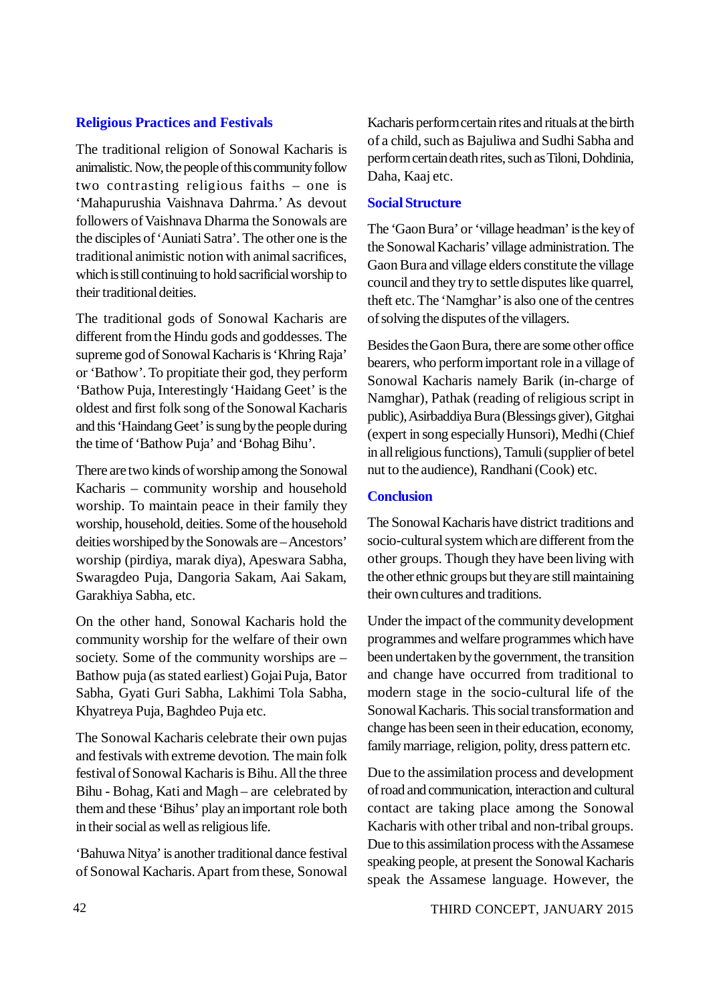### **Religious Practices and Festivals**

The traditional religion of Sonowal Kacharis is animalistic. Now, the people of this community follow two contrasting religious faiths – one is 'Mahapurushia Vaishnava Dahrma.' As devout followers of Vaishnava Dharma the Sonowals are the disciples of 'Auniati Satra'. The other one is the traditional animistic notion with animal sacrifices, which is still continuing to hold sacrificial worship to their traditional deities.

The traditional gods of Sonowal Kacharis are different from the Hindu gods and goddesses. The supreme god of Sonowal Kacharis is 'Khring Raja' or 'Bathow'. To propitiate their god, they perform 'Bathow Puja, Interestingly 'Haidang Geet' is the oldest and first folk song of the Sonowal Kacharis and this 'Haindang Geet' is sung by the people during the time of 'Bathow Puja' and 'Bohag Bihu'.

There are two kinds of worship among the Sonowal Kacharis – community worship and household worship. To maintain peace in their family they worship, household, deities. Some of the household deities worshiped by the Sonowals are – Ancestors' worship (pirdiya, marak diya), Apeswara Sabha, Swaragdeo Puja, Dangoria Sakam, Aai Sakam, Garakhiya Sabha, etc.

On the other hand, Sonowal Kacharis hold the community worship for the welfare of their own society. Some of the community worships are – Bathow puja (as stated earliest) Gojai Puja, Bator Sabha, Gyati Guri Sabha, Lakhimi Tola Sabha, Khyatreya Puja, Baghdeo Puja etc.

The Sonowal Kacharis celebrate their own pujas and festivals with extreme devotion. The main folk festival of Sonowal Kacharis is Bihu. All the three Bihu - Bohag, Kati and Magh – are celebrated by them and these 'Bihus' play an important role both in their social as well as religious life.

'Bahuwa Nitya' is another traditional dance festival of Sonowal Kacharis. Apart from these, Sonowal Kacharis perform certain rites and rituals at the birth of a child, such as Bajuliwa and Sudhi Sabha and perform certain death rites, such as Tiloni, Dohdinia, Daha, Kaaj etc.

#### **Social Structure**

The 'Gaon Bura' or 'village headman' is the key of the Sonowal Kacharis' village administration. The Gaon Bura and village elders constitute the village council and they try to settle disputes like quarrel, theft etc. The 'Namghar' is also one of the centres of solving the disputes of the villagers.

Besides the Gaon Bura, there are some other office bearers, who perform important role in a village of Sonowal Kacharis namely Barik (in-charge of Namghar), Pathak (reading of religious script in public), Asirbaddiya Bura (Blessings giver), Gitghai (expert in song especially Hunsori), Medhi (Chief in all religious functions), Tamuli (supplier of betel nut to the audience), Randhani (Cook) etc.

### **Conclusion**

The Sonowal Kacharis have district traditions and socio-cultural system which are different from the other groups. Though they have been living with the other ethnic groups but they are still maintaining their own cultures and traditions.

Under the impact of the community development programmes and welfare programmes which have been undertaken by the government, the transition and change have occurred from traditional to modern stage in the socio-cultural life of the Sonowal Kacharis. This social transformation and change has been seen in their education, economy, family marriage, religion, polity, dress pattern etc.

Due to the assimilation process and development of road and communication, interaction and cultural contact are taking place among the Sonowal Kacharis with other tribal and non-tribal groups. Due to this assimilation process with the Assamese speaking people, at present the Sonowal Kacharis speak the Assamese language. However, the

42 THIRD CONCEPT, JANUARY 2015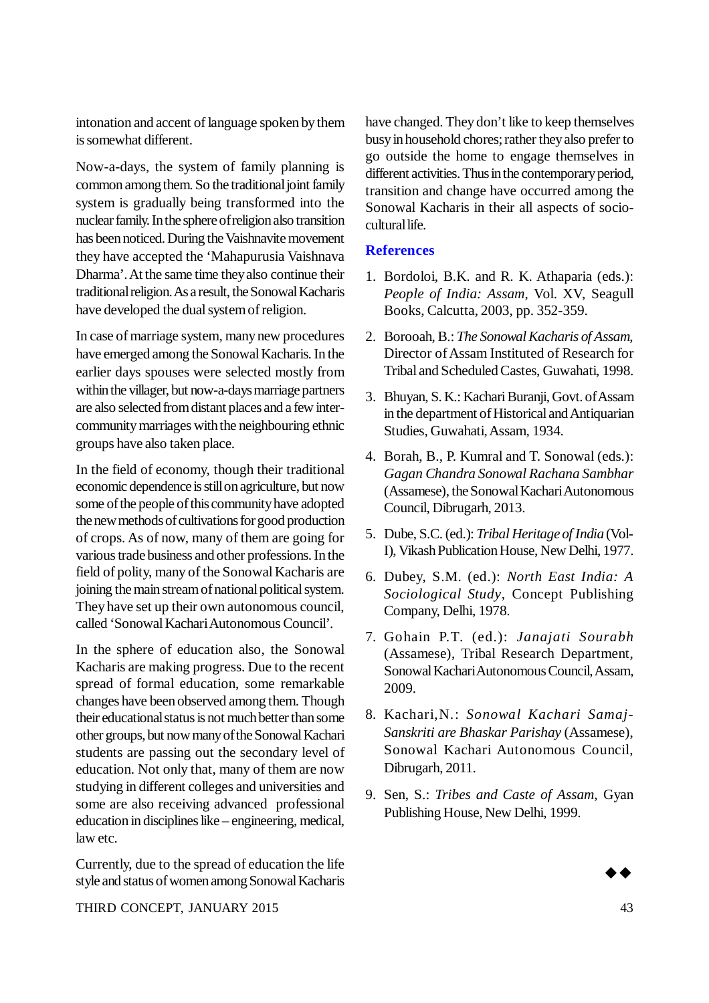intonation and accent of language spoken by them is somewhat different.

Now-a-days, the system of family planning is common among them. So the traditional joint family system is gradually being transformed into the nuclear family. In the sphere of religion also transition has been noticed. During the Vaishnavite movement they have accepted the 'Mahapurusia Vaishnava Dharma'. At the same time they also continue their traditional religion. As a result, the Sonowal Kacharis have developed the dual system of religion.

In case of marriage system, many new procedures have emerged among the Sonowal Kacharis. In the earlier days spouses were selected mostly from within the villager, but now-a-days marriage partners are also selected from distant places and a few intercommunity marriages with the neighbouring ethnic groups have also taken place.

In the field of economy, though their traditional economic dependence is still on agriculture, but now some of the people of this community have adopted the new methods of cultivations for good production of crops. As of now, many of them are going for various trade business and other professions. In the field of polity, many of the Sonowal Kacharis are joining the main stream of national political system. They have set up their own autonomous council, called 'Sonowal Kachari Autonomous Council'.

In the sphere of education also, the Sonowal Kacharis are making progress. Due to the recent spread of formal education, some remarkable changes have been observed among them. Though their educational status is not much better than some other groups, but now many of the Sonowal Kachari students are passing out the secondary level of education. Not only that, many of them are now studying in different colleges and universities and some are also receiving advanced professional education in disciplines like – engineering, medical, law etc.

Currently, due to the spread of education the life style and status of women among Sonowal Kacharis

THIRD CONCEPT, JANUARY 2015 43

have changed. They don't like to keep themselves busy in household chores; rather they also prefer to go outside the home to engage themselves in different activities. Thus in the contemporary period, transition and change have occurred among the Sonowal Kacharis in their all aspects of sociocultural life.

#### **References**

- 1. Bordoloi, B.K. and R. K. Athaparia (eds.): *People of India: Assam*, Vol. XV, Seagull Books, Calcutta, 2003, pp. 352-359.
- 2. Borooah, B.: *The Sonowal Kacharis of Assam*, Director of Assam Instituted of Research for Tribal and Scheduled Castes, Guwahati, 1998.
- 3. Bhuyan, S. K.: Kachari Buranji, Govt. of Assam in the department of Historical and Antiquarian Studies, Guwahati, Assam, 1934.
- 4. Borah, B., P. Kumral and T. Sonowal (eds.): *Gagan Chandra Sonowal Rachana Sambhar* (Assamese), the Sonowal Kachari Autonomous Council, Dibrugarh, 2013.
- 5. Dube, S.C. (ed.): *Tribal Heritage of India* (Vol-I), Vikash Publication House, New Delhi, 1977.
- 6. Dubey, S.M. (ed.): *North East India: A Sociological Study*, Concept Publishing Company, Delhi, 1978.
- 7. Gohain P.T. (ed.): *Janajati Sourabh* (Assamese), Tribal Research Department, Sonowal Kachari Autonomous Council, Assam, 2009.
- 8. Kachari,N.: *Sonowal Kachari Samaj-Sanskriti are Bhaskar Parishay* (Assamese), Sonowal Kachari Autonomous Council, Dibrugarh, 2011.
- 9. Sen, S.: *Tribes and Caste of Assam*, Gyan Publishing House, New Delhi, 1999.

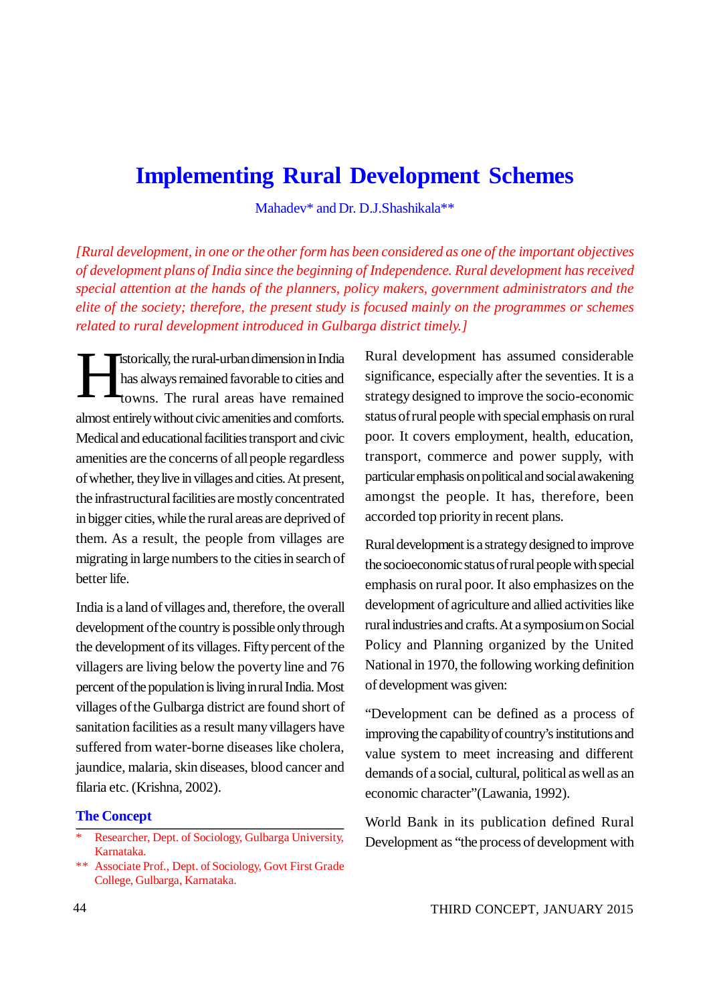# **Implementing Rural Development Schemes**

Mahadev\* and Dr. D.J.Shashikala\*\*

*[Rural development, in one or the other form has been considered as one of the important objectives of development plans of India since the beginning of Independence. Rural development has received special attention at the hands of the planners, policy makers, government administrators and the elite of the society; therefore, the present study is focused mainly on the programmes or schemes related to rural development introduced in Gulbarga district timely.]*

 $\prod_{i}$ istorically, the rural-urban dimension in India has always remained favorable to cities and towns. The rural areas have remained almost entirely without civic amenities and comforts. Medical and educational facilities transport and civic amenities are the concerns of all people regardless of whether, they live in villages and cities. At present, the infrastructural facilities are mostly concentrated in bigger cities, while the rural areas are deprived of them. As a result, the people from villages are migrating in large numbers to the cities in search of better life.

India is a land of villages and, therefore, the overall development of the country is possible only through the development of its villages. Fifty percent of the villagers are living below the poverty line and 76 percent of the population is living in rural India. Most villages of the Gulbarga district are found short of sanitation facilities as a result many villagers have suffered from water-borne diseases like cholera, jaundice, malaria, skin diseases, blood cancer and filaria etc. (Krishna, 2002).

#### **The Concept**

Rural development has assumed considerable significance, especially after the seventies. It is a strategy designed to improve the socio-economic status of rural people with special emphasis on rural poor. It covers employment, health, education, transport, commerce and power supply, with particular emphasis on political and social awakening amongst the people. It has, therefore, been accorded top priority in recent plans.

Rural development is a strategy designed to improve the socioeconomic status of rural people with special emphasis on rural poor. It also emphasizes on the development of agriculture and allied activities like rural industries and crafts. At a symposium on Social Policy and Planning organized by the United National in 1970, the following working definition of development was given:

"Development can be defined as a process of improving the capability of country's institutions and value system to meet increasing and different demands of a social, cultural, political as well as an economic character"(Lawania, 1992).

World Bank in its publication defined Rural Development as "the process of development with

Researcher, Dept. of Sociology, Gulbarga University, Karnataka.

<sup>\*\*</sup> Associate Prof., Dept. of Sociology, Govt First Grade College, Gulbarga, Karnataka.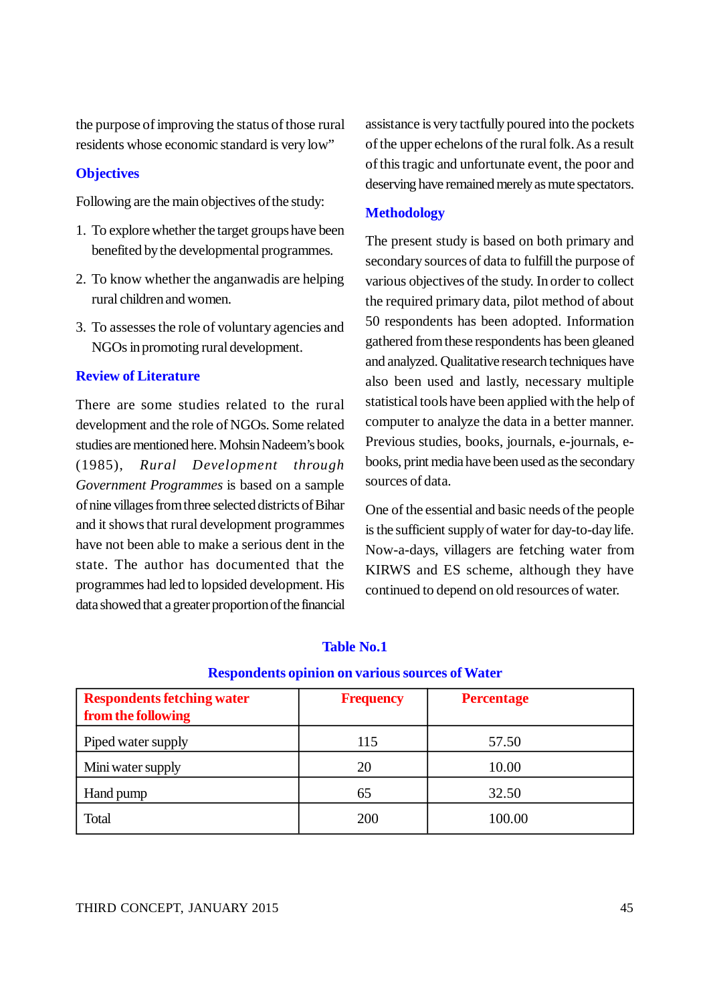the purpose of improving the status of those rural residents whose economic standard is very low"

#### **Objectives**

Following are the main objectives of the study:

- 1. To explore whether the target groups have been benefited by the developmental programmes.
- 2. To know whether the anganwadis are helping rural children and women.
- 3. To assesses the role of voluntary agencies and NGOs in promoting rural development.

### **Review of Literature**

There are some studies related to the rural development and the role of NGOs. Some related studies are mentioned here. Mohsin Nadeem's book (1985), *Rural Development through Government Programmes* is based on a sample of nine villages from three selected districts of Bihar and it shows that rural development programmes have not been able to make a serious dent in the state. The author has documented that the programmes had led to lopsided development. His data showed that a greater proportion of the financial

assistance is very tactfully poured into the pockets of the upper echelons of the rural folk. As a result of this tragic and unfortunate event, the poor and deserving have remained merely as mute spectators.

#### **Methodology**

The present study is based on both primary and secondary sources of data to fulfill the purpose of various objectives of the study. In order to collect the required primary data, pilot method of about 50 respondents has been adopted. Information gathered from these respondents has been gleaned and analyzed. Qualitative research techniques have also been used and lastly, necessary multiple statistical tools have been applied with the help of computer to analyze the data in a better manner. Previous studies, books, journals, e-journals, ebooks, print media have been used as the secondary sources of data.

One of the essential and basic needs of the people is the sufficient supply of water for day-to-day life. Now-a-days, villagers are fetching water from KIRWS and ES scheme, although they have continued to depend on old resources of water.

| <b>Respondents fetching water</b><br>from the following | <b>Frequency</b> | <b>Percentage</b> |
|---------------------------------------------------------|------------------|-------------------|
| Piped water supply                                      | 115              | 57.50             |
| Mini water supply                                       | 20               | 10.00             |
| Hand pump                                               | 65               | 32.50             |
| Total                                                   | 200              | 100.00            |

#### **Table No.1**

#### **Respondents opinion on various sources of Water**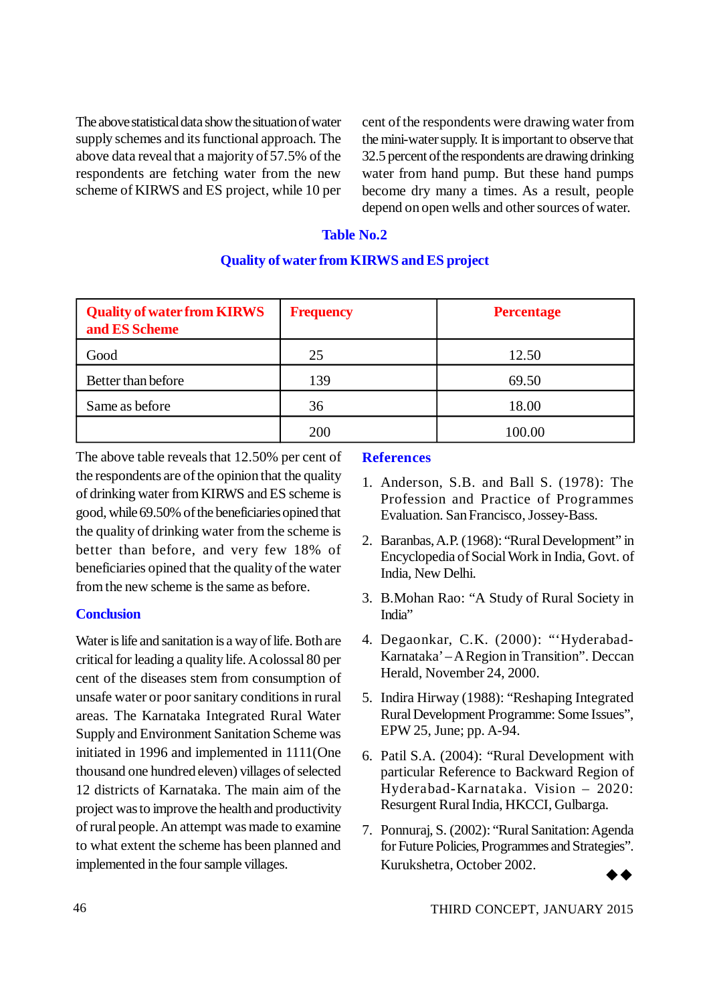The above statistical data show the situation of water supply schemes and its functional approach. The above data reveal that a majority of 57.5% of the respondents are fetching water from the new scheme of KIRWS and ES project, while 10 per

cent of the respondents were drawing water from the mini-water supply. It is important to observe that 32.5 percent of the respondents are drawing drinking water from hand pump. But these hand pumps become dry many a times. As a result, people depend on open wells and other sources of water.

### **Table No.2**

# **Quality of water from KIRWS and ES project**

| <b>Quality of water from KIRWS</b><br>and ES Scheme | <b>Frequency</b> | <b>Percentage</b> |
|-----------------------------------------------------|------------------|-------------------|
| Good                                                | 25               | 12.50             |
| Better than before                                  | 139              | 69.50             |
| Same as before                                      | 36               | 18.00             |
|                                                     | 200              | 100.00            |

The above table reveals that 12.50% per cent of the respondents are of the opinion that the quality of drinking water from KIRWS and ES scheme is good, while 69.50% of the beneficiaries opined that the quality of drinking water from the scheme is better than before, and very few 18% of beneficiaries opined that the quality of the water from the new scheme is the same as before.

### **Conclusion**

Water is life and sanitation is a way of life. Both are critical for leading a quality life. A colossal 80 per cent of the diseases stem from consumption of unsafe water or poor sanitary conditions in rural areas. The Karnataka Integrated Rural Water Supply and Environment Sanitation Scheme was initiated in 1996 and implemented in 1111(One thousand one hundred eleven) villages of selected 12 districts of Karnataka. The main aim of the project was to improve the health and productivity of rural people. An attempt was made to examine to what extent the scheme has been planned and implemented in the four sample villages.

#### **References**

- 1. Anderson, S.B. and Ball S. (1978): The Profession and Practice of Programmes Evaluation. San Francisco, Jossey-Bass.
- 2. Baranbas, A.P. (1968): "Rural Development" in Encyclopedia of Social Work in India, Govt. of India, New Delhi.
- 3. B.Mohan Rao: "A Study of Rural Society in India"
- 4. Degaonkar, C.K. (2000): "'Hyderabad-Karnataka' – A Region in Transition". Deccan Herald, November 24, 2000.
- 5. Indira Hirway (1988): "Reshaping Integrated Rural Development Programme: Some Issues", EPW 25, June; pp. A-94.
- 6. Patil S.A. (2004): "Rural Development with particular Reference to Backward Region of Hyderabad-Karnataka. Vision – 2020: Resurgent Rural India, HKCCI, Gulbarga.
- $\rightarrow \rightarrow$ 7. Ponnuraj, S. (2002): "Rural Sanitation: Agenda for Future Policies, Programmes and Strategies". Kurukshetra, October 2002.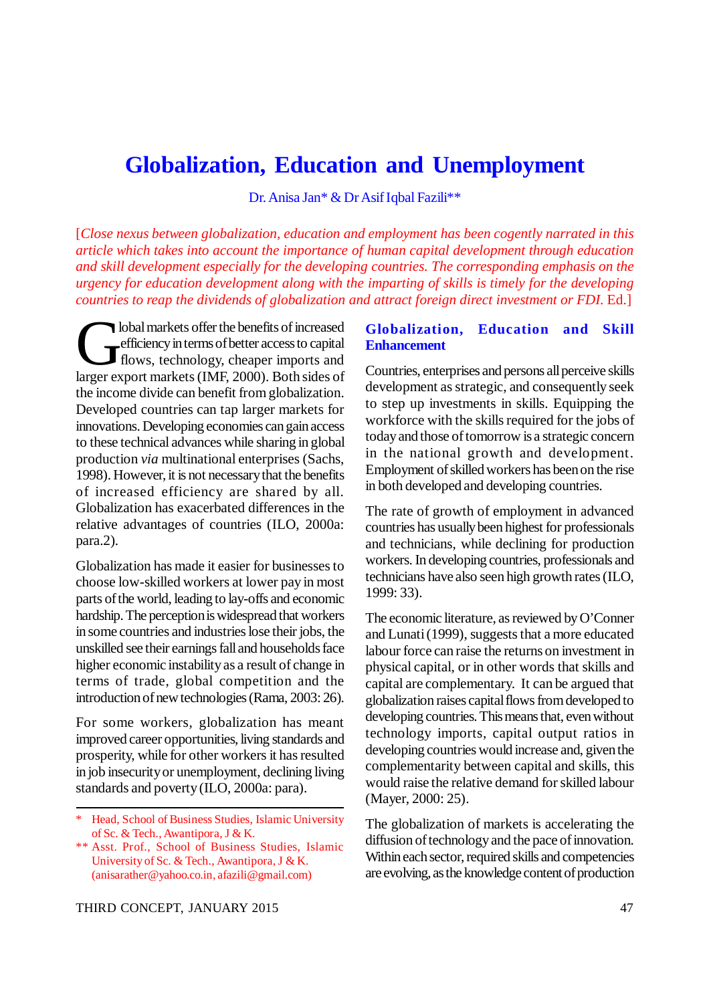# **Globalization, Education and Unemployment**

Dr. Anisa Jan\* & Dr Asif Iqbal Fazili\*\*

[*Close nexus between globalization, education and employment has been cogently narrated in this article which takes into account the importance of human capital development through education and skill development especially for the developing countries. The corresponding emphasis on the urgency for education development along with the imparting of skills is timely for the developing countries to reap the dividends of globalization and attract foreign direct investment or FDI*. Ed.]

Iobal markets offer the benefits of increased<br>
flows, technology, cheaper imports and<br>
larger export markets (IMF, 2000). Both sides of lobal markets offer the benefits of increased efficiency in terms of better access to capital flows, technology, cheaper imports and the income divide can benefit from globalization. Developed countries can tap larger markets for innovations. Developing economies can gain access to these technical advances while sharing in global production *via* multinational enterprises (Sachs, 1998). However, it is not necessary that the benefits of increased efficiency are shared by all. Globalization has exacerbated differences in the relative advantages of countries (ILO, 2000a: para.2).

Globalization has made it easier for businesses to choose low-skilled workers at lower pay in most parts of the world, leading to lay-offs and economic hardship. The perception is widespread that workers in some countries and industries lose their jobs, the unskilled see their earnings fall and households face higher economic instability as a result of change in terms of trade, global competition and the introduction of new technologies (Rama, 2003: 26).

For some workers, globalization has meant improved career opportunities, living standards and prosperity, while for other workers it has resulted in job insecurity or unemployment, declining living standards and poverty (ILO, 2000a: para).

#### **Globalization, Education and Skill Enhancement**

Countries, enterprises and persons all perceive skills development as strategic, and consequently seek to step up investments in skills. Equipping the workforce with the skills required for the jobs of today and those of tomorrow is a strategic concern in the national growth and development. Employment of skilled workers has been on the rise in both developed and developing countries.

The rate of growth of employment in advanced countries has usually been highest for professionals and technicians, while declining for production workers. In developing countries, professionals and technicians have also seen high growth rates (ILO, 1999: 33).

The economic literature, as reviewed by O'Conner and Lunati (1999), suggests that a more educated labour force can raise the returns on investment in physical capital, or in other words that skills and capital are complementary. It can be argued that globalization raises capital flows from developed to developing countries. This means that, even without technology imports, capital output ratios in developing countries would increase and, given the complementarity between capital and skills, this would raise the relative demand for skilled labour (Mayer, 2000: 25).

The globalization of markets is accelerating the diffusion of technology and the pace of innovation. Within each sector, required skills and competencies are evolving, as the knowledge content of production

<sup>\*</sup> Head, School of Business Studies, Islamic University of Sc. & Tech., Awantipora, J & K.

<sup>\*\*</sup> Asst. Prof., School of Business Studies, Islamic University of Sc. & Tech., Awantipora, J & K. (anisarather@yahoo.co.in, afazili@gmail.com)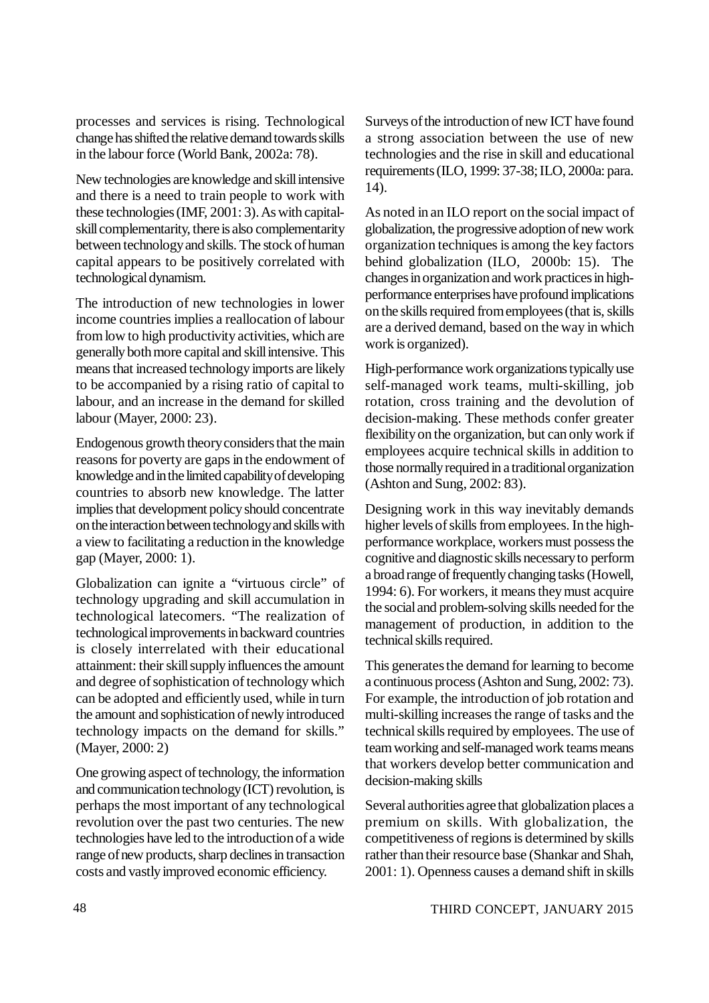processes and services is rising. Technological change has shifted the relative demand towards skills in the labour force (World Bank, 2002a: 78).

New technologies are knowledge and skill intensive and there is a need to train people to work with these technologies (IMF, 2001: 3). As with capitalskill complementarity, there is also complementarity between technology and skills. The stock of human capital appears to be positively correlated with technological dynamism.

The introduction of new technologies in lower income countries implies a reallocation of labour from low to high productivity activities, which are generally both more capital and skill intensive. This means that increased technology imports are likely to be accompanied by a rising ratio of capital to labour, and an increase in the demand for skilled labour (Mayer, 2000: 23).

Endogenous growth theory considers that the main reasons for poverty are gaps in the endowment of knowledge and in the limited capability of developing countries to absorb new knowledge. The latter implies that development policy should concentrate on the interaction between technology and skills with a view to facilitating a reduction in the knowledge gap (Mayer, 2000: 1).

Globalization can ignite a "virtuous circle" of technology upgrading and skill accumulation in technological latecomers. "The realization of technological improvements in backward countries is closely interrelated with their educational attainment: their skill supply influences the amount and degree of sophistication of technology which can be adopted and efficiently used, while in turn the amount and sophistication of newly introduced technology impacts on the demand for skills." (Mayer, 2000: 2)

One growing aspect of technology, the information and communication technology (ICT) revolution, is perhaps the most important of any technological revolution over the past two centuries. The new technologies have led to the introduction of a wide range of new products, sharp declines in transaction costs and vastly improved economic efficiency.

Surveys of the introduction of new ICT have found a strong association between the use of new technologies and the rise in skill and educational requirements (ILO, 1999: 37-38; ILO, 2000a: para. 14).

As noted in an ILO report on the social impact of globalization, the progressive adoption of new work organization techniques is among the key factors behind globalization (ILO, 2000b: 15). The changes in organization and work practices in highperformance enterprises have profound implications on the skills required from employees (that is, skills are a derived demand, based on the way in which work is organized).

High-performance work organizations typically use self-managed work teams, multi-skilling, job rotation, cross training and the devolution of decision-making. These methods confer greater flexibility on the organization, but can only work if employees acquire technical skills in addition to those normally required in a traditional organization (Ashton and Sung, 2002: 83).

Designing work in this way inevitably demands higher levels of skills from employees. In the highperformance workplace, workers must possess the cognitive and diagnostic skills necessary to perform a broad range of frequently changing tasks (Howell, 1994: 6). For workers, it means they must acquire the social and problem-solving skills needed for the management of production, in addition to the technical skills required.

This generates the demand for learning to become a continuous process (Ashton and Sung, 2002: 73). For example, the introduction of job rotation and multi-skilling increases the range of tasks and the technical skills required by employees. The use of team working and self-managed work teams means that workers develop better communication and decision-making skills

Several authorities agree that globalization places a premium on skills. With globalization, the competitiveness of regions is determined by skills rather than their resource base (Shankar and Shah, 2001: 1). Openness causes a demand shift in skills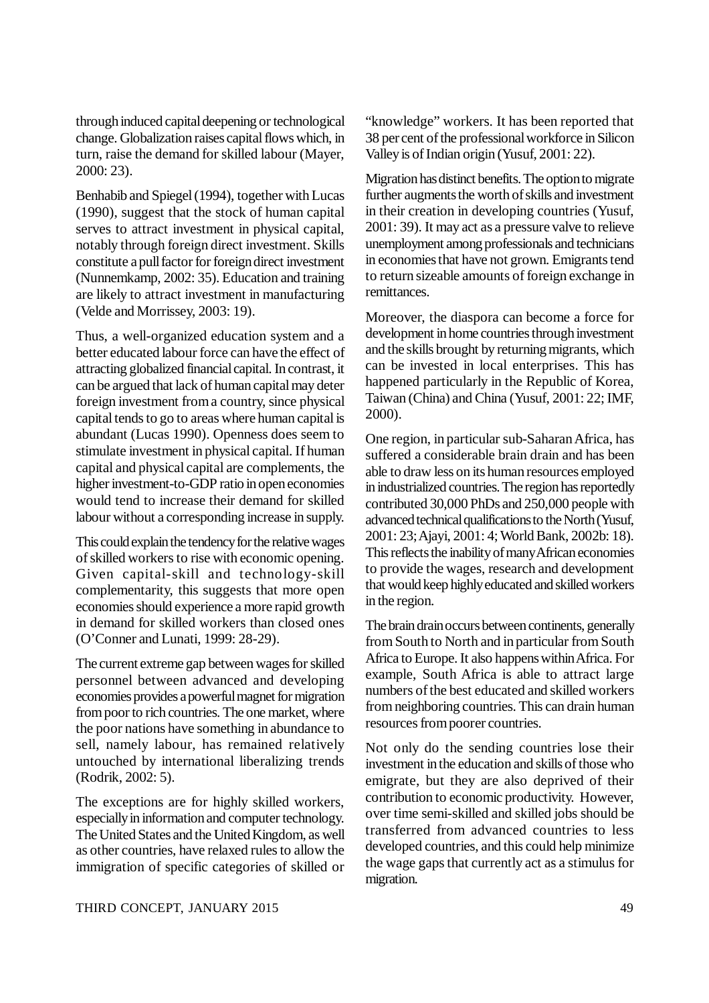through induced capital deepening or technological change. Globalization raises capital flows which, in turn, raise the demand for skilled labour (Mayer, 2000: 23).

Benhabib and Spiegel (1994), together with Lucas (1990), suggest that the stock of human capital serves to attract investment in physical capital, notably through foreign direct investment. Skills constitute a pull factor for foreign direct investment (Nunnemkamp, 2002: 35). Education and training are likely to attract investment in manufacturing (Velde and Morrissey, 2003: 19).

Thus, a well-organized education system and a better educated labour force can have the effect of attracting globalized financial capital. In contrast, it can be argued that lack of human capital may deter foreign investment from a country, since physical capital tends to go to areas where human capital is abundant (Lucas 1990). Openness does seem to stimulate investment in physical capital. If human capital and physical capital are complements, the higher investment-to-GDP ratio in open economies would tend to increase their demand for skilled labour without a corresponding increase in supply.

This could explain the tendency for the relative wages of skilled workers to rise with economic opening. Given capital-skill and technology-skill complementarity, this suggests that more open economies should experience a more rapid growth in demand for skilled workers than closed ones (O'Conner and Lunati, 1999: 28-29).

The current extreme gap between wages for skilled personnel between advanced and developing economies provides a powerful magnet for migration from poor to rich countries. The one market, where the poor nations have something in abundance to sell, namely labour, has remained relatively untouched by international liberalizing trends (Rodrik, 2002: 5).

The exceptions are for highly skilled workers, especially in information and computer technology. The United States and the United Kingdom, as well as other countries, have relaxed rules to allow the immigration of specific categories of skilled or "knowledge" workers. It has been reported that 38 per cent of the professional workforce in Silicon Valley is of Indian origin (Yusuf, 2001: 22).

Migration has distinct benefits. The option to migrate further augments the worth of skills and investment in their creation in developing countries (Yusuf, 2001: 39). It may act as a pressure valve to relieve unemployment among professionals and technicians in economies that have not grown. Emigrants tend to return sizeable amounts of foreign exchange in remittances.

Moreover, the diaspora can become a force for development in home countries through investment and the skills brought by returning migrants, which can be invested in local enterprises. This has happened particularly in the Republic of Korea, Taiwan (China) and China (Yusuf, 2001: 22; IMF, 2000).

One region, in particular sub-Saharan Africa, has suffered a considerable brain drain and has been able to draw less on its human resources employed in industrialized countries. The region has reportedly contributed 30,000 PhDs and 250,000 people with advanced technical qualifications to the North (Yusuf, 2001: 23; Ajayi, 2001: 4; World Bank, 2002b: 18). This reflects the inability of many African economies to provide the wages, research and development that would keep highly educated and skilled workers in the region.

The brain drain occurs between continents, generally from South to North and in particular from South Africa to Europe. It also happens within Africa. For example, South Africa is able to attract large numbers of the best educated and skilled workers from neighboring countries. This can drain human resources from poorer countries.

Not only do the sending countries lose their investment in the education and skills of those who emigrate, but they are also deprived of their contribution to economic productivity. However, over time semi-skilled and skilled jobs should be transferred from advanced countries to less developed countries, and this could help minimize the wage gaps that currently act as a stimulus for migration.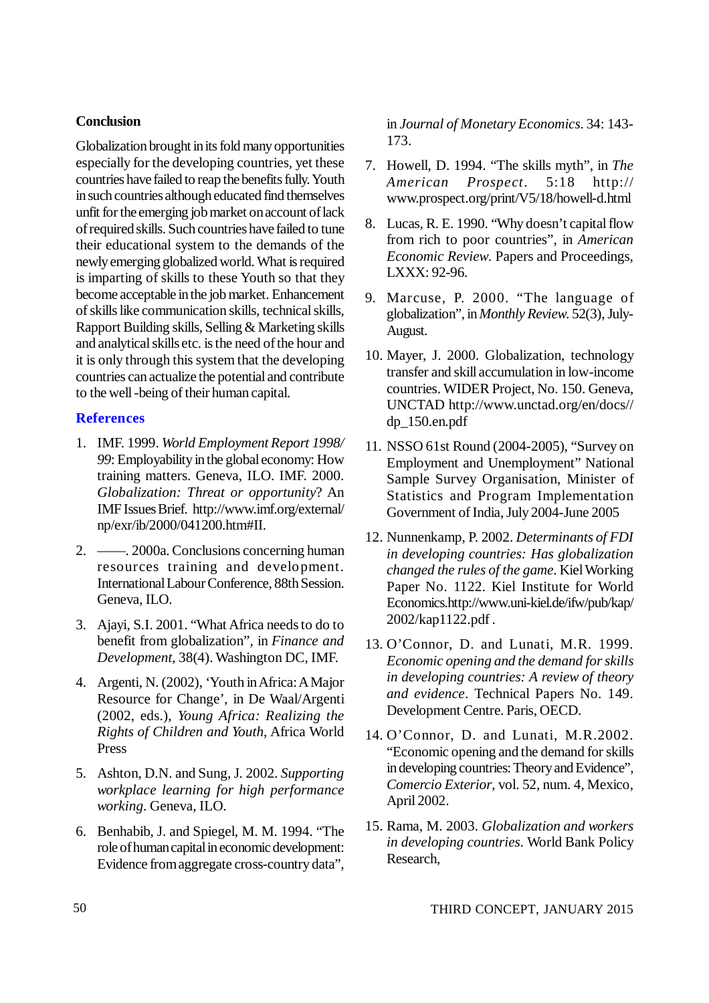### **Conclusion**

Globalization brought in its fold many opportunities especially for the developing countries, yet these countries have failed to reap the benefits fully. Youth in such countries although educated find themselves unfit for the emerging job market on account of lack of required skills. Such countries have failed to tune their educational system to the demands of the newly emerging globalized world. What is required is imparting of skills to these Youth so that they become acceptable in the job market. Enhancement of skills like communication skills, technical skills, Rapport Building skills, Selling & Marketing skills and analytical skills etc. is the need of the hour and it is only through this system that the developing countries can actualize the potential and contribute to the well -being of their human capital.

### **References**

- 1. IMF. 1999. *World Employment Report 1998/ 99*: Employability in the global economy: How training matters. Geneva, ILO. IMF. 2000. *Globalization: Threat or opportunity*? An IMF Issues Brief. http://www.imf.org/external/ np/exr/ib/2000/041200.htm#II.
- 2. ——. 2000a. Conclusions concerning human resources training and development. International Labour Conference, 88th Session. Geneva, ILO.
- 3. Ajayi, S.I. 2001. "What Africa needs to do to benefit from globalization", in *Finance and Development*, 38(4). Washington DC, IMF.
- 4. Argenti, N. (2002), 'Youth in Africa: A Major Resource for Change', in De Waal/Argenti (2002, eds.), *Young Africa: Realizing the Rights of Children and Youth*, Africa World Press
- 5. Ashton, D.N. and Sung, J. 2002. *Supporting workplace learning for high performance working*. Geneva, ILO.
- 6. Benhabib, J. and Spiegel, M. M. 1994. "The role of human capital in economic development: Evidence from aggregate cross-country data",

in *Journal of Monetary Economics*. 34: 143- 173.

- 7. Howell, D. 1994. "The skills myth", in *The American Prospect*. 5:18 http:// www.prospect.org/print/V5/18/howell-d.html
- 8. Lucas, R. E. 1990. "Why doesn't capital flow from rich to poor countries", in *American Economic Review*. Papers and Proceedings, LXXX: 92-96.
- 9. Marcuse, P. 2000. "The language of globalization", in *Monthly Review*. 52(3), July-August.
- 10. Mayer, J. 2000. Globalization, technology transfer and skill accumulation in low-income countries. WIDER Project, No. 150. Geneva, UNCTAD http://www.unctad.org/en/docs// dp\_150.en.pdf
- 11. NSSO 61st Round (2004-2005), "Survey on Employment and Unemployment" National Sample Survey Organisation, Minister of Statistics and Program Implementation Government of India, July 2004-June 2005
- 12. Nunnenkamp, P. 2002. *Determinants of FDI in developing countries: Has globalization changed the rules of the game*. Kiel Working Paper No. 1122. Kiel Institute for World Economics.http://www.uni-kiel.de/ifw/pub/kap/ 2002/kap1122.pdf .
- 13. O'Connor, D. and Lunati, M.R. 1999. *Economic opening and the demand for skills in developing countries: A review of theory and evidence*. Technical Papers No. 149. Development Centre. Paris, OECD.
- 14. O'Connor, D. and Lunati, M.R.2002. "Economic opening and the demand for skills in developing countries: Theory and Evidence", *Comercio Exterior*, vol. 52, num. 4, Mexico, April 2002.
- 15. Rama, M. 2003. *Globalization and workers in developing countries*. World Bank Policy Research,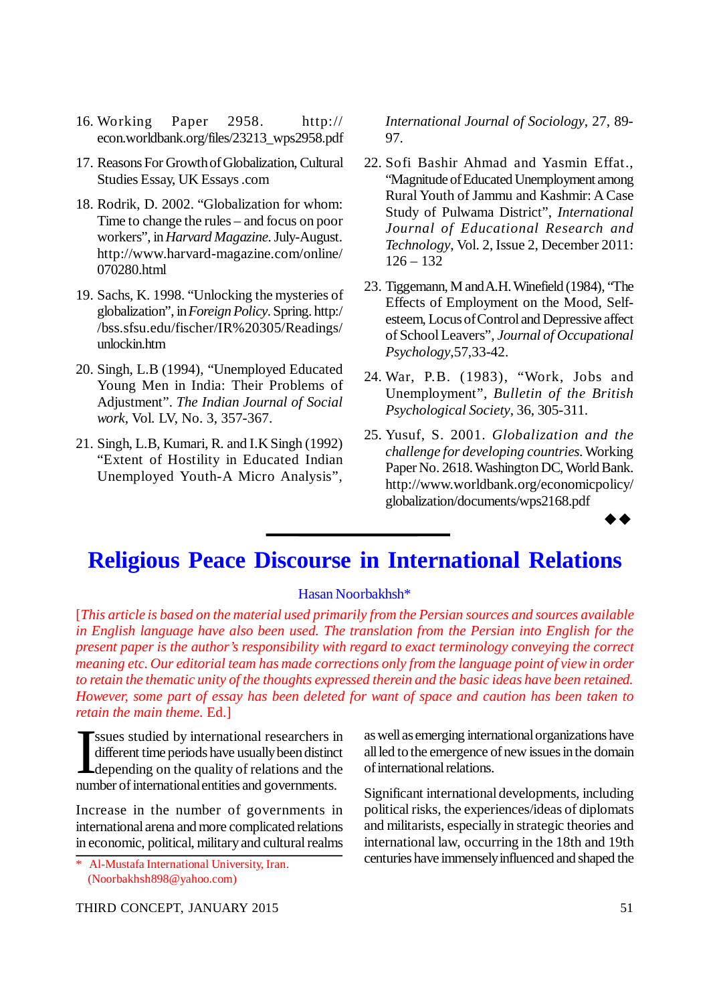- 16. Working Paper 2958. http:// econ.worldbank.org/files/23213\_wps2958.pdf
- 17. Reasons For Growth of Globalization, Cultural Studies Essay, UK Essays .com
- 18. Rodrik, D. 2002. "Globalization for whom: Time to change the rules – and focus on poor workers", in *Harvard Magazine*. July-August. http://www.harvard-magazine.com/online/ 070280.html
- 19. Sachs, K. 1998. "Unlocking the mysteries of globalization", in *Foreign Policy*. Spring. http:/ /bss.sfsu.edu/fischer/IR%20305/Readings/ unlockin.htm
- 20. Singh, L.B (1994), "Unemployed Educated Young Men in India: Their Problems of Adjustment". *The Indian Journal of Social work*, Vol. LV, No. 3, 357-367.
- 21. Singh, L.B, Kumari, R. and I.K Singh (1992) "Extent of Hostility in Educated Indian Unemployed Youth-A Micro Analysis",

*International Journal of Sociology*, 27, 89- 97.

- 22. Sofi Bashir Ahmad and Yasmin Effat., "Magnitude of Educated Unemployment among Rural Youth of Jammu and Kashmir: A Case Study of Pulwama District", *International Journal of Educational Research and Technology*, Vol. 2, Issue 2, December 2011:  $126 - 132$
- 23. Tiggemann, M and A.H. Winefield (1984), "The Effects of Employment on the Mood, Selfesteem, Locus of Control and Depressive affect of School Leavers", *Journal of Occupational Psychology*,57,33-42.
- 24. War, P.B. (1983), "Work, Jobs and Unemployment", *Bulletin of the British Psychological Society*, 36, 305-311.
- 25. Yusuf, S. 2001. *Globalization and the challenge for developing countries*. Working Paper No. 2618. Washington DC, World Bank. http://www.worldbank.org/economicpolicy/ globalization/documents/wps2168.pdf

# **Religious Peace Discourse in International Relations**

#### Hasan Noorbakhsh\*

[*This article is based on the material used primarily from the Persian sources and sources available in English language have also been used. The translation from the Persian into English for the present paper is the author's responsibility with regard to exact terminology conveying the correct meaning etc. Our editorial team has made corrections only from the language point of view in order to retain the thematic unity of the thoughts expressed therein and the basic ideas have been retained. However, some part of essay has been deleted for want of space and caution has been taken to retain the main theme.* Ed.]

In ssues studied by international researchers is<br>different time periods have usually been distince<br>depending on the quality of relations and the<br>number of international entities and governments. ssues studied by international researchers in different time periods have usually been distinct depending on the quality of relations and the

Increase in the number of governments in international arena and more complicated relations in economic, political, military and cultural realms

Al-Mustafa International University, Iran. (Noorbakhsh898@yahoo.com)

as well as emerging international organizations have all led to the emergence of new issues in the domain of international relations.

Significant international developments, including political risks, the experiences/ideas of diplomats and militarists, especially in strategic theories and international law, occurring in the 18th and 19th centuries have immensely influenced and shaped the

 $\rightarrow \rightarrow$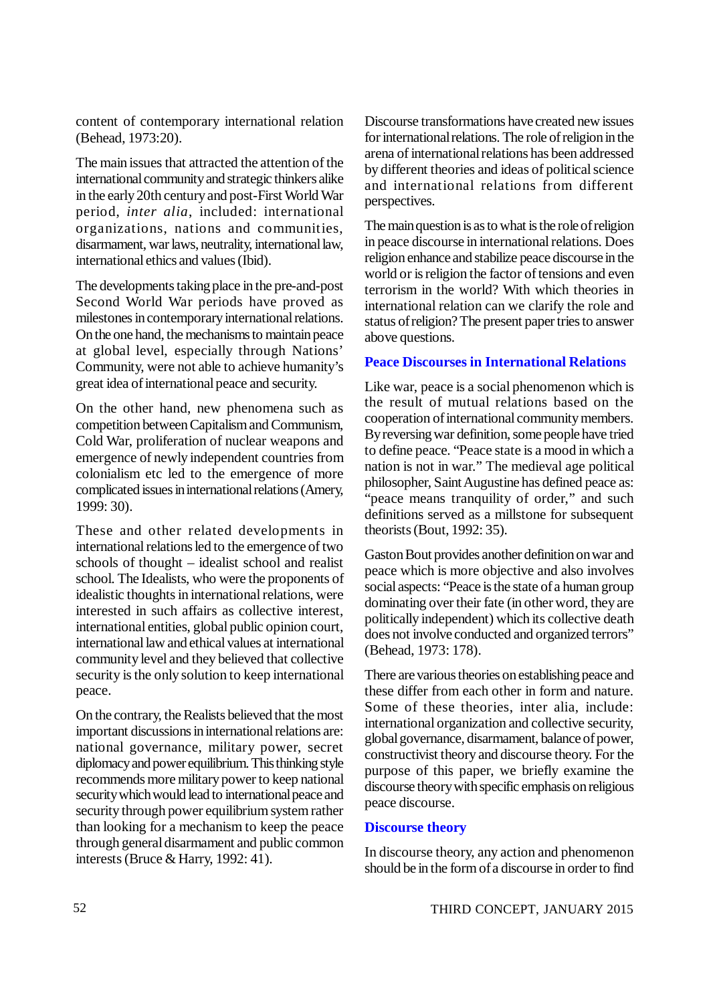content of contemporary international relation (Behead, 1973:20).

The main issues that attracted the attention of the international community and strategic thinkers alike in the early 20th century and post-First World War period, *inter alia*, included: international organizations, nations and communities, disarmament, war laws, neutrality, international law, international ethics and values (Ibid).

The developments taking place in the pre-and-post Second World War periods have proved as milestones in contemporary international relations. On the one hand, the mechanisms to maintain peace at global level, especially through Nations' Community, were not able to achieve humanity's great idea of international peace and security.

On the other hand, new phenomena such as competition between Capitalism and Communism, Cold War, proliferation of nuclear weapons and emergence of newly independent countries from colonialism etc led to the emergence of more complicated issues in international relations (Amery, 1999: 30).

These and other related developments in international relations led to the emergence of two schools of thought – idealist school and realist school. The Idealists, who were the proponents of idealistic thoughts in international relations, were interested in such affairs as collective interest, international entities, global public opinion court, international law and ethical values at international community level and they believed that collective security is the only solution to keep international peace.

On the contrary, the Realists believed that the most important discussions in international relations are: national governance, military power, secret diplomacy and power equilibrium. This thinking style recommends more military power to keep national security which would lead to international peace and security through power equilibrium system rather than looking for a mechanism to keep the peace through general disarmament and public common interests (Bruce & Harry, 1992: 41).

Discourse transformations have created new issues for international relations. The role of religion in the arena of international relations has been addressed by different theories and ideas of political science and international relations from different perspectives.

The main question is as to what is the role of religion in peace discourse in international relations. Does religion enhance and stabilize peace discourse in the world or is religion the factor of tensions and even terrorism in the world? With which theories in international relation can we clarify the role and status of religion? The present paper tries to answer above questions.

#### **Peace Discourses in International Relations**

Like war, peace is a social phenomenon which is the result of mutual relations based on the cooperation of international community members. By reversing war definition, some people have tried to define peace. "Peace state is a mood in which a nation is not in war." The medieval age political philosopher, Saint Augustine has defined peace as: "peace means tranquility of order," and such definitions served as a millstone for subsequent theorists (Bout, 1992: 35).

Gaston Bout provides another definition on war and peace which is more objective and also involves social aspects: "Peace is the state of a human group dominating over their fate (in other word, they are politically independent) which its collective death does not involve conducted and organized terrors" (Behead, 1973: 178).

There are various theories on establishing peace and these differ from each other in form and nature. Some of these theories, inter alia, include: international organization and collective security, global governance, disarmament, balance of power, constructivist theory and discourse theory. For the purpose of this paper, we briefly examine the discourse theory with specific emphasis on religious peace discourse.

#### **Discourse theory**

In discourse theory, any action and phenomenon should be in the form of a discourse in order to find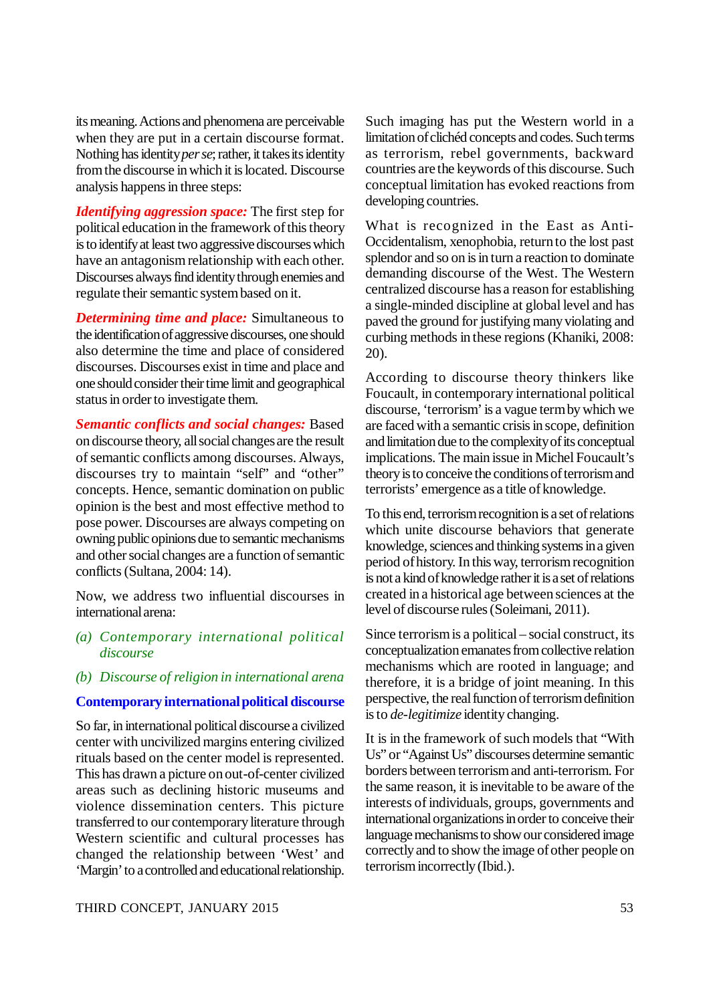its meaning. Actions and phenomena are perceivable when they are put in a certain discourse format. Nothing has identity *per se*; rather, it takes its identity from the discourse in which it is located. Discourse analysis happens in three steps:

*Identifying aggression space:* The first step for political education in the framework of this theory is to identify at least two aggressive discourses which have an antagonism relationship with each other. Discourses always find identity through enemies and regulate their semantic system based on it.

*Determining time and place:* Simultaneous to the identification of aggressive discourses, one should also determine the time and place of considered discourses. Discourses exist in time and place and one should consider their time limit and geographical status in order to investigate them.

*Semantic conflicts and social changes:* Based on discourse theory, all social changes are the result of semantic conflicts among discourses. Always, discourses try to maintain "self" and "other" concepts. Hence, semantic domination on public opinion is the best and most effective method to pose power. Discourses are always competing on owning public opinions due to semantic mechanisms and other social changes are a function of semantic conflicts (Sultana, 2004: 14).

Now, we address two influential discourses in international arena:

#### *(a) Contemporary international political discourse*

#### *(b) Discourse of religion in international arena*

#### **Contemporary international political discourse**

So far, in international political discourse a civilized center with uncivilized margins entering civilized rituals based on the center model is represented. This has drawn a picture on out-of-center civilized areas such as declining historic museums and violence dissemination centers. This picture transferred to our contemporary literature through Western scientific and cultural processes has changed the relationship between 'West' and 'Margin' to a controlled and educational relationship.

THIRD CONCEPT, JANUARY 2015 53

Such imaging has put the Western world in a limitation of clichéd concepts and codes. Such terms as terrorism, rebel governments, backward countries are the keywords of this discourse. Such conceptual limitation has evoked reactions from developing countries.

What is recognized in the East as Anti-Occidentalism, xenophobia, return to the lost past splendor and so on is in turn a reaction to dominate demanding discourse of the West. The Western centralized discourse has a reason for establishing a single-minded discipline at global level and has paved the ground for justifying many violating and curbing methods in these regions (Khaniki, 2008: 20).

According to discourse theory thinkers like Foucault, in contemporary international political discourse, 'terrorism' is a vague term by which we are faced with a semantic crisis in scope, definition and limitation due to the complexity of its conceptual implications. The main issue in Michel Foucault's theory is to conceive the conditions of terrorism and terrorists' emergence as a title of knowledge.

To this end, terrorism recognition is a set of relations which unite discourse behaviors that generate knowledge, sciences and thinking systems in a given period of history. In this way, terrorism recognition is not a kind of knowledge rather it is a set of relations created in a historical age between sciences at the level of discourse rules (Soleimani, 2011).

Since terrorism is a political – social construct, its conceptualization emanates from collective relation mechanisms which are rooted in language; and therefore, it is a bridge of joint meaning. In this perspective, the real function of terrorism definition is to *de-legitimize* identity changing.

It is in the framework of such models that "With Us" or "Against Us" discourses determine semantic borders between terrorism and anti-terrorism. For the same reason, it is inevitable to be aware of the interests of individuals, groups, governments and international organizations in order to conceive their language mechanisms to show our considered image correctly and to show the image of other people on terrorism incorrectly (Ibid.).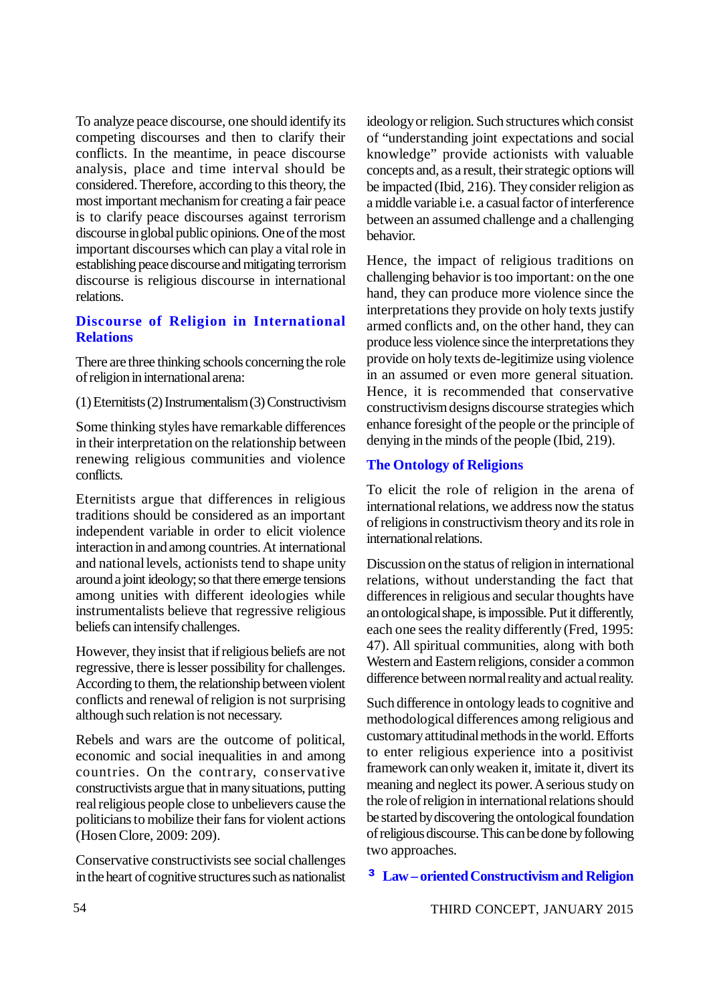To analyze peace discourse, one should identify its competing discourses and then to clarify their conflicts. In the meantime, in peace discourse analysis, place and time interval should be considered. Therefore, according to this theory, the most important mechanism for creating a fair peace is to clarify peace discourses against terrorism discourse in global public opinions. One of the most important discourses which can play a vital role in establishing peace discourse and mitigating terrorism discourse is religious discourse in international relations.

### **Discourse of Religion in International Relations**

There are three thinking schools concerning the role of religion in international arena:

(1) Eternitists (2) Instrumentalism (3) Constructivism

Some thinking styles have remarkable differences in their interpretation on the relationship between renewing religious communities and violence conflicts.

Eternitists argue that differences in religious traditions should be considered as an important independent variable in order to elicit violence interaction in and among countries. At international and national levels, actionists tend to shape unity around a joint ideology; so that there emerge tensions among unities with different ideologies while instrumentalists believe that regressive religious beliefs can intensify challenges.

However, they insist that if religious beliefs are not regressive, there is lesser possibility for challenges. According to them, the relationship between violent conflicts and renewal of religion is not surprising although such relation is not necessary.

Rebels and wars are the outcome of political, economic and social inequalities in and among countries. On the contrary, conservative constructivists argue that in many situations, putting real religious people close to unbelievers cause the politicians to mobilize their fans for violent actions (Hosen Clore, 2009: 209).

Conservative constructivists see social challenges in the heart of cognitive structures such as nationalist ideology or religion. Such structures which consist of "understanding joint expectations and social knowledge" provide actionists with valuable concepts and, as a result, their strategic options will be impacted (Ibid, 216). They consider religion as a middle variable i.e. a casual factor of interference between an assumed challenge and a challenging behavior.

Hence, the impact of religious traditions on challenging behavior is too important: on the one hand, they can produce more violence since the interpretations they provide on holy texts justify armed conflicts and, on the other hand, they can produce less violence since the interpretations they provide on holy texts de-legitimize using violence in an assumed or even more general situation. Hence, it is recommended that conservative constructivism designs discourse strategies which enhance foresight of the people or the principle of denying in the minds of the people (Ibid, 219).

# **The Ontology of Religions**

To elicit the role of religion in the arena of international relations, we address now the status of religions in constructivism theory and its role in international relations.

Discussion on the status of religion in international relations, without understanding the fact that differences in religious and secular thoughts have an ontological shape, is impossible. Put it differently, each one sees the reality differently (Fred, 1995: 47). All spiritual communities, along with both Western and Eastern religions, consider a common difference between normal reality and actual reality.

Such difference in ontology leads to cognitive and methodological differences among religious and customary attitudinal methods in the world. Efforts to enter religious experience into a positivist framework can only weaken it, imitate it, divert its meaning and neglect its power. A serious study on the role of religion in international relations should be started by discovering the ontological foundation of religious discourse. This can be done by following two approaches.

**³ Law – oriented Constructivism and Religion**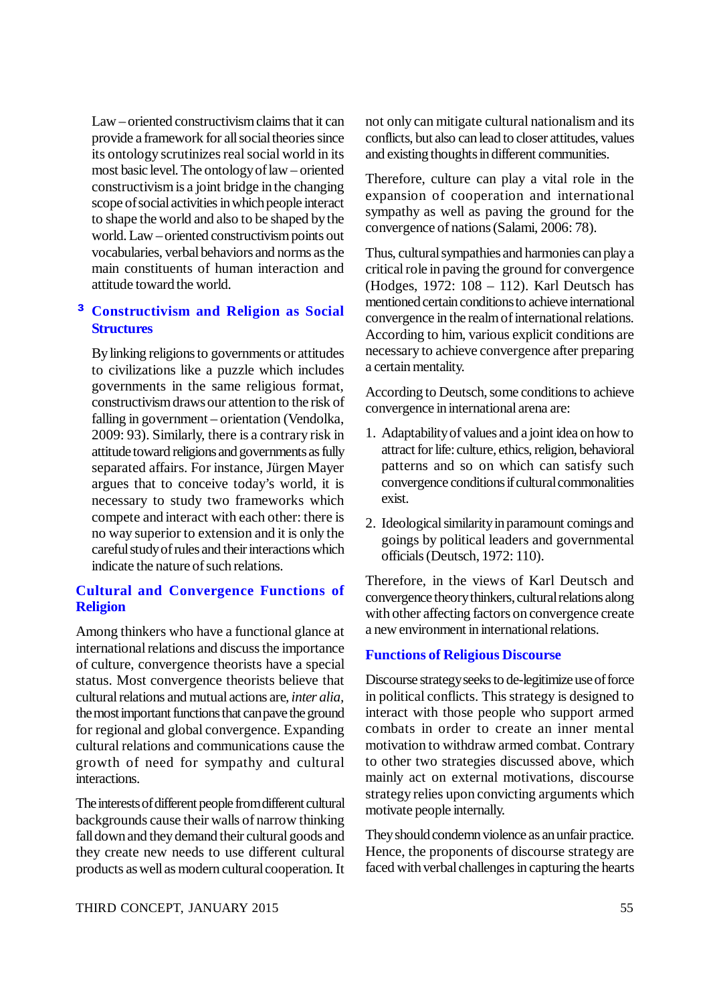Law – oriented constructivism claims that it can provide a framework for all social theories since its ontology scrutinizes real social world in its most basic level. The ontology of law – oriented constructivism is a joint bridge in the changing scope of social activities in which people interact to shape the world and also to be shaped by the world. Law – oriented constructivism points out vocabularies, verbal behaviors and norms as the main constituents of human interaction and attitude toward the world.

# **³ Constructivism and Religion as Social Structures**

By linking religions to governments or attitudes to civilizations like a puzzle which includes governments in the same religious format, constructivism draws our attention to the risk of falling in government – orientation (Vendolka, 2009: 93). Similarly, there is a contrary risk in attitude toward religions and governments as fully separated affairs. For instance, Jürgen Mayer argues that to conceive today's world, it is necessary to study two frameworks which compete and interact with each other: there is no way superior to extension and it is only the careful study of rules and their interactions which indicate the nature of such relations.

### **Cultural and Convergence Functions of Religion**

Among thinkers who have a functional glance at international relations and discuss the importance of culture, convergence theorists have a special status. Most convergence theorists believe that cultural relations and mutual actions are*, inter alia,* the most important functions that can pave the ground for regional and global convergence. Expanding cultural relations and communications cause the growth of need for sympathy and cultural interactions.

The interests of different people from different cultural backgrounds cause their walls of narrow thinking fall down and they demand their cultural goods and they create new needs to use different cultural products as well as modern cultural cooperation. It

not only can mitigate cultural nationalism and its conflicts, but also can lead to closer attitudes, values and existing thoughts in different communities.

Therefore, culture can play a vital role in the expansion of cooperation and international sympathy as well as paving the ground for the convergence of nations (Salami, 2006: 78).

Thus, cultural sympathies and harmonies can play a critical role in paving the ground for convergence (Hodges, 1972: 108 – 112). Karl Deutsch has mentioned certain conditions to achieve international convergence in the realm of international relations. According to him, various explicit conditions are necessary to achieve convergence after preparing a certain mentality.

According to Deutsch, some conditions to achieve convergence in international arena are:

- 1. Adaptability of values and a joint idea on how to attract for life: culture, ethics, religion, behavioral patterns and so on which can satisfy such convergence conditions if cultural commonalities exist.
- 2. Ideological similarity in paramount comings and goings by political leaders and governmental officials (Deutsch, 1972: 110).

Therefore, in the views of Karl Deutsch and convergence theory thinkers, cultural relations along with other affecting factors on convergence create a new environment in international relations.

### **Functions of Religious Discourse**

Discourse strategy seeks to de-legitimize use of force in political conflicts. This strategy is designed to interact with those people who support armed combats in order to create an inner mental motivation to withdraw armed combat. Contrary to other two strategies discussed above, which mainly act on external motivations, discourse strategy relies upon convicting arguments which motivate people internally.

They should condemn violence as an unfair practice. Hence, the proponents of discourse strategy are faced with verbal challenges in capturing the hearts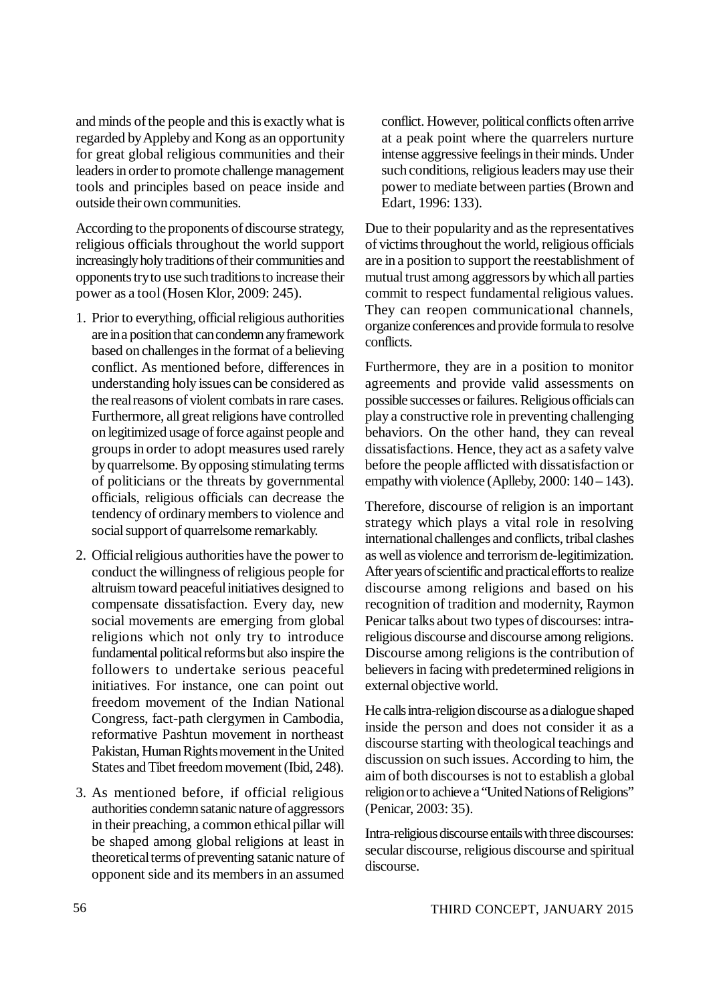and minds of the people and this is exactly what is regarded by Appleby and Kong as an opportunity for great global religious communities and their leaders in order to promote challenge management tools and principles based on peace inside and outside their own communities.

According to the proponents of discourse strategy, religious officials throughout the world support increasingly holy traditions of their communities and opponents try to use such traditions to increase their power as a tool (Hosen Klor, 2009: 245).

- 1. Prior to everything, official religious authorities are in a position that can condemn any framework based on challenges in the format of a believing conflict. As mentioned before, differences in understanding holy issues can be considered as the real reasons of violent combats in rare cases. Furthermore, all great religions have controlled on legitimized usage of force against people and groups in order to adopt measures used rarely by quarrelsome. By opposing stimulating terms of politicians or the threats by governmental officials, religious officials can decrease the tendency of ordinary members to violence and social support of quarrelsome remarkably.
- 2. Official religious authorities have the power to conduct the willingness of religious people for altruism toward peaceful initiatives designed to compensate dissatisfaction. Every day, new social movements are emerging from global religions which not only try to introduce fundamental political reforms but also inspire the followers to undertake serious peaceful initiatives. For instance, one can point out freedom movement of the Indian National Congress, fact-path clergymen in Cambodia, reformative Pashtun movement in northeast Pakistan, Human Rights movement in the United States and Tibet freedom movement (Ibid, 248).
- 3. As mentioned before, if official religious authorities condemn satanic nature of aggressors in their preaching, a common ethical pillar will be shaped among global religions at least in theoretical terms of preventing satanic nature of opponent side and its members in an assumed

conflict. However, political conflicts often arrive at a peak point where the quarrelers nurture intense aggressive feelings in their minds. Under such conditions, religious leaders may use their power to mediate between parties (Brown and Edart, 1996: 133).

Due to their popularity and as the representatives of victims throughout the world, religious officials are in a position to support the reestablishment of mutual trust among aggressors by which all parties commit to respect fundamental religious values. They can reopen communicational channels, organize conferences and provide formula to resolve conflicts.

Furthermore, they are in a position to monitor agreements and provide valid assessments on possible successes or failures. Religious officials can play a constructive role in preventing challenging behaviors. On the other hand, they can reveal dissatisfactions. Hence, they act as a safety valve before the people afflicted with dissatisfaction or empathy with violence (Aplleby,  $2000: 140 - 143$ ).

Therefore, discourse of religion is an important strategy which plays a vital role in resolving international challenges and conflicts, tribal clashes as well as violence and terrorism de-legitimization. After years of scientific and practical efforts to realize discourse among religions and based on his recognition of tradition and modernity, Raymon Penicar talks about two types of discourses: intrareligious discourse and discourse among religions. Discourse among religions is the contribution of believers in facing with predetermined religions in external objective world.

He calls intra-religion discourse as a dialogue shaped inside the person and does not consider it as a discourse starting with theological teachings and discussion on such issues. According to him, the aim of both discourses is not to establish a global religion or to achieve a "United Nations of Religions" (Penicar, 2003: 35).

Intra-religious discourse entails with three discourses: secular discourse, religious discourse and spiritual discourse.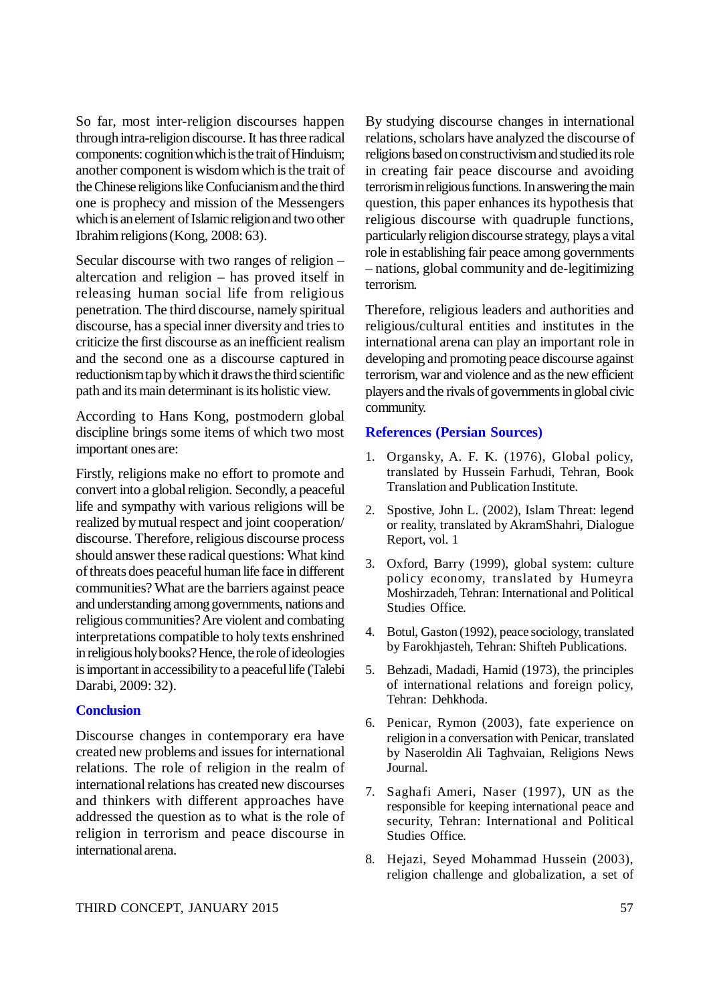So far, most inter-religion discourses happen through intra-religion discourse. It has three radical components: cognition which is the trait of Hinduism; another component is wisdom which is the trait of the Chinese religions like Confucianism and the third one is prophecy and mission of the Messengers which is an element of Islamic religion and two other Ibrahim religions (Kong, 2008: 63).

Secular discourse with two ranges of religion – altercation and religion – has proved itself in releasing human social life from religious penetration. The third discourse, namely spiritual discourse, has a special inner diversity and tries to criticize the first discourse as an inefficient realism and the second one as a discourse captured in reductionism tap by which it draws the third scientific path and its main determinant is its holistic view.

According to Hans Kong, postmodern global discipline brings some items of which two most important ones are:

Firstly, religions make no effort to promote and convert into a global religion. Secondly, a peaceful life and sympathy with various religions will be realized by mutual respect and joint cooperation/ discourse. Therefore, religious discourse process should answer these radical questions: What kind of threats does peaceful human life face in different communities? What are the barriers against peace and understanding among governments, nations and religious communities? Are violent and combating interpretations compatible to holy texts enshrined in religious holy books? Hence, the role of ideologies is important in accessibility to a peaceful life (Talebi Darabi, 2009: 32).

### **Conclusion**

Discourse changes in contemporary era have created new problems and issues for international relations. The role of religion in the realm of international relations has created new discourses and thinkers with different approaches have addressed the question as to what is the role of religion in terrorism and peace discourse in international arena.

By studying discourse changes in international relations, scholars have analyzed the discourse of religions based on constructivism and studied its role in creating fair peace discourse and avoiding terrorism in religious functions. In answering the main question, this paper enhances its hypothesis that religious discourse with quadruple functions, particularly religion discourse strategy, plays a vital role in establishing fair peace among governments – nations, global community and de-legitimizing terrorism.

Therefore, religious leaders and authorities and religious/cultural entities and institutes in the international arena can play an important role in developing and promoting peace discourse against terrorism, war and violence and as the new efficient players and the rivals of governments in global civic community.

#### **References (Persian Sources)**

- 1. Organsky, A. F. K. (1976), Global policy, translated by Hussein Farhudi, Tehran, Book Translation and Publication Institute.
- 2. Spostive, John L. (2002), Islam Threat: legend or reality, translated by AkramShahri, Dialogue Report, vol. 1
- 3. Oxford, Barry (1999), global system: culture policy economy, translated by Humeyra Moshirzadeh, Tehran: International and Political Studies Office.
- 4. Botul, Gaston (1992), peace sociology, translated by Farokhjasteh, Tehran: Shifteh Publications.
- 5. Behzadi, Madadi, Hamid (1973), the principles of international relations and foreign policy, Tehran: Dehkhoda.
- 6. Penicar, Rymon (2003), fate experience on religion in a conversation with Penicar, translated by Naseroldin Ali Taghvaian, Religions News Journal.
- 7. Saghafi Ameri, Naser (1997), UN as the responsible for keeping international peace and security, Tehran: International and Political Studies Office.
- 8. Hejazi, Seyed Mohammad Hussein (2003), religion challenge and globalization, a set of